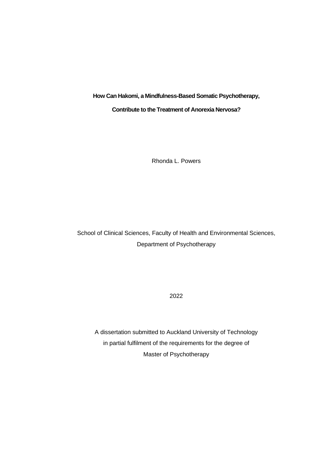**How Can Hakomi, a Mindfulness-Based Somatic Psychotherapy,** 

**Contribute to the Treatment of Anorexia Nervosa?**

Rhonda L. Powers

School of Clinical Sciences, Faculty of Health and Environmental Sciences, Department of Psychotherapy

2022

A dissertation submitted to Auckland University of Technology in partial fulfilment of the requirements for the degree of Master of Psychotherapy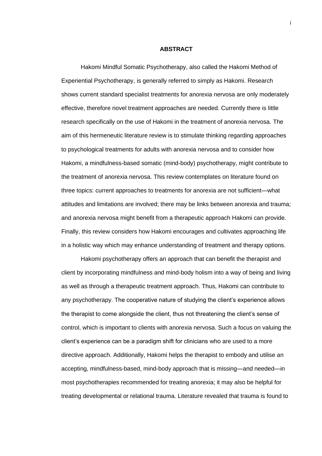### **ABSTRACT**

<span id="page-1-0"></span>Hakomi Mindful Somatic Psychotherapy, also called the Hakomi Method of Experiential Psychotherapy, is generally referred to simply as Hakomi. Research shows current standard specialist treatments for anorexia nervosa are only moderately effective, therefore novel treatment approaches are needed. Currently there is little research specifically on the use of Hakomi in the treatment of anorexia nervosa. The aim of this hermeneutic literature review is to stimulate thinking regarding approaches to psychological treatments for adults with anorexia nervosa and to consider how Hakomi, a mindfulness-based somatic (mind-body) psychotherapy, might contribute to the treatment of anorexia nervosa. This review contemplates on literature found on three topics: current approaches to treatments for anorexia are not sufficient—what attitudes and limitations are involved; there may be links between anorexia and trauma; and anorexia nervosa might benefit from a therapeutic approach Hakomi can provide. Finally, this review considers how Hakomi encourages and cultivates approaching life in a holistic way which may enhance understanding of treatment and therapy options.

Hakomi psychotherapy offers an approach that can benefit the therapist and client by incorporating mindfulness and mind-body holism into a way of being and living as well as through a therapeutic treatment approach. Thus, Hakomi can contribute to any psychotherapy. The cooperative nature of studying the client's experience allows the therapist to come alongside the client, thus not threatening the client's sense of control, which is important to clients with anorexia nervosa. Such a focus on valuing the client's experience can be a paradigm shift for clinicians who are used to a more directive approach. Additionally, Hakomi helps the therapist to embody and utilise an accepting, mindfulness-based, mind-body approach that is missing—and needed—in most psychotherapies recommended for treating anorexia; it may also be helpful for treating developmental or relational trauma. Literature revealed that trauma is found to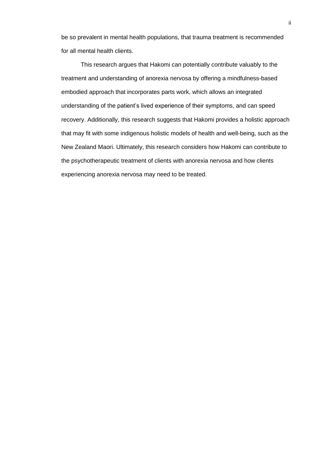be so prevalent in mental health populations, that trauma treatment is recommended for all mental health clients.

This research argues that Hakomi can potentially contribute valuably to the treatment and understanding of anorexia nervosa by offering a mindfulness-based embodied approach that incorporates parts work, which allows an integrated understanding of the patient's lived experience of their symptoms, and can speed recovery. Additionally, this research suggests that Hakomi provides a holistic approach that may fit with some indigenous holistic models of health and well-being, such as the New Zealand Maori. Ultimately, this research considers how Hakomi can contribute to the psychotherapeutic treatment of clients with anorexia nervosa and how clients experiencing anorexia nervosa may need to be treated.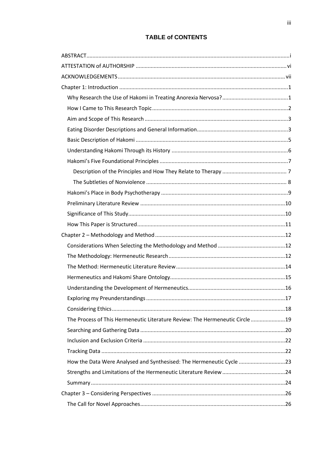# **TABLE of CONTENTS**

| The Process of This Hermeneutic Literature Review: The Hermeneutic Circle 19 |  |  |  |  |
|------------------------------------------------------------------------------|--|--|--|--|
|                                                                              |  |  |  |  |
|                                                                              |  |  |  |  |
|                                                                              |  |  |  |  |
| How the Data Were Analysed and Synthesised: The Hermeneutic Cycle 23         |  |  |  |  |
|                                                                              |  |  |  |  |
|                                                                              |  |  |  |  |
|                                                                              |  |  |  |  |
|                                                                              |  |  |  |  |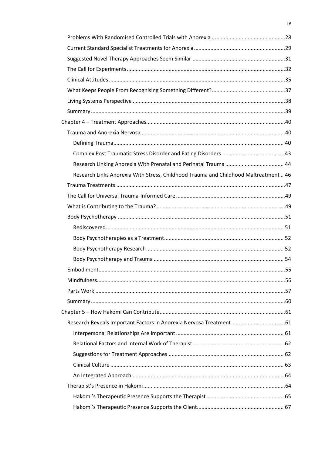| Research Links Anorexia With Stress, Childhood Trauma and Childhood Maltreatment 46 |  |
|-------------------------------------------------------------------------------------|--|
|                                                                                     |  |
|                                                                                     |  |
|                                                                                     |  |
|                                                                                     |  |
|                                                                                     |  |
|                                                                                     |  |
|                                                                                     |  |
|                                                                                     |  |
|                                                                                     |  |
|                                                                                     |  |
|                                                                                     |  |
|                                                                                     |  |
|                                                                                     |  |
|                                                                                     |  |
|                                                                                     |  |
|                                                                                     |  |
|                                                                                     |  |
|                                                                                     |  |
|                                                                                     |  |
|                                                                                     |  |
|                                                                                     |  |
|                                                                                     |  |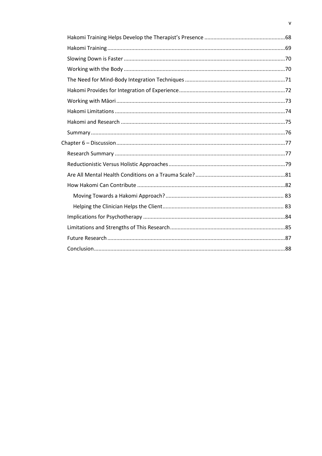$\mathsf{v}$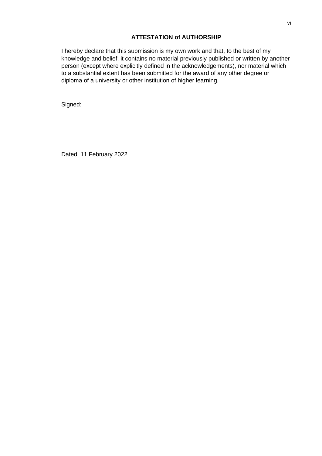# **ATTESTATION of AUTHORSHIP**

<span id="page-6-0"></span>I hereby declare that this submission is my own work and that, to the best of my knowledge and belief, it contains no material previously published or written by another person (except where explicitly defined in the acknowledgements), nor material which to a substantial extent has been submitted for the award of any other degree or diploma of a university or other institution of higher learning.

Signed:

Dated: 11 February 2022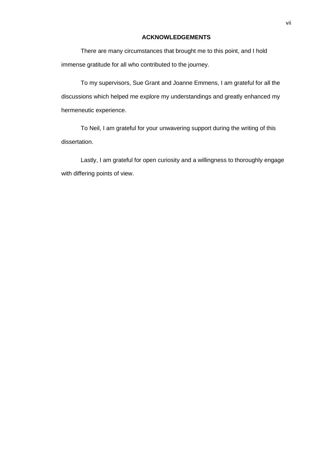# **ACKNOWLEDGEMENTS**

<span id="page-7-0"></span>There are many circumstances that brought me to this point, and I hold immense gratitude for all who contributed to the journey.

To my supervisors, Sue Grant and Joanne Emmens, I am grateful for all the discussions which helped me explore my understandings and greatly enhanced my hermeneutic experience.

To Neil, I am grateful for your unwavering support during the writing of this dissertation.

Lastly, I am grateful for open curiosity and a willingness to thoroughly engage with differing points of view.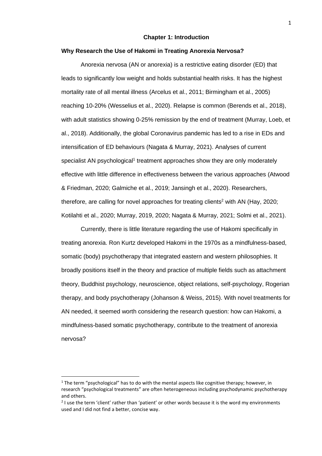#### **Chapter 1: Introduction**

## <span id="page-8-1"></span><span id="page-8-0"></span>**Why Research the Use of Hakomi in Treating Anorexia Nervosa?**

Anorexia nervosa (AN or anorexia) is a restrictive eating disorder (ED) that leads to significantly low weight and holds substantial health risks. It has the highest mortality rate of all mental illness (Arcelus et al., 2011; Birmingham et al., 2005) reaching 10-20% (Wesselius et al., 2020). Relapse is common (Berends et al., 2018), with adult statistics showing 0-25% remission by the end of treatment (Murray, Loeb, et al., 2018). Additionally, the global Coronavirus pandemic has led to a rise in EDs and intensification of ED behaviours (Nagata & Murray, 2021). Analyses of current specialist AN psychological<sup>1</sup> treatment approaches show they are only moderately effective with little difference in effectiveness between the various approaches (Atwood & Friedman, 2020; Galmiche et al., 2019; Jansingh et al., 2020). Researchers, therefore, are calling for novel approaches for treating clients<sup>2</sup> with AN (Hay, 2020; Kotilahti et al., 2020; Murray, 2019, 2020; Nagata & Murray, 2021; Solmi et al., 2021).

Currently, there is little literature regarding the use of Hakomi specifically in treating anorexia. Ron Kurtz developed Hakomi in the 1970s as a mindfulness-based, somatic (body) psychotherapy that integrated eastern and western philosophies. It broadly positions itself in the theory and practice of multiple fields such as attachment theory, Buddhist psychology, neuroscience, object relations, self-psychology, Rogerian therapy, and body psychotherapy (Johanson & Weiss, 2015). With novel treatments for AN needed, it seemed worth considering the research question: how can Hakomi, a mindfulness-based somatic psychotherapy, contribute to the treatment of anorexia nervosa?

 $1$  The term "psychological" has to do with the mental aspects like cognitive therapy; however, in research "psychological treatments" are often heterogeneous including psychodynamic psychotherapy and others.

 $2$  I use the term 'client' rather than 'patient' or other words because it is the word my environments used and I did not find a better, concise way.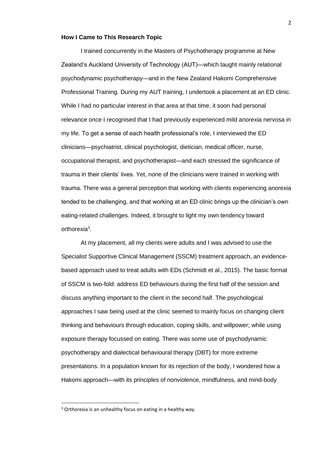#### <span id="page-9-0"></span>**How I Came to This Research Topic**

I trained concurrently in the Masters of Psychotherapy programme at New Zealand's Auckland University of Technology (AUT)—which taught mainly relational psychodynamic psychotherapy—and in the New Zealand Hakomi Comprehensive Professional Training. During my AUT training, I undertook a placement at an ED clinic. While I had no particular interest in that area at that time, it soon had personal relevance once I recognised that I had previously experienced mild anorexia nervosa in my life. To get a sense of each health professional's role, I interviewed the ED clinicians—psychiatrist, clinical psychologist, dietician, medical officer, nurse, occupational therapist, and psychotherapist—and each stressed the significance of trauma in their clients' lives. Yet, none of the clinicians were trained in working with trauma. There was a general perception that working with clients experiencing anorexia tended to be challenging, and that working at an ED clinic brings up the clinician's own eating-related challenges. Indeed, it brought to light my own tendency toward orthorexia<sup>3</sup>.

At my placement, all my clients were adults and I was advised to use the Specialist Supportive Clinical Management (SSCM) treatment approach, an evidencebased approach used to treat adults with EDs (Schmidt et al., 2015). The basic format of SSCM is two-fold: address ED behaviours during the first half of the session and discuss anything important to the client in the second half. The psychological approaches I saw being used at the clinic seemed to mainly focus on changing client thinking and behaviours through education, coping skills, and willpower; while using exposure therapy focussed on eating. There was some use of psychodynamic psychotherapy and dialectical behavioural therapy (DBT) for more extreme presentations. In a population known for its rejection of the body, I wondered how a Hakomi approach—with its principles of nonviolence, mindfulness, and mind-body

<sup>&</sup>lt;sup>3</sup> Orthorexia is an unhealthy focus on eating in a healthy way.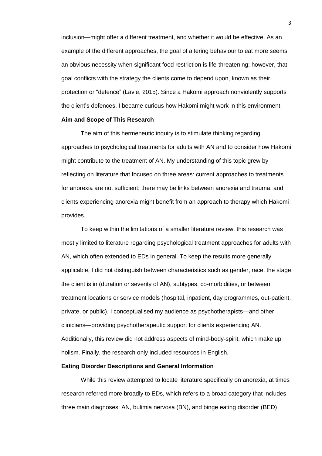inclusion—might offer a different treatment, and whether it would be effective. As an example of the different approaches, the goal of altering behaviour to eat more seems an obvious necessity when significant food restriction is life-threatening; however, that goal conflicts with the strategy the clients come to depend upon, known as their protection or "defence" (Lavie, 2015). Since a Hakomi approach nonviolently supports the client's defences, I became curious how Hakomi might work in this environment.

#### <span id="page-10-0"></span>**Aim and Scope of This Research**

The aim of this hermeneutic inquiry is to stimulate thinking regarding approaches to psychological treatments for adults with AN and to consider how Hakomi might contribute to the treatment of AN. My understanding of this topic grew by reflecting on literature that focused on three areas: current approaches to treatments for anorexia are not sufficient; there may be links between anorexia and trauma; and clients experiencing anorexia might benefit from an approach to therapy which Hakomi provides.

To keep within the limitations of a smaller literature review, this research was mostly limited to literature regarding psychological treatment approaches for adults with AN, which often extended to EDs in general. To keep the results more generally applicable, I did not distinguish between characteristics such as gender, race, the stage the client is in (duration or severity of AN), subtypes, co-morbidities, or between treatment locations or service models (hospital, inpatient, day programmes, out-patient, private, or public). I conceptualised my audience as psychotherapists—and other clinicians—providing psychotherapeutic support for clients experiencing AN. Additionally, this review did not address aspects of mind-body-spirit, which make up holism. Finally, the research only included resources in English.

#### <span id="page-10-1"></span>**Eating Disorder Descriptions and General Information**

While this review attempted to locate literature specifically on anorexia, at times research referred more broadly to EDs, which refers to a broad category that includes three main diagnoses: AN, bulimia nervosa (BN), and binge eating disorder (BED)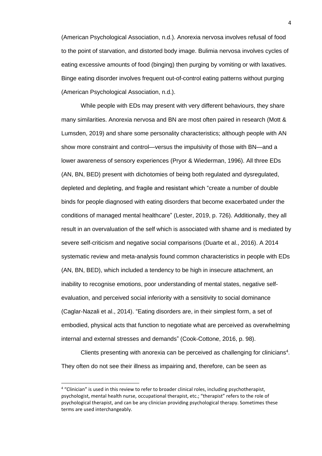(American Psychological Association, n.d.). Anorexia nervosa involves refusal of food to the point of starvation, and distorted body image. Bulimia nervosa involves cycles of eating excessive amounts of food (binging) then purging by vomiting or with laxatives. Binge eating disorder involves frequent out-of-control eating patterns without purging (American Psychological Association, n.d.).

While people with EDs may present with very different behaviours, they share many similarities. Anorexia nervosa and BN are most often paired in research (Mott & Lumsden, 2019) and share some personality characteristics; although people with AN show more constraint and control—versus the impulsivity of those with BN—and a lower awareness of sensory experiences (Pryor & Wiederman, 1996). All three EDs (AN, BN, BED) present with dichotomies of being both regulated and dysregulated, depleted and depleting, and fragile and resistant which "create a number of double binds for people diagnosed with eating disorders that become exacerbated under the conditions of managed mental healthcare" (Lester, 2019, p. 726). Additionally, they all result in an overvaluation of the self which is associated with shame and is mediated by severe self-criticism and negative social comparisons (Duarte et al., 2016). A 2014 systematic review and meta-analysis found common characteristics in people with EDs (AN, BN, BED), which included a tendency to be high in insecure attachment, an inability to recognise emotions, poor understanding of mental states, negative selfevaluation, and perceived social inferiority with a sensitivity to social dominance (Caglar-Nazali et al., 2014). "Eating disorders are, in their simplest form, a set of embodied, physical acts that function to negotiate what are perceived as overwhelming internal and external stresses and demands" (Cook-Cottone, 2016, p. 98).

Clients presenting with anorexia can be perceived as challenging for clinicians<sup>4</sup>. They often do not see their illness as impairing and, therefore, can be seen as

<sup>&</sup>lt;sup>4</sup> "Clinician" is used in this review to refer to broader clinical roles, including psychotherapist, psychologist, mental health nurse, occupational therapist, etc.; "therapist" refers to the role of psychological therapist, and can be any clinician providing psychological therapy. Sometimes these terms are used interchangeably.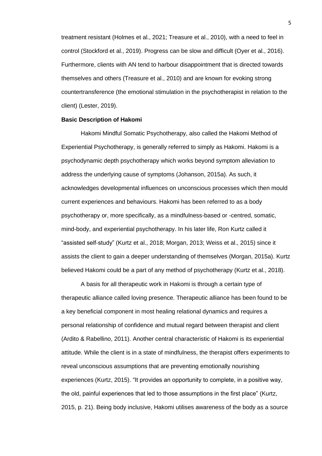treatment resistant (Holmes et al., 2021; Treasure et al., 2010), with a need to feel in control (Stockford et al., 2019). Progress can be slow and difficult (Oyer et al., 2016). Furthermore, clients with AN tend to harbour disappointment that is directed towards themselves and others (Treasure et al., 2010) and are known for evoking strong countertransference (the emotional stimulation in the psychotherapist in relation to the client) (Lester, 2019).

#### <span id="page-12-0"></span>**Basic Description of Hakomi**

Hakomi Mindful Somatic Psychotherapy, also called the Hakomi Method of Experiential Psychotherapy, is generally referred to simply as Hakomi. Hakomi is a psychodynamic depth psychotherapy which works beyond symptom alleviation to address the underlying cause of symptoms (Johanson, 2015a). As such, it acknowledges developmental influences on unconscious processes which then mould current experiences and behaviours. Hakomi has been referred to as a body psychotherapy or, more specifically, as a mindfulness-based or -centred, somatic, mind-body, and experiential psychotherapy. In his later life, Ron Kurtz called it "assisted self-study" (Kurtz et al., 2018; Morgan, 2013; Weiss et al., 2015) since it assists the client to gain a deeper understanding of themselves (Morgan, 2015a). Kurtz believed Hakomi could be a part of any method of psychotherapy (Kurtz et al., 2018).

A basis for all therapeutic work in Hakomi is through a certain type of therapeutic alliance called loving presence. Therapeutic alliance has been found to be a key beneficial component in most healing relational dynamics and requires a personal relationship of confidence and mutual regard between therapist and client (Ardito & Rabellino, 2011). Another central characteristic of Hakomi is its experiential attitude. While the client is in a state of mindfulness, the therapist offers experiments to reveal unconscious assumptions that are preventing emotionally nourishing experiences (Kurtz, 2015). "It provides an opportunity to complete, in a positive way, the old, painful experiences that led to those assumptions in the first place" (Kurtz, 2015, p. 21). Being body inclusive, Hakomi utilises awareness of the body as a source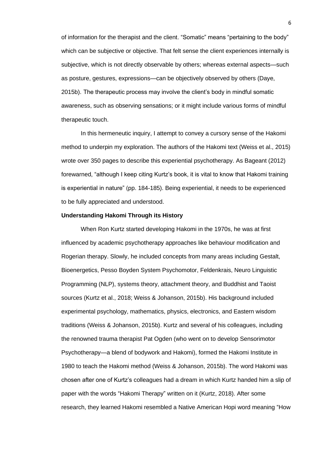of information for the therapist and the client. "Somatic" means "pertaining to the body" which can be subjective or objective. That felt sense the client experiences internally is subjective, which is not directly observable by others; whereas external aspects—such as posture, gestures, expressions—can be objectively observed by others (Daye, 2015b). The therapeutic process may involve the client's body in mindful somatic awareness, such as observing sensations; or it might include various forms of mindful therapeutic touch.

In this hermeneutic inquiry, I attempt to convey a cursory sense of the Hakomi method to underpin my exploration. The authors of the Hakomi text (Weiss et al., 2015) wrote over 350 pages to describe this experiential psychotherapy. As Bageant (2012) forewarned, "although I keep citing Kurtz's book, it is vital to know that Hakomi training is experiential in nature" (pp. 184-185). Being experiential, it needs to be experienced to be fully appreciated and understood.

#### <span id="page-13-0"></span>**Understanding Hakomi Through its History**

When Ron Kurtz started developing Hakomi in the 1970s, he was at first influenced by academic psychotherapy approaches like behaviour modification and Rogerian therapy. Slowly, he included concepts from many areas including Gestalt, Bioenergetics, Pesso Boyden System Psychomotor, Feldenkrais, Neuro Linguistic Programming (NLP), systems theory, attachment theory, and Buddhist and Taoist sources (Kurtz et al., 2018; Weiss & Johanson, 2015b). His background included experimental psychology, mathematics, physics, electronics, and Eastern wisdom traditions (Weiss & Johanson, 2015b). Kurtz and several of his colleagues, including the renowned trauma therapist Pat Ogden (who went on to develop Sensorimotor Psychotherapy—a blend of bodywork and Hakomi), formed the Hakomi Institute in 1980 to teach the Hakomi method (Weiss & Johanson, 2015b). The word Hakomi was chosen after one of Kurtz's colleagues had a dream in which Kurtz handed him a slip of paper with the words "Hakomi Therapy" written on it (Kurtz, 2018). After some research, they learned Hakomi resembled a Native American Hopi word meaning "How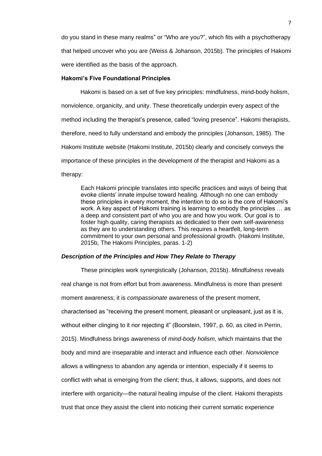do you stand in these many realms" or "Who are you?", which fits with a psychotherapy that helped uncover who you are (Weiss & Johanson, 2015b). The principles of Hakomi were identified as the basis of the approach.

## <span id="page-14-0"></span>**Hakomi's Five Foundational Principles**

Hakomi is based on a set of five key principles: mindfulness, mind-body holism, nonviolence, organicity, and unity. These theoretically underpin every aspect of the method including the therapist's presence, called "loving presence". Hakomi therapists, therefore, need to fully understand and embody the principles (Johanson, 1985). The Hakomi Institute website (Hakomi Institute, 2015b) clearly and concisely conveys the importance of these principles in the development of the therapist and Hakomi as a therapy:

Each Hakomi principle translates into specific practices and ways of being that evoke clients' innate impulse toward healing. Although no one can embody these principles in every moment, the intention to do so is the core of Hakomi's work. A key aspect of Hakomi training is learning to embody the principles … as a deep and consistent part of who you are and how you work. Our goal is to foster high quality, caring therapists as dedicated to their own self-awareness as they are to understanding others. This requires a heartfelt, long-term commitment to your own personal and professional growth. (Hakomi Institute, 2015b, The Hakomi Principles, paras. 1-2)

#### <span id="page-14-1"></span>*Description of the Principles and How They Relate to Therapy*

These principles work synergistically (Johanson, 2015b). *Mindfulness* reveals real change is not from effort but from awareness. Mindfulness is more than present moment awareness; it is *compassionate* awareness of the present moment, characterised as "receiving the present moment, pleasant or unpleasant, just as it is, without either clinging to it nor rejecting it" (Boorstein, 1997, p. 60, as cited in Perrin, 2015). Mindfulness brings awareness of *mind-body holism*, which maintains that the body and mind are inseparable and interact and influence each other. *Nonviolence* allows a willingness to abandon any agenda or intention, especially if it seems to conflict with what is emerging from the client; thus, it allows, supports, and does not interfere with organicity—the natural healing impulse of the client. Hakomi therapists trust that once they assist the client into noticing their current somatic experience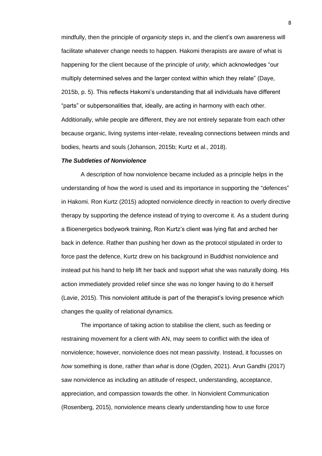mindfully, then the principle of *organicity* steps in, and the client's own awareness will facilitate whatever change needs to happen. Hakomi therapists are aware of what is happening for the client because of the principle of *unity,* which acknowledges "our multiply determined selves and the larger context within which they relate" (Daye, 2015b, p. 5). This reflects Hakomi's understanding that all individuals have different "parts" or subpersonalities that, ideally, are acting in harmony with each other. Additionally, while people are different, they are not entirely separate from each other because organic, living systems inter-relate, revealing connections between minds and bodies, hearts and souls (Johanson, 2015b; Kurtz et al., 2018).

#### <span id="page-15-0"></span>*The Subtleties of Nonviolence*

A description of how nonviolence became included as a principle helps in the understanding of how the word is used and its importance in supporting the "defences" in Hakomi. Ron Kurtz (2015) adopted nonviolence directly in reaction to overly directive therapy by supporting the defence instead of trying to overcome it. As a student during a Bioenergetics bodywork training, Ron Kurtz's client was lying flat and arched her back in defence. Rather than pushing her down as the protocol stipulated in order to force past the defence, Kurtz drew on his background in Buddhist nonviolence and instead put his hand to help lift her back and support what she was naturally doing. His action immediately provided relief since she was no longer having to do it herself (Lavie, 2015). This nonviolent attitude is part of the therapist's loving presence which changes the quality of relational dynamics.

The importance of taking action to stabilise the client, such as feeding or restraining movement for a client with AN, may seem to conflict with the idea of nonviolence; however, nonviolence does not mean passivity. Instead, it focusses on *how* something is done, rather than *what* is done (Ogden, 2021). Arun Gandhi (2017) saw nonviolence as including an attitude of respect, understanding, acceptance, appreciation, and compassion towards the other. In Nonviolent Communication (Rosenberg, 2015), nonviolence means clearly understanding how to use force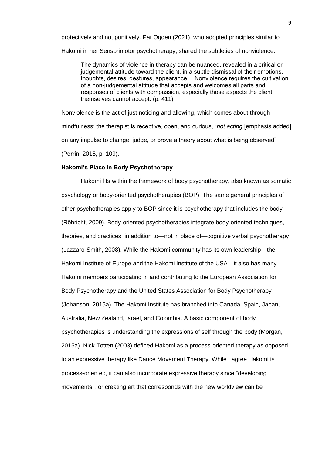protectively and not punitively. Pat Ogden (2021), who adopted principles similar to Hakomi in her Sensorimotor psychotherapy, shared the subtleties of nonviolence:

The dynamics of violence in therapy can be nuanced, revealed in a critical or judgemental attitude toward the client, in a subtle dismissal of their emotions, thoughts, desires, gestures, appearance… Nonviolence requires the cultivation of a non-judgemental attitude that accepts and welcomes all parts and responses of clients with compassion, especially those aspects the client themselves cannot accept. (p. 411)

Nonviolence is the act of just noticing and allowing, which comes about through mindfulness; the therapist is receptive, open, and curious, "*not acting* [emphasis added] on any impulse to change, judge, or prove a theory about what is being observed" (Perrin, 2015, p. 109).

### <span id="page-16-0"></span>**Hakomi's Place in Body Psychotherapy**

Hakomi fits within the framework of body psychotherapy, also known as somatic psychology or body-oriented psychotherapies (BOP). The same general principles of other psychotherapies apply to BOP since it is psychotherapy that includes the body (Röhricht, 2009). Body-oriented psychotherapies integrate body-oriented techniques, theories, and practices, in addition to—not in place of—cognitive verbal psychotherapy (Lazzaro-Smith, 2008). While the Hakomi community has its own leadership—the Hakomi Institute of Europe and the Hakomi Institute of the USA—it also has many Hakomi members participating in and contributing to the European Association for Body Psychotherapy and the United States Association for Body Psychotherapy (Johanson, 2015a). The Hakomi Institute has branched into Canada, Spain, Japan, Australia, New Zealand, Israel, and Colombia. A basic component of body psychotherapies is understanding the expressions of self through the body (Morgan, 2015a). Nick Totten (2003) defined Hakomi as a process-oriented therapy as opposed to an expressive therapy like Dance Movement Therapy. While I agree Hakomi is process-oriented, it can also incorporate expressive therapy since "developing movements…or creating art that corresponds with the new worldview can be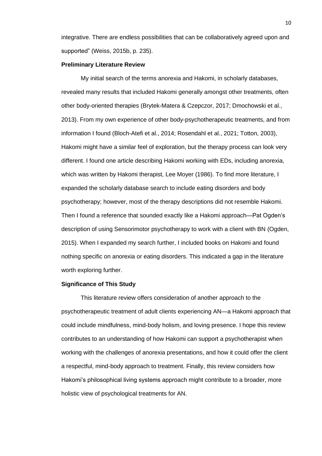integrative. There are endless possibilities that can be collaboratively agreed upon and supported" (Weiss, 2015b, p. 235).

### <span id="page-17-0"></span>**Preliminary Literature Review**

My initial search of the terms anorexia and Hakomi, in scholarly databases, revealed many results that included Hakomi generally amongst other treatments, often other body-oriented therapies (Brytek-Matera & Czepczor, 2017; Dmochowski et al., 2013). From my own experience of other body-psychotherapeutic treatments, and from information I found (Bloch-Atefi et al., 2014; Rosendahl et al., 2021; Totton, 2003), Hakomi might have a similar feel of exploration, but the therapy process can look very different. I found one article describing Hakomi working with EDs, including anorexia, which was written by Hakomi therapist, Lee Moyer (1986). To find more literature, I expanded the scholarly database search to include eating disorders and body psychotherapy; however, most of the therapy descriptions did not resemble Hakomi. Then I found a reference that sounded exactly like a Hakomi approach—Pat Ogden's description of using Sensorimotor psychotherapy to work with a client with BN (Ogden, 2015). When I expanded my search further, I included books on Hakomi and found nothing specific on anorexia or eating disorders. This indicated a gap in the literature worth exploring further.

### <span id="page-17-1"></span>**Significance of This Study**

This literature review offers consideration of another approach to the psychotherapeutic treatment of adult clients experiencing AN—a Hakomi approach that could include mindfulness, mind-body holism, and loving presence. I hope this review contributes to an understanding of how Hakomi can support a psychotherapist when working with the challenges of anorexia presentations, and how it could offer the client a respectful, mind-body approach to treatment. Finally, this review considers how Hakomi's philosophical living systems approach might contribute to a broader, more holistic view of psychological treatments for AN.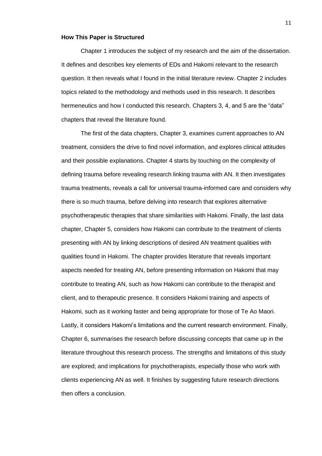#### <span id="page-18-0"></span>**How This Paper is Structured**

Chapter 1 introduces the subject of my research and the aim of the dissertation. It defines and describes key elements of EDs and Hakomi relevant to the research question. It then reveals what I found in the initial literature review. Chapter 2 includes topics related to the methodology and methods used in this research. It describes hermeneutics and how I conducted this research. Chapters 3, 4, and 5 are the "data" chapters that reveal the literature found.

The first of the data chapters, Chapter 3, examines current approaches to AN treatment, considers the drive to find novel information, and explores clinical attitudes and their possible explanations. Chapter 4 starts by touching on the complexity of defining trauma before revealing research linking trauma with AN. It then investigates trauma treatments, reveals a call for universal trauma-informed care and considers why there is so much trauma, before delving into research that explores alternative psychotherapeutic therapies that share similarities with Hakomi. Finally, the last data chapter, Chapter 5, considers how Hakomi can contribute to the treatment of clients presenting with AN by linking descriptions of desired AN treatment qualities with qualities found in Hakomi. The chapter provides literature that reveals important aspects needed for treating AN, before presenting information on Hakomi that may contribute to treating AN, such as how Hakomi can contribute to the therapist and client, and to therapeutic presence. It considers Hakomi training and aspects of Hakomi, such as it working faster and being appropriate for those of Te Ao Maori. Lastly, it considers Hakomi's limitations and the current research environment. Finally, Chapter 6, summarises the research before discussing concepts that came up in the literature throughout this research process. The strengths and limitations of this study are explored; and implications for psychotherapists, especially those who work with clients experiencing AN as well. It finishes by suggesting future research directions then offers a conclusion.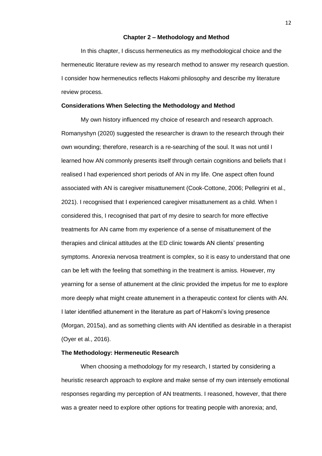#### **Chapter 2 – Methodology and Method**

<span id="page-19-0"></span>In this chapter, I discuss hermeneutics as my methodological choice and the hermeneutic literature review as my research method to answer my research question. I consider how hermeneutics reflects Hakomi philosophy and describe my literature review process.

### <span id="page-19-1"></span>**Considerations When Selecting the Methodology and Method**

My own history influenced my choice of research and research approach. Romanyshyn (2020) suggested the researcher is drawn to the research through their own wounding; therefore, research is a re-searching of the soul. It was not until I learned how AN commonly presents itself through certain cognitions and beliefs that I realised I had experienced short periods of AN in my life. One aspect often found associated with AN is caregiver misattunement (Cook‐Cottone, 2006; Pellegrini et al., 2021). I recognised that I experienced caregiver misattunement as a child. When I considered this, I recognised that part of my desire to search for more effective treatments for AN came from my experience of a sense of misattunement of the therapies and clinical attitudes at the ED clinic towards AN clients' presenting symptoms. Anorexia nervosa treatment is complex, so it is easy to understand that one can be left with the feeling that something in the treatment is amiss. However, my yearning for a sense of attunement at the clinic provided the impetus for me to explore more deeply what might create attunement in a therapeutic context for clients with AN. I later identified attunement in the literature as part of Hakomi's loving presence (Morgan, 2015a), and as something clients with AN identified as desirable in a therapist (Oyer et al., 2016).

# <span id="page-19-2"></span>**The Methodology: Hermeneutic Research**

When choosing a methodology for my research, I started by considering a heuristic research approach to explore and make sense of my own intensely emotional responses regarding my perception of AN treatments. I reasoned, however, that there was a greater need to explore other options for treating people with anorexia; and,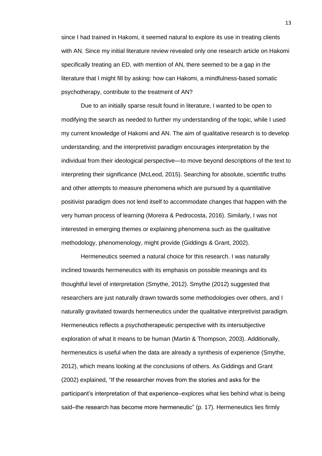since I had trained in Hakomi, it seemed natural to explore its use in treating clients with AN. Since my initial literature review revealed only one research article on Hakomi specifically treating an ED, with mention of AN, there seemed to be a gap in the literature that I might fill by asking: how can Hakomi, a mindfulness-based somatic psychotherapy, contribute to the treatment of AN?

Due to an initially sparse result found in literature, I wanted to be open to modifying the search as needed to further my understanding of the topic, while I used my current knowledge of Hakomi and AN. The aim of qualitative research is to develop understanding; and the interpretivist paradigm encourages interpretation by the individual from their ideological perspective—to move beyond descriptions of the text to interpreting their significance (McLeod, 2015). Searching for absolute, scientific truths and other attempts to measure phenomena which are pursued by a quantitative positivist paradigm does not lend itself to accommodate changes that happen with the very human process of learning (Moreira & Pedrocosta, 2016). Similarly, I was not interested in emerging themes or explaining phenomena such as the qualitative methodology, phenomenology, might provide (Giddings & Grant, 2002).

Hermeneutics seemed a natural choice for this research. I was naturally inclined towards hermeneutics with its emphasis on possible meanings and its thoughtful level of interpretation (Smythe, 2012). Smythe (2012) suggested that researchers are just naturally drawn towards some methodologies over others, and I naturally gravitated towards hermeneutics under the qualitative interpretivist paradigm. Hermeneutics reflects a psychotherapeutic perspective with its intersubjective exploration of what it means to be human (Martin & Thompson, 2003). Additionally, hermeneutics is useful when the data are already a synthesis of experience (Smythe, 2012), which means looking at the conclusions of others. As Giddings and Grant (2002) explained, "If the researcher moves from the stories and asks for the participant's interpretation of that experience–explores what lies behind what is being said–the research has become more hermeneutic" (p. 17). Hermeneutics lies firmly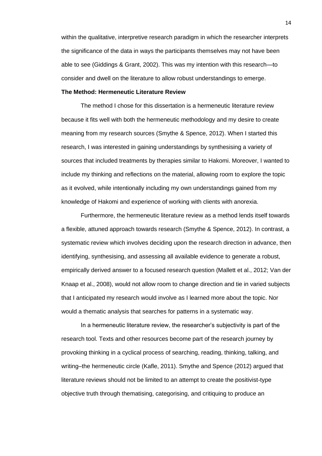within the qualitative, interpretive research paradigm in which the researcher interprets the significance of the data in ways the participants themselves may not have been able to see (Giddings & Grant, 2002). This was my intention with this research—to consider and dwell on the literature to allow robust understandings to emerge.

# <span id="page-21-0"></span>**The Method: Hermeneutic Literature Review**

The method I chose for this dissertation is a hermeneutic literature review because it fits well with both the hermeneutic methodology and my desire to create meaning from my research sources (Smythe & Spence, 2012). When I started this research, I was interested in gaining understandings by synthesising a variety of sources that included treatments by therapies similar to Hakomi. Moreover, I wanted to include my thinking and reflections on the material, allowing room to explore the topic as it evolved, while intentionally including my own understandings gained from my knowledge of Hakomi and experience of working with clients with anorexia.

Furthermore, the hermeneutic literature review as a method lends itself towards a flexible, attuned approach towards research (Smythe & Spence, 2012). In contrast, a systematic review which involves deciding upon the research direction in advance, then identifying, synthesising, and assessing all available evidence to generate a robust, empirically derived answer to a focused research question (Mallett et al., 2012; Van der Knaap et al., 2008), would not allow room to change direction and tie in varied subjects that I anticipated my research would involve as I learned more about the topic. Nor would a thematic analysis that searches for patterns in a systematic way.

In a hermeneutic literature review, the researcher's subjectivity is part of the research tool. Texts and other resources become part of the research journey by provoking thinking in a cyclical process of searching, reading, thinking, talking, and writing–the hermeneutic circle (Kafle, 2011). Smythe and Spence (2012) argued that literature reviews should not be limited to an attempt to create the positivist-type objective truth through thematising, categorising, and critiquing to produce an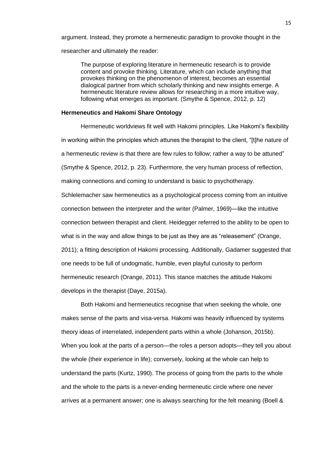argument. Instead, they promote a hermeneutic paradigm to provoke thought in the researcher and ultimately the reader:

The purpose of exploring literature in hermeneutic research is to provide content and provoke thinking. Literature, which can include anything that provokes thinking on the phenomenon of interest, becomes an essential dialogical partner from which scholarly thinking and new insights emerge. A hermeneutic literature review allows for researching in a more intuitive way, following what emerges as important. (Smythe & Spence, 2012, p. 12)

#### <span id="page-22-0"></span>**Hermeneutics and Hakomi Share Ontology**

Hermeneutic worldviews fit well with Hakomi principles. Like Hakomi's flexibility in working within the principles which attunes the therapist to the client, "[t]he nature of a hermeneutic review is that there are few rules to follow; rather a way to be attuned" (Smythe & Spence, 2012, p. 23). Furthermore, the very human process of reflection, making connections and coming to understand is basic to psychotherapy. Schlelemacher saw hermeneutics as a psychological process coming from an intuitive connection between the interpreter and the writer (Palmer, 1969)—like the intuitive connection between therapist and client. Heidegger referred to the ability to be open to what is in the way and allow things to be just as they are as "releasement" (Orange, 2011); a fitting description of Hakomi processing. Additionally, Gadamer suggested that one needs to be full of undogmatic, humble, even playful curiosity to perform hermeneutic research (Orange, 2011). This stance matches the attitude Hakomi develops in the therapist (Daye, 2015a).

Both Hakomi and hermeneutics recognise that when seeking the whole, one makes sense of the parts and visa-versa. Hakomi was heavily influenced by systems theory ideas of interrelated, independent parts within a whole (Johanson, 2015b). When you look at the parts of a person—the roles a person adopts—they tell you about the whole (their experience in life); conversely, looking at the whole can help to understand the parts (Kurtz, 1990). The process of going from the parts to the whole and the whole to the parts is a never-ending hermeneutic circle where one never arrives at a permanent answer; one is always searching for the felt meaning (Boell &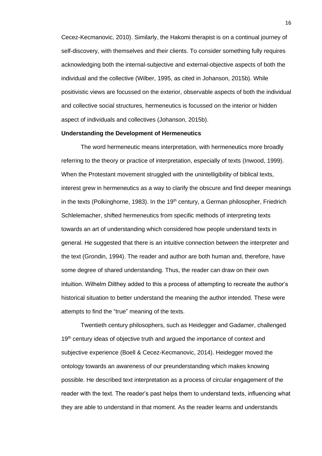Cecez-Kecmanovic, 2010). Similarly, the Hakomi therapist is on a continual journey of self-discovery, with themselves and their clients. To consider something fully requires acknowledging both the internal-subjective and external-objective aspects of both the individual and the collective (Wilber, 1995, as cited in Johanson, 2015b). While positivistic views are focussed on the exterior, observable aspects of both the individual and collective social structures, hermeneutics is focussed on the interior or hidden aspect of individuals and collectives (Johanson, 2015b).

## <span id="page-23-0"></span>**Understanding the Development of Hermeneutics**

The word hermeneutic means interpretation, with hermeneutics more broadly referring to the theory or practice of interpretation, especially of texts (Inwood, 1999). When the Protestant movement struggled with the unintelligibility of biblical texts, interest grew in hermeneutics as a way to clarify the obscure and find deeper meanings in the texts (Polkinghorne, 1983). In the  $19<sup>th</sup>$  century, a German philosopher, Friedrich Schlelemacher, shifted hermeneutics from specific methods of interpreting texts towards an art of understanding which considered how people understand texts in general. He suggested that there is an intuitive connection between the interpreter and the text (Grondin, 1994). The reader and author are both human and, therefore, have some degree of shared understanding. Thus, the reader can draw on their own intuition. Wilhelm Dilthey added to this a process of attempting to recreate the author's historical situation to better understand the meaning the author intended. These were attempts to find the "true" meaning of the texts.

Twentieth century philosophers, such as Heidegger and Gadamer, challenged 19<sup>th</sup> century ideas of objective truth and argued the importance of context and subjective experience (Boell & Cecez-Kecmanovic, 2014). Heidegger moved the ontology towards an awareness of our preunderstanding which makes knowing possible. He described text interpretation as a process of circular engagement of the reader with the text. The reader's past helps them to understand texts, influencing what they are able to understand in that moment. As the reader learns and understands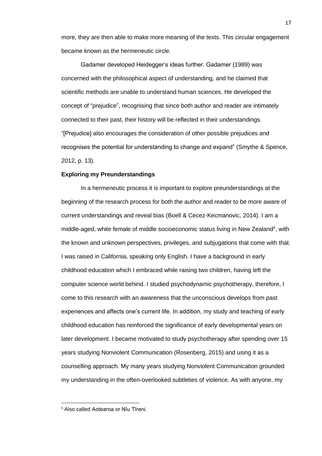more, they are then able to make more meaning of the texts. This circular engagement became known as the hermeneutic circle.

Gadamer developed Heidegger's ideas further. Gadamer (1989) was concerned with the philosophical aspect of understanding, and he claimed that scientific methods are unable to understand human sciences. He developed the concept of "prejudice", recognising that since both author and reader are intimately connected to their past, their history will be reflected in their understandings. "[Prejudice] also encourages the consideration of other possible prejudices and recognises the potential for understanding to change and expand" (Smythe & Spence, 2012, p. 13).

### <span id="page-24-0"></span>**Exploring my Preunderstandings**

In a hermeneutic process it is important to explore preunderstandings at the beginning of the research process for both the author and reader to be more aware of current understandings and reveal bias (Boell & Cecez-Kecmanovic, 2014). I am a middle-aged, white female of middle socioeconomic status living in New Zealand<sup>5</sup>, with the known and unknown perspectives, privileges, and subjugations that come with that. I was raised in California, speaking only English. I have a background in early childhood education which I embraced while raising two children, having left the computer science world behind. I studied psychodynamic psychotherapy, therefore, I come to this research with an awareness that the unconscious develops from past experiences and affects one's current life. In addition, my study and teaching of early childhood education has reinforced the significance of early developmental years on later development. I became motivated to study psychotherapy after spending over 15 years studying Nonviolent Communication (Rosenberg, 2015) and using it as a counselling approach. My many years studying Nonviolent Communication grounded my understanding in the often-overlooked subtleties of violence. As with anyone, my

<sup>5</sup> Also called Aotearoa or Nīu Tīreni.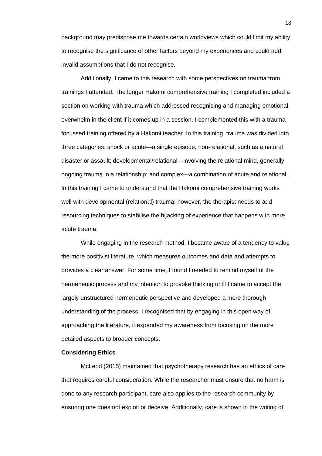background may predispose me towards certain worldviews which could limit my ability to recognise the significance of other factors beyond my experiences and could add invalid assumptions that I do not recognise.

Additionally, I came to this research with some perspectives on trauma from trainings I attended. The longer Hakomi comprehensive training I completed included a section on working with trauma which addressed recognising and managing emotional overwhelm in the client if it comes up in a session. I complemented this with a trauma focussed training offered by a Hakomi teacher. In this training, trauma was divided into three categories: shock or acute—a single episode, non-relational, such as a natural disaster or assault; developmental/relational—involving the relational mind, generally ongoing trauma in a relationship; and complex—a combination of acute and relational. In this training I came to understand that the Hakomi comprehensive training works well with developmental (relational) trauma; however, the therapist needs to add resourcing techniques to stabilise the hijacking of experience that happens with more acute trauma.

While engaging in the research method, I became aware of a tendency to value the more positivist literature, which measures outcomes and data and attempts to provides a clear answer. For some time, I found I needed to remind myself of the hermeneutic process and my intention to provoke thinking until I came to accept the largely unstructured hermeneutic perspective and developed a more thorough understanding of the process. I recognised that by engaging in this open way of approaching the literature, it expanded my awareness from focusing on the more detailed aspects to broader concepts.

#### <span id="page-25-0"></span>**Considering Ethics**

McLeod (2015) maintained that psychotherapy research has an ethics of care that requires careful consideration. While the researcher must ensure that no harm is done to any research participant, care also applies to the research community by ensuring one does not exploit or deceive. Additionally, care is shown in the writing of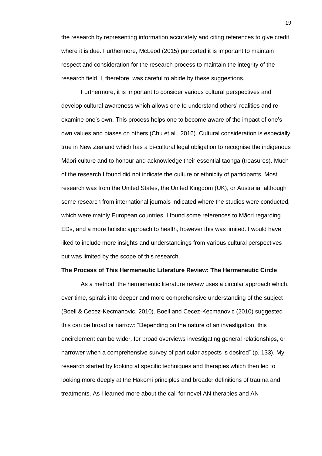the research by representing information accurately and citing references to give credit where it is due. Furthermore, McLeod (2015) purported it is important to maintain respect and consideration for the research process to maintain the integrity of the research field. I, therefore, was careful to abide by these suggestions.

Furthermore, it is important to consider various cultural perspectives and develop cultural awareness which allows one to understand others' realities and reexamine one's own. This process helps one to become aware of the impact of one's own values and biases on others (Chu et al., 2016). Cultural consideration is especially true in New Zealand which has a bi-cultural legal obligation to recognise the indigenous Māori culture and to honour and acknowledge their essential taonga (treasures). Much of the research I found did not indicate the culture or ethnicity of participants. Most research was from the United States, the United Kingdom (UK), or Australia; although some research from international journals indicated where the studies were conducted, which were mainly European countries. I found some references to Māori regarding EDs, and a more holistic approach to health, however this was limited. I would have liked to include more insights and understandings from various cultural perspectives but was limited by the scope of this research.

#### <span id="page-26-0"></span>**The Process of This Hermeneutic Literature Review: The Hermeneutic Circle**

As a method, the hermeneutic literature review uses a circular approach which, over time, spirals into deeper and more comprehensive understanding of the subject (Boell & Cecez-Kecmanovic, 2010). Boell and Cecez-Kecmanovic (2010) suggested this can be broad or narrow: "Depending on the nature of an investigation, this encirclement can be wider, for broad overviews investigating general relationships, or narrower when a comprehensive survey of particular aspects is desired" (p. 133). My research started by looking at specific techniques and therapies which then led to looking more deeply at the Hakomi principles and broader definitions of trauma and treatments. As I learned more about the call for novel AN therapies and AN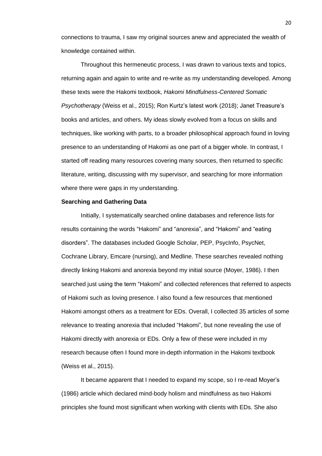connections to trauma, I saw my original sources anew and appreciated the wealth of knowledge contained within.

Throughout this hermeneutic process, I was drawn to various texts and topics, returning again and again to write and re-write as my understanding developed. Among these texts were the Hakomi textbook, *Hakomi Mindfulness-Centered Somatic Psychotherapy* (Weiss et al., 2015); Ron Kurtz's latest work (2018); Janet Treasure's books and articles, and others. My ideas slowly evolved from a focus on skills and techniques, like working with parts, to a broader philosophical approach found in loving presence to an understanding of Hakomi as one part of a bigger whole. In contrast, I started off reading many resources covering many sources, then returned to specific literature, writing, discussing with my supervisor, and searching for more information where there were gaps in my understanding.

## <span id="page-27-0"></span>**Searching and Gathering Data**

Initially, I systematically searched online databases and reference lists for results containing the words "Hakomi" and "anorexia", and "Hakomi" and "eating disorders". The databases included Google Scholar, PEP, PsycInfo, PsycNet, Cochrane Library, Emcare (nursing), and Medline. These searches revealed nothing directly linking Hakomi and anorexia beyond my initial source (Moyer, 1986). I then searched just using the term "Hakomi" and collected references that referred to aspects of Hakomi such as loving presence. I also found a few resources that mentioned Hakomi amongst others as a treatment for EDs. Overall, I collected 35 articles of some relevance to treating anorexia that included "Hakomi", but none revealing the use of Hakomi directly with anorexia or EDs. Only a few of these were included in my research because often I found more in-depth information in the Hakomi textbook (Weiss et al., 2015).

It became apparent that I needed to expand my scope, so I re-read Moyer's (1986) article which declared mind-body holism and mindfulness as two Hakomi principles she found most significant when working with clients with EDs. She also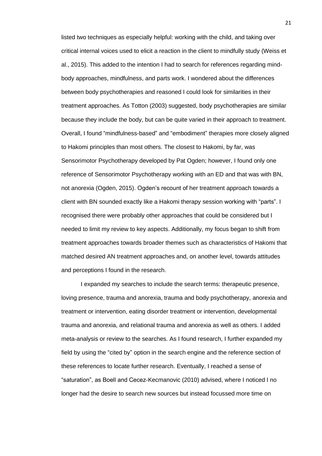listed two techniques as especially helpful: working with the child, and taking over critical internal voices used to elicit a reaction in the client to mindfully study (Weiss et al., 2015). This added to the intention I had to search for references regarding mindbody approaches, mindfulness, and parts work. I wondered about the differences between body psychotherapies and reasoned I could look for similarities in their treatment approaches. As Totton (2003) suggested, body psychotherapies are similar because they include the body, but can be quite varied in their approach to treatment. Overall, I found "mindfulness-based" and "embodiment" therapies more closely aligned to Hakomi principles than most others. The closest to Hakomi, by far, was Sensorimotor Psychotherapy developed by Pat Ogden; however, I found only one reference of Sensorimotor Psychotherapy working with an ED and that was with BN, not anorexia (Ogden, 2015). Ogden's recount of her treatment approach towards a client with BN sounded exactly like a Hakomi therapy session working with "parts". I recognised there were probably other approaches that could be considered but I needed to limit my review to key aspects. Additionally, my focus began to shift from treatment approaches towards broader themes such as characteristics of Hakomi that matched desired AN treatment approaches and, on another level, towards attitudes and perceptions I found in the research.

I expanded my searches to include the search terms: therapeutic presence, loving presence, trauma and anorexia, trauma and body psychotherapy, anorexia and treatment or intervention, eating disorder treatment or intervention, developmental trauma and anorexia, and relational trauma and anorexia as well as others. I added meta-analysis or review to the searches. As I found research, I further expanded my field by using the "cited by" option in the search engine and the reference section of these references to locate further research. Eventually, I reached a sense of "saturation", as Boell and Cecez-Kecmanovic (2010) advised, where I noticed I no longer had the desire to search new sources but instead focussed more time on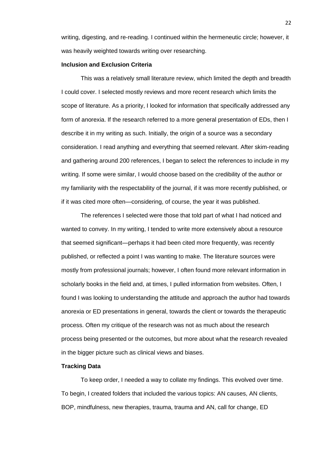writing, digesting, and re-reading. I continued within the hermeneutic circle; however, it was heavily weighted towards writing over researching.

## <span id="page-29-0"></span>**Inclusion and Exclusion Criteria**

This was a relatively small literature review, which limited the depth and breadth I could cover. I selected mostly reviews and more recent research which limits the scope of literature. As a priority, I looked for information that specifically addressed any form of anorexia. If the research referred to a more general presentation of EDs, then I describe it in my writing as such. Initially, the origin of a source was a secondary consideration. I read anything and everything that seemed relevant. After skim-reading and gathering around 200 references, I began to select the references to include in my writing. If some were similar, I would choose based on the credibility of the author or my familiarity with the respectability of the journal, if it was more recently published, or if it was cited more often—considering, of course, the year it was published.

The references I selected were those that told part of what I had noticed and wanted to convey. In my writing, I tended to write more extensively about a resource that seemed significant—perhaps it had been cited more frequently, was recently published, or reflected a point I was wanting to make. The literature sources were mostly from professional journals; however, I often found more relevant information in scholarly books in the field and, at times, I pulled information from websites. Often, I found I was looking to understanding the attitude and approach the author had towards anorexia or ED presentations in general, towards the client or towards the therapeutic process. Often my critique of the research was not as much about the research process being presented or the outcomes, but more about what the research revealed in the bigger picture such as clinical views and biases.

## <span id="page-29-1"></span>**Tracking Data**

To keep order, I needed a way to collate my findings. This evolved over time. To begin, I created folders that included the various topics: AN causes, AN clients, BOP, mindfulness, new therapies, trauma, trauma and AN, call for change, ED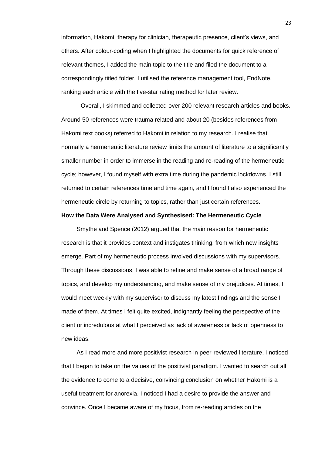information, Hakomi, therapy for clinician, therapeutic presence, client's views, and others. After colour-coding when I highlighted the documents for quick reference of relevant themes, I added the main topic to the title and filed the document to a correspondingly titled folder. I utilised the reference management tool, EndNote, ranking each article with the five-star rating method for later review.

Overall, I skimmed and collected over 200 relevant research articles and books. Around 50 references were trauma related and about 20 (besides references from Hakomi text books) referred to Hakomi in relation to my research. I realise that normally a hermeneutic literature review limits the amount of literature to a significantly smaller number in order to immerse in the reading and re-reading of the hermeneutic cycle; however, I found myself with extra time during the pandemic lockdowns. I still returned to certain references time and time again, and I found I also experienced the hermeneutic circle by returning to topics, rather than just certain references.

#### <span id="page-30-0"></span>**How the Data Were Analysed and Synthesised: The Hermeneutic Cycle**

Smythe and Spence (2012) argued that the main reason for hermeneutic research is that it provides context and instigates thinking, from which new insights emerge. Part of my hermeneutic process involved discussions with my supervisors. Through these discussions, I was able to refine and make sense of a broad range of topics, and develop my understanding, and make sense of my prejudices. At times, I would meet weekly with my supervisor to discuss my latest findings and the sense I made of them. At times I felt quite excited, indignantly feeling the perspective of the client or incredulous at what I perceived as lack of awareness or lack of openness to new ideas.

As I read more and more positivist research in peer-reviewed literature, I noticed that I began to take on the values of the positivist paradigm. I wanted to search out all the evidence to come to a decisive, convincing conclusion on whether Hakomi is a useful treatment for anorexia. I noticed I had a desire to provide the answer and convince. Once I became aware of my focus, from re-reading articles on the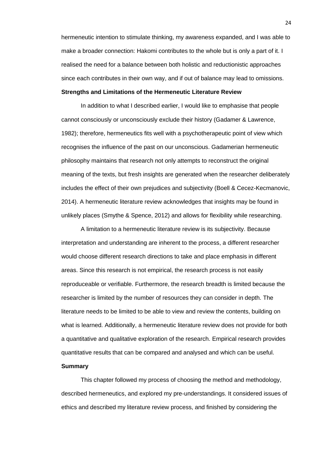hermeneutic intention to stimulate thinking, my awareness expanded, and I was able to make a broader connection: Hakomi contributes to the whole but is only a part of it. I realised the need for a balance between both holistic and reductionistic approaches since each contributes in their own way, and if out of balance may lead to omissions.

# <span id="page-31-0"></span>**Strengths and Limitations of the Hermeneutic Literature Review**

In addition to what I described earlier, I would like to emphasise that people cannot consciously or unconsciously exclude their history (Gadamer & Lawrence, 1982); therefore, hermeneutics fits well with a psychotherapeutic point of view which recognises the influence of the past on our unconscious. Gadamerian hermeneutic philosophy maintains that research not only attempts to reconstruct the original meaning of the texts, but fresh insights are generated when the researcher deliberately includes the effect of their own prejudices and subjectivity (Boell & Cecez-Kecmanovic, 2014). A hermeneutic literature review acknowledges that insights may be found in unlikely places (Smythe & Spence, 2012) and allows for flexibility while researching.

A limitation to a hermeneutic literature review is its subjectivity. Because interpretation and understanding are inherent to the process, a different researcher would choose different research directions to take and place emphasis in different areas. Since this research is not empirical, the research process is not easily reproduceable or verifiable. Furthermore, the research breadth is limited because the researcher is limited by the number of resources they can consider in depth. The literature needs to be limited to be able to view and review the contents, building on what is learned. Additionally, a hermeneutic literature review does not provide for both a quantitative and qualitative exploration of the research. Empirical research provides quantitative results that can be compared and analysed and which can be useful.

# <span id="page-31-1"></span>**Summary**

This chapter followed my process of choosing the method and methodology, described hermeneutics, and explored my pre-understandings. It considered issues of ethics and described my literature review process, and finished by considering the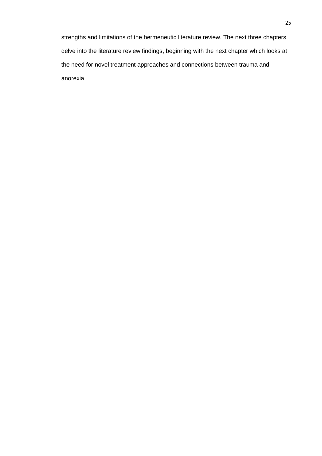strengths and limitations of the hermeneutic literature review. The next three chapters delve into the literature review findings, beginning with the next chapter which looks at the need for novel treatment approaches and connections between trauma and anorexia.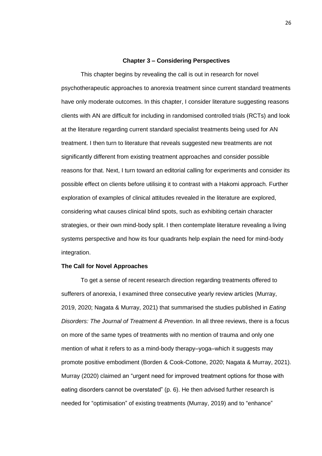#### **Chapter 3 – Considering Perspectives**

<span id="page-33-0"></span>This chapter begins by revealing the call is out in research for novel psychotherapeutic approaches to anorexia treatment since current standard treatments have only moderate outcomes. In this chapter, I consider literature suggesting reasons clients with AN are difficult for including in randomised controlled trials (RCTs) and look at the literature regarding current standard specialist treatments being used for AN treatment. I then turn to literature that reveals suggested new treatments are not significantly different from existing treatment approaches and consider possible reasons for that. Next, I turn toward an editorial calling for experiments and consider its possible effect on clients before utilising it to contrast with a Hakomi approach. Further exploration of examples of clinical attitudes revealed in the literature are explored, considering what causes clinical blind spots, such as exhibiting certain character strategies, or their own mind-body split. I then contemplate literature revealing a living systems perspective and how its four quadrants help explain the need for mind-body integration.

## <span id="page-33-1"></span>**The Call for Novel Approaches**

To get a sense of recent research direction regarding treatments offered to sufferers of anorexia, I examined three consecutive yearly review articles (Murray, 2019, 2020; Nagata & Murray, 2021) that summarised the studies published in *Eating Disorders: The Journal of Treatment & Prevention*. In all three reviews, there is a focus on more of the same types of treatments with no mention of trauma and only one mention of what it refers to as a mind-body therapy–yoga–which it suggests may promote positive embodiment (Borden & Cook-Cottone, 2020; Nagata & Murray, 2021). Murray (2020) claimed an "urgent need for improved treatment options for those with eating disorders cannot be overstated" (p. 6). He then advised further research is needed for "optimisation" of existing treatments (Murray, 2019) and to "enhance"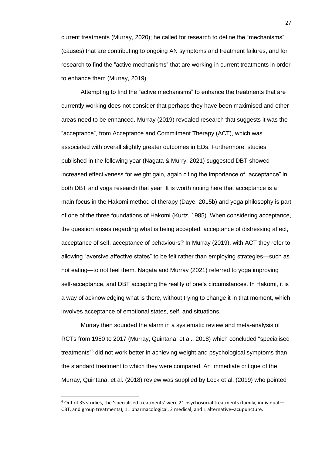current treatments (Murray, 2020); he called for research to define the "mechanisms" (causes) that are contributing to ongoing AN symptoms and treatment failures, and for research to find the "active mechanisms" that are working in current treatments in order to enhance them (Murray, 2019).

Attempting to find the "active mechanisms" to enhance the treatments that are currently working does not consider that perhaps they have been maximised and other areas need to be enhanced. Murray (2019) revealed research that suggests it was the "acceptance", from Acceptance and Commitment Therapy (ACT), which was associated with overall slightly greater outcomes in EDs. Furthermore, studies published in the following year (Nagata & Murry, 2021) suggested DBT showed increased effectiveness for weight gain, again citing the importance of "acceptance" in both DBT and yoga research that year. It is worth noting here that acceptance is a main focus in the Hakomi method of therapy (Daye, 2015b) and yoga philosophy is part of one of the three foundations of Hakomi (Kurtz, 1985). When considering acceptance, the question arises regarding what is being accepted: acceptance of distressing affect, acceptance of self, acceptance of behaviours? In Murray (2019), with ACT they refer to allowing "aversive affective states" to be felt rather than employing strategies—such as not eating—to not feel them. Nagata and Murray (2021) referred to yoga improving self-acceptance, and DBT accepting the reality of one's circumstances. In Hakomi, it is a way of acknowledging what is there, without trying to change it in that moment, which involves acceptance of emotional states, self, and situations.

Murray then sounded the alarm in a systematic review and meta-analysis of RCTs from 1980 to 2017 (Murray, Quintana, et al., 2018) which concluded "specialised treatments<sup>"6</sup> did not work better in achieving weight and psychological symptoms than the standard treatment to which they were compared. An immediate critique of the Murray, Quintana, et al. (2018) review was supplied by Lock et al. (2019) who pointed

 $6$  Out of 35 studies, the 'specialised treatments' were 21 psychosocial treatments (family, individual— CBT, and group treatments), 11 pharmacological, 2 medical, and 1 alternative–acupuncture.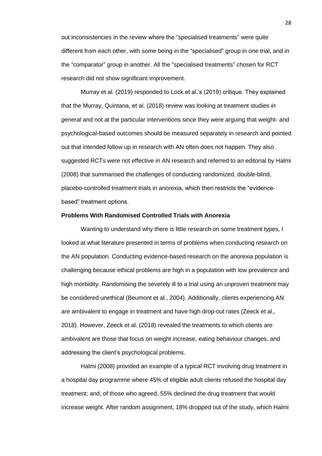out inconsistencies in the review where the "specialised treatments" were quite different from each other, with some being in the "specialised" group in one trial, and in the "comparator" group in another. All the "specialised treatments" chosen for RCT research did not show significant improvement.

Murray et al. (2019) responded to Lock et al.'s (2019) critique. They explained that the Murray, Quintana, et al. (2018) review was looking at treatment studies *in general* and not at the particular interventions since they were arguing that weight- and psychological-based outcomes should be measured separately in research and pointed out that intended follow up in research with AN often does not happen. They also suggested RCTs were not effective in AN research and referred to an editorial by Halmi (2008) that summarised the challenges of conducting randomized, double-blind, placebo-controlled treatment trials in anorexia, which then restricts the "evidencebased" treatment options.

#### <span id="page-35-0"></span>**Problems With Randomised Controlled Trials with Anorexia**

Wanting to understand why there is little research on some treatment types, I looked at what literature presented in terms of problems when conducting research on the AN population. Conducting evidence-based research on the anorexia population is challenging because ethical problems are high in a population with low prevalence and high morbidity. Randomising the severely ill to a trial using an unproven treatment may be considered unethical (Beumont et al., 2004). Additionally, clients experiencing AN are ambivalent to engage in treatment and have high drop-out rates (Zeeck et al., 2018). However, Zeeck et al. (2018) revealed the treatments to which clients are ambivalent are those that focus on weight increase, eating behaviour changes, and addressing the client's psychological problems.

Halmi (2008) provided an example of a typical RCT involving drug treatment in a hospital day programme where 45% of eligible adult clients refused the hospital day treatment; and, of those who agreed, 55% declined the drug treatment that would increase weight. After random assignment, 18% dropped out of the study, which Halmi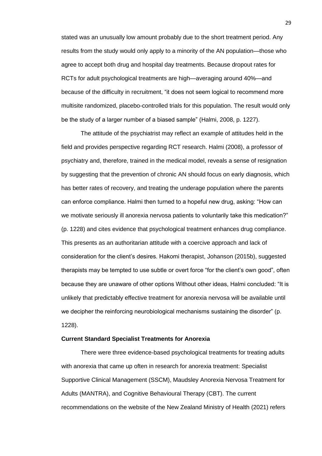stated was an unusually low amount probably due to the short treatment period. Any results from the study would only apply to a minority of the AN population—those who agree to accept both drug and hospital day treatments. Because dropout rates for RCTs for adult psychological treatments are high—averaging around 40%—and because of the difficulty in recruitment, "it does not seem logical to recommend more multisite randomized, placebo-controlled trials for this population. The result would only be the study of a larger number of a biased sample" (Halmi, 2008, p. 1227).

The attitude of the psychiatrist may reflect an example of attitudes held in the field and provides perspective regarding RCT research. Halmi (2008), a professor of psychiatry and, therefore, trained in the medical model, reveals a sense of resignation by suggesting that the prevention of chronic AN should focus on early diagnosis, which has better rates of recovery, and treating the underage population where the parents can enforce compliance. Halmi then turned to a hopeful new drug, asking: "How can we motivate seriously ill anorexia nervosa patients to voluntarily take this medication?" (p. 1228) and cites evidence that psychological treatment enhances drug compliance. This presents as an authoritarian attitude with a coercive approach and lack of consideration for the client's desires. Hakomi therapist, Johanson (2015b), suggested therapists may be tempted to use subtle or overt force "for the client's own good", often because they are unaware of other options Without other ideas, Halmi concluded: "It is unlikely that predictably effective treatment for anorexia nervosa will be available until we decipher the reinforcing neurobiological mechanisms sustaining the disorder" (p. 1228).

#### **Current Standard Specialist Treatments for Anorexia**

There were three evidence-based psychological treatments for treating adults with anorexia that came up often in research for anorexia treatment: Specialist Supportive Clinical Management (SSCM), Maudsley Anorexia Nervosa Treatment for Adults (MANTRA), and Cognitive Behavioural Therapy (CBT). The current recommendations on the website of the New Zealand Ministry of Health (2021) refers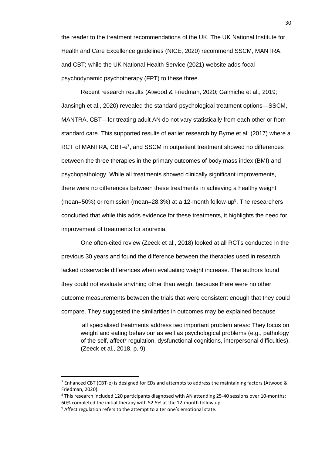the reader to the treatment recommendations of the UK. The UK National Institute for Health and Care Excellence guidelines (NICE, 2020) recommend SSCM, MANTRA, and CBT; while the UK National Health Service (2021) website adds focal psychodynamic psychotherapy (FPT) to these three.

Recent research results (Atwood & Friedman, 2020; Galmiche et al., 2019; Jansingh et al., 2020) revealed the standard psychological treatment options—SSCM, MANTRA, CBT—for treating adult AN do not vary statistically from each other or from standard care. This supported results of earlier research by Byrne et al. (2017) where a RCT of MANTRA, CBT-e<sup>7</sup>, and SSCM in outpatient treatment showed no differences between the three therapies in the primary outcomes of body mass index (BMI) and psychopathology. While all treatments showed clinically significant improvements, there were no differences between these treatments in achieving a healthy weight (mean=50%) or remission (mean=28.3%) at a 12-month follow-up<sup>8</sup>. The researchers concluded that while this adds evidence for these treatments, it highlights the need for improvement of treatments for anorexia.

One often-cited review (Zeeck et al., 2018) looked at all RCTs conducted in the previous 30 years and found the difference between the therapies used in research lacked observable differences when evaluating weight increase. The authors found they could not evaluate anything other than weight because there were no other outcome measurements between the trials that were consistent enough that they could compare. They suggested the similarities in outcomes may be explained because

all specialised treatments address two important problem areas: They focus on weight and eating behaviour as well as psychological problems (e.g., pathology of the self, affect<sup>9</sup> regulation, dysfunctional cognitions, interpersonal difficulties). (Zeeck et al., 2018, p. 9)

 $^7$  Enhanced CBT (CBT-e) is designed for EDs and attempts to address the maintaining factors (Atwood & Friedman, 2020).

<sup>&</sup>lt;sup>8</sup> This research included 120 participants diagnosed with AN attending 25-40 sessions over 10-months; 60% completed the initial therapy with 52.5% at the 12-month follow up.

 $9$  Affect regulation refers to the attempt to alter one's emotional state.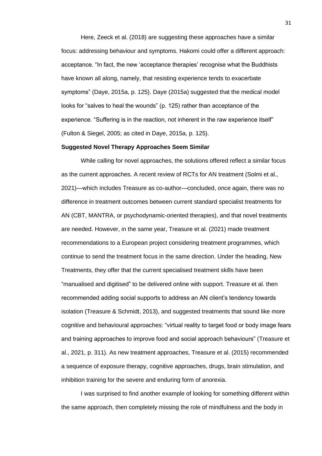Here, Zeeck et al. (2018) are suggesting these approaches have a similar focus: addressing behaviour and symptoms. Hakomi could offer a different approach: acceptance. "In fact, the new 'acceptance therapies' recognise what the Buddhists have known all along, namely, that resisting experience tends to exacerbate symptoms" (Daye, 2015a, p. 125). Daye (2015a) suggested that the medical model looks for "salves to heal the wounds" (p. 125) rather than acceptance of the experience. "Suffering is in the reaction, not inherent in the raw experience itself" (Fulton & Siegel, 2005; as cited in Daye, 2015a, p. 125).

#### **Suggested Novel Therapy Approaches Seem Similar**

While calling for novel approaches, the solutions offered reflect a similar focus as the current approaches. A recent review of RCTs for AN treatment (Solmi et al., 2021)—which includes Treasure as co-author—concluded, once again, there was no difference in treatment outcomes between current standard specialist treatments for AN (CBT, MANTRA, or psychodynamic-oriented therapies), and that novel treatments are needed. However, in the same year, Treasure et al. (2021) made treatment recommendations to a European project considering treatment programmes, which continue to send the treatment focus in the same direction. Under the heading, New Treatments, they offer that the current specialised treatment skills have been "manualised and digitised" to be delivered online with support. Treasure et al. then recommended adding social supports to address an AN client's tendency towards isolation (Treasure & Schmidt, 2013), and suggested treatments that sound like more cognitive and behavioural approaches: "virtual reality to target food or body image fears and training approaches to improve food and social approach behaviours" (Treasure et al., 2021, p. 311). As new treatment approaches, Treasure et al. (2015) recommended a sequence of exposure therapy, cognitive approaches, drugs, brain stimulation, and inhibition training for the severe and enduring form of anorexia.

I was surprised to find another example of looking for something different within the same approach, then completely missing the role of mindfulness and the body in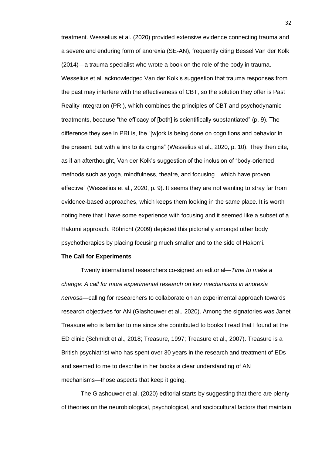treatment. Wesselius et al. (2020) provided extensive evidence connecting trauma and a severe and enduring form of anorexia (SE-AN), frequently citing Bessel Van der Kolk (2014)—a trauma specialist who wrote a book on the role of the body in trauma. Wesselius et al. acknowledged Van der Kolk's suggestion that trauma responses from the past may interfere with the effectiveness of CBT, so the solution they offer is Past Reality Integration (PRI), which combines the principles of CBT and psychodynamic treatments, because "the efficacy of [both] is scientifically substantiated" (p. 9). The difference they see in PRI is, the "[w]ork is being done on cognitions and behavior in the present, but with a link to its origins" (Wesselius et al., 2020, p. 10). They then cite, as if an afterthought, Van der Kolk's suggestion of the inclusion of "body-oriented methods such as yoga, mindfulness, theatre, and focusing…which have proven effective" (Wesselius et al., 2020, p. 9). It seems they are not wanting to stray far from evidence-based approaches, which keeps them looking in the same place. It is worth noting here that I have some experience with focusing and it seemed like a subset of a Hakomi approach. Röhricht (2009) depicted this pictorially amongst other body psychotherapies by placing focusing much smaller and to the side of Hakomi.

#### **The Call for Experiments**

Twenty international researchers co-signed an editorial—*Time to make a change: A call for more experimental research on key mechanisms in anorexia nervosa*—calling for researchers to collaborate on an experimental approach towards research objectives for AN (Glashouwer et al., 2020). Among the signatories was Janet Treasure who is familiar to me since she contributed to books I read that I found at the ED clinic (Schmidt et al., 2018; Treasure, 1997; Treasure et al., 2007). Treasure is a British psychiatrist who has spent over 30 years in the research and treatment of EDs and seemed to me to describe in her books a clear understanding of AN mechanisms—those aspects that keep it going.

The Glashouwer et al. (2020) editorial starts by suggesting that there are plenty of theories on the neurobiological, psychological, and sociocultural factors that maintain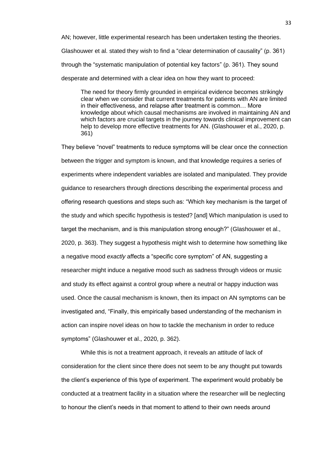AN; however, little experimental research has been undertaken testing the theories. Glashouwer et al. stated they wish to find a "clear determination of causality" (p. 361) through the "systematic manipulation of potential key factors" (p. 361). They sound desperate and determined with a clear idea on how they want to proceed:

The need for theory firmly grounded in empirical evidence becomes strikingly clear when we consider that current treatments for patients with AN are limited in their effectiveness, and relapse after treatment is common… More knowledge about which causal mechanisms are involved in maintaining AN and which factors are crucial targets in the journey towards clinical improvement can help to develop more effective treatments for AN. (Glashouwer et al., 2020, p. 361)

They believe "novel" treatments to reduce symptoms will be clear once the connection between the trigger and symptom is known, and that knowledge requires a series of experiments where independent variables are isolated and manipulated. They provide guidance to researchers through directions describing the experimental process and offering research questions and steps such as: "Which key mechanism is the target of the study and which specific hypothesis is tested? [and] Which manipulation is used to target the mechanism, and is this manipulation strong enough?" (Glashouwer et al., 2020, p. 363). They suggest a hypothesis might wish to determine how something like a negative mood *exactly* affects a "specific core symptom" of AN, suggesting a researcher might induce a negative mood such as sadness through videos or music and study its effect against a control group where a neutral or happy induction was used. Once the causal mechanism is known, then its impact on AN symptoms can be investigated and, "Finally, this empirically based understanding of the mechanism in action can inspire novel ideas on how to tackle the mechanism in order to reduce symptoms" (Glashouwer et al., 2020, p. 362).

While this is not a treatment approach, it reveals an attitude of lack of consideration for the client since there does not seem to be any thought put towards the client's experience of this type of experiment. The experiment would probably be conducted at a treatment facility in a situation where the researcher will be neglecting to honour the client's needs in that moment to attend to their own needs around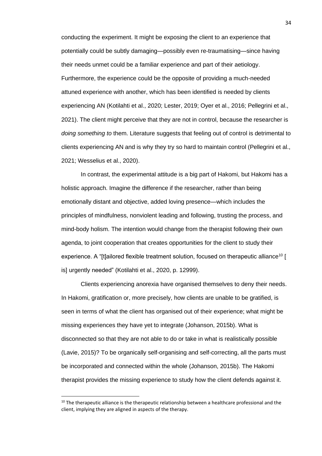conducting the experiment. It might be exposing the client to an experience that potentially could be subtly damaging—possibly even re-traumatising—since having their needs unmet could be a familiar experience and part of their aetiology. Furthermore, the experience could be the opposite of providing a much-needed attuned experience with another, which has been identified is needed by clients experiencing AN (Kotilahti et al., 2020; Lester, 2019; Oyer et al., 2016; Pellegrini et al., 2021). The client might perceive that they are not in control, because the researcher is *doing something to* them. Literature suggests that feeling out of control is detrimental to clients experiencing AN and is why they try so hard to maintain control (Pellegrini et al., 2021; Wesselius et al., 2020).

In contrast, the experimental attitude is a big part of Hakomi, but Hakomi has a holistic approach. Imagine the difference if the researcher, rather than being emotionally distant and objective, added loving presence—which includes the principles of mindfulness, nonviolent leading and following, trusting the process, and mind-body holism. The intention would change from the therapist following their own agenda, to joint cooperation that creates opportunities for the client to study their experience. A "[t]ailored flexible treatment solution, focused on therapeutic alliance<sup>10</sup> [ is] urgently needed" (Kotilahti et al., 2020, p. 12999).

Clients experiencing anorexia have organised themselves to deny their needs. In Hakomi, gratification or, more precisely, how clients are unable to be gratified, is seen in terms of what the client has organised out of their experience; what might be missing experiences they have yet to integrate (Johanson, 2015b). What is disconnected so that they are not able to do or take in what is realistically possible (Lavie, 2015)? To be organically self-organising and self-correcting, all the parts must be incorporated and connected within the whole (Johanson, 2015b). The Hakomi therapist provides the missing experience to study how the client defends against it.

 $10$  The therapeutic alliance is the therapeutic relationship between a healthcare professional and the client, implying they are aligned in aspects of the therapy.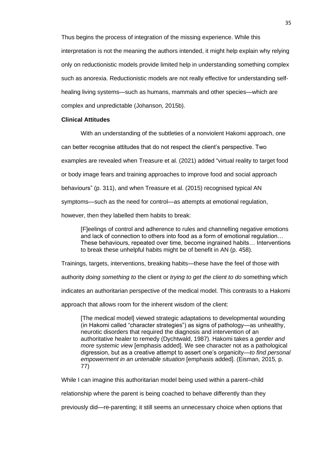Thus begins the process of integration of the missing experience. While this interpretation is not the meaning the authors intended, it might help explain why relying only on reductionistic models provide limited help in understanding something complex such as anorexia. Reductionistic models are not really effective for understanding selfhealing living systems—such as humans, mammals and other species—which are complex and unpredictable (Johanson, 2015b).

## **Clinical Attitudes**

With an understanding of the subtleties of a nonviolent Hakomi approach, one can better recognise attitudes that do not respect the client's perspective. Two examples are revealed when Treasure et al. (2021) added "virtual reality to target food or body image fears and training approaches to improve food and social approach behaviours" (p. 311), and when Treasure et al. (2015) recognised typical AN symptoms—such as the need for control—as attempts at emotional regulation, however, then they labelled them habits to break:

[F]eelings of control and adherence to rules and channelling negative emotions and lack of connection to others into food as a form of emotional regulation… These behaviours, repeated over time, become ingrained habits… Interventions to break these unhelpful habits might be of benefit in AN (p. 458).

Trainings, targets, interventions, breaking habits—these have the feel of those with

authority *doing something to* the client or *trying to get the client to do* something which

indicates an authoritarian perspective of the medical model. This contrasts to a Hakomi

approach that allows room for the inherent wisdom of the client:

[The medical model] viewed strategic adaptations to developmental wounding (in Hakomi called "character strategies") as signs of pathology—as unhealthy, neurotic disorders that required the diagnosis and intervention of an authoritative healer to remedy (Dychtwald, 1987). Hakomi takes a *gentler and more systemic view* [emphasis added]. We see character not as a pathological digression, but as a creative attempt to assert one's organicity—*to find personal empowerment in an untenable situation* [emphasis added]. (Eisman, 2015, p. 77)

While I can imagine this authoritarian model being used within a parent–child

relationship where the parent is being coached to behave differently than they

previously did—re-parenting; it still seems an unnecessary choice when options that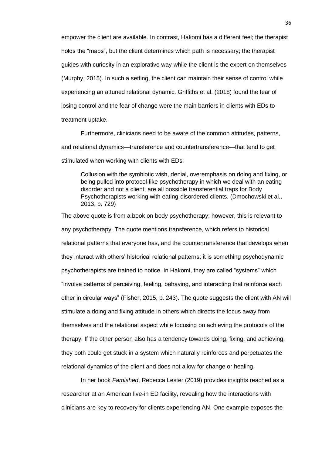empower the client are available. In contrast, Hakomi has a different feel; the therapist holds the "maps", but the client determines which path is necessary; the therapist guides with curiosity in an explorative way while the client is the expert on themselves (Murphy, 2015). In such a setting, the client can maintain their sense of control while experiencing an attuned relational dynamic. Griffiths et al. (2018) found the fear of losing control and the fear of change were the main barriers in clients with EDs to treatment uptake.

Furthermore, clinicians need to be aware of the common attitudes, patterns, and relational dynamics—transference and countertransference—that tend to get stimulated when working with clients with EDs:

Collusion with the symbiotic wish, denial, overemphasis on doing and fixing, or being pulled into protocol-like psychotherapy in which we deal with an eating disorder and not a client, are all possible transferential traps for Body Psychotherapists working with eating-disordered clients. (Dmochowski et al., 2013, p. 729)

The above quote is from a book on body psychotherapy; however, this is relevant to any psychotherapy. The quote mentions transference, which refers to historical relational patterns that everyone has, and the countertransference that develops when they interact with others' historical relational patterns; it is something psychodynamic psychotherapists are trained to notice. In Hakomi, they are called "systems" which "involve patterns of perceiving, feeling, behaving, and interacting that reinforce each other in circular ways" (Fisher, 2015, p. 243). The quote suggests the client with AN will stimulate a doing and fixing attitude in others which directs the focus away from themselves and the relational aspect while focusing on achieving the protocols of the therapy. If the other person also has a tendency towards doing, fixing, and achieving, they both could get stuck in a system which naturally reinforces and perpetuates the relational dynamics of the client and does not allow for change or healing.

In her book *Famished*, Rebecca Lester (2019) provides insights reached as a researcher at an American live-in ED facility, revealing how the interactions with clinicians are key to recovery for clients experiencing AN. One example exposes the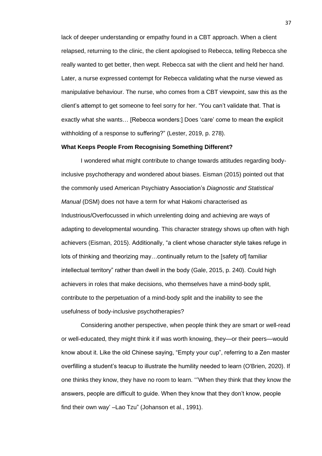lack of deeper understanding or empathy found in a CBT approach. When a client relapsed, returning to the clinic, the client apologised to Rebecca, telling Rebecca she really wanted to get better, then wept. Rebecca sat with the client and held her hand. Later, a nurse expressed contempt for Rebecca validating what the nurse viewed as manipulative behaviour. The nurse, who comes from a CBT viewpoint, saw this as the client's attempt to get someone to feel sorry for her. "You can't validate that. That is exactly what she wants… [Rebecca wonders:] Does 'care' come to mean the explicit withholding of a response to suffering?" (Lester, 2019, p. 278).

## **What Keeps People From Recognising Something Different?**

I wondered what might contribute to change towards attitudes regarding bodyinclusive psychotherapy and wondered about biases. Eisman (2015) pointed out that the commonly used American Psychiatry Association's *Diagnostic and Statistical Manual* (DSM) does not have a term for what Hakomi characterised as Industrious/Overfocussed in which unrelenting doing and achieving are ways of adapting to developmental wounding. This character strategy shows up often with high achievers (Eisman, 2015). Additionally, "a client whose character style takes refuge in lots of thinking and theorizing may…continually return to the [safety of] familiar intellectual territory" rather than dwell in the body (Gale, 2015, p. 240). Could high achievers in roles that make decisions, who themselves have a mind-body split, contribute to the perpetuation of a mind-body split and the inability to see the usefulness of body-inclusive psychotherapies?

Considering another perspective, when people think they are smart or well-read or well-educated, they might think it if was worth knowing, they—or their peers—would know about it. Like the old Chinese saying, "Empty your cup", referring to a Zen master overfilling a student's teacup to illustrate the humility needed to learn (O'Brien, 2020). If one thinks they know, they have no room to learn. '''When they think that they know the answers, people are difficult to guide. When they know that they don't know, people find their own way' –Lao Tzu" (Johanson et al., 1991).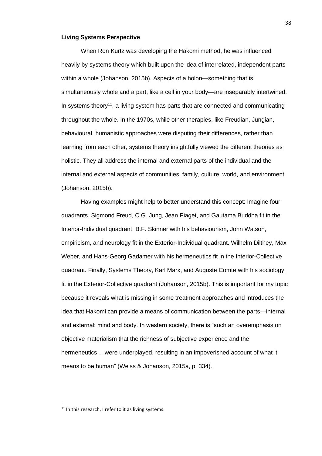## **Living Systems Perspective**

When Ron Kurtz was developing the Hakomi method, he was influenced heavily by systems theory which built upon the idea of interrelated, independent parts within a whole (Johanson, 2015b). Aspects of a holon—something that is simultaneously whole and a part, like a cell in your body—are inseparably intertwined. In systems theory<sup>11</sup>, a living system has parts that are connected and communicating throughout the whole. In the 1970s, while other therapies, like Freudian, Jungian, behavioural, humanistic approaches were disputing their differences, rather than learning from each other, systems theory insightfully viewed the different theories as holistic. They all address the internal and external parts of the individual and the internal and external aspects of communities, family, culture, world, and environment (Johanson, 2015b).

Having examples might help to better understand this concept: Imagine four quadrants. Sigmond Freud, C.G. Jung, Jean Piaget, and Gautama Buddha fit in the Interior-Individual quadrant. B.F. Skinner with his behaviourism, John Watson, empiricism, and neurology fit in the Exterior-Individual quadrant. Wilhelm Dilthey, Max Weber, and Hans-Georg Gadamer with his hermeneutics fit in the Interior-Collective quadrant. Finally, Systems Theory, Karl Marx, and Auguste Comte with his sociology, fit in the Exterior-Collective quadrant (Johanson, 2015b). This is important for my topic because it reveals what is missing in some treatment approaches and introduces the idea that Hakomi can provide a means of communication between the parts—internal and external; mind and body. In western society, there is "such an overemphasis on objective materialism that the richness of subjective experience and the hermeneutics… were underplayed, resulting in an impoverished account of what it means to be human" (Weiss & Johanson, 2015a, p. 334).

 $11$  In this research. I refer to it as living systems.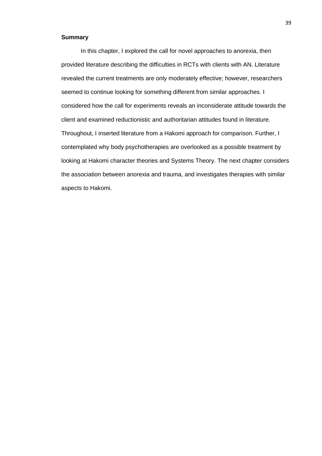## **Summary**

In this chapter, I explored the call for novel approaches to anorexia, then provided literature describing the difficulties in RCTs with clients with AN. Literature revealed the current treatments are only moderately effective; however, researchers seemed to continue looking for something different from similar approaches. I considered how the call for experiments reveals an inconsiderate attitude towards the client and examined reductionistic and authoritarian attitudes found in literature. Throughout, I inserted literature from a Hakomi approach for comparison. Further, I contemplated why body psychotherapies are overlooked as a possible treatment by looking at Hakomi character theories and Systems Theory. The next chapter considers the association between anorexia and trauma, and investigates therapies with similar aspects to Hakomi.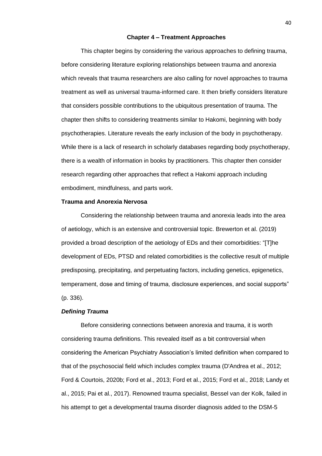## **Chapter 4 – Treatment Approaches**

This chapter begins by considering the various approaches to defining trauma, before considering literature exploring relationships between trauma and anorexia which reveals that trauma researchers are also calling for novel approaches to trauma treatment as well as universal trauma-informed care. It then briefly considers literature that considers possible contributions to the ubiquitous presentation of trauma. The chapter then shifts to considering treatments similar to Hakomi, beginning with body psychotherapies. Literature reveals the early inclusion of the body in psychotherapy. While there is a lack of research in scholarly databases regarding body psychotherapy, there is a wealth of information in books by practitioners. This chapter then consider research regarding other approaches that reflect a Hakomi approach including embodiment, mindfulness, and parts work.

## **Trauma and Anorexia Nervosa**

Considering the relationship between trauma and anorexia leads into the area of aetiology, which is an extensive and controversial topic. Brewerton et al. (2019) provided a broad description of the aetiology of EDs and their comorbidities: "[T]he development of EDs, PTSD and related comorbidities is the collective result of multiple predisposing, precipitating, and perpetuating factors, including genetics, epigenetics, temperament, dose and timing of trauma, disclosure experiences, and social supports" (p. 336).

## *Defining Trauma*

Before considering connections between anorexia and trauma, it is worth considering trauma definitions. This revealed itself as a bit controversial when considering the American Psychiatry Association's limited definition when compared to that of the psychosocial field which includes complex trauma (D'Andrea et al., 2012; Ford & Courtois, 2020b; Ford et al., 2013; Ford et al., 2015; Ford et al., 2018; Landy et al., 2015; Pai et al., 2017). Renowned trauma specialist, Bessel van der Kolk, failed in his attempt to get a developmental trauma disorder diagnosis added to the DSM-5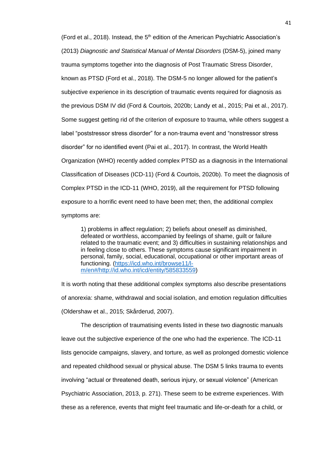(Ford et al., 2018). Instead, the  $5<sup>th</sup>$  edition of the American Psychiatric Association's (2013) *Diagnostic and Statistical Manual of Mental Disorders* (DSM-5), joined many trauma symptoms together into the diagnosis of Post Traumatic Stress Disorder, known as PTSD (Ford et al., 2018). The DSM-5 no longer allowed for the patient's subjective experience in its description of traumatic events required for diagnosis as the previous DSM IV did (Ford & Courtois, 2020b; Landy et al., 2015; Pai et al., 2017). Some suggest getting rid of the criterion of exposure to trauma, while others suggest a label "poststressor stress disorder" for a non-trauma event and "nonstressor stress disorder" for no identified event (Pai et al., 2017). In contrast, the World Health Organization (WHO) recently added complex PTSD as a diagnosis in the International Classification of Diseases (ICD-11) (Ford & Courtois, 2020b). To meet the diagnosis of Complex PTSD in the ICD-11 (WHO, 2019), all the requirement for PTSD following exposure to a horrific event need to have been met; then, the additional complex symptoms are:

1) problems in affect regulation; 2) beliefs about oneself as diminished, defeated or worthless, accompanied by feelings of shame, guilt or failure related to the traumatic event; and 3) difficulties in sustaining relationships and in feeling close to others. These symptoms cause significant impairment in personal, family, social, educational, occupational or other important areas of functioning. [\(https://icd.who.int/browse11/l](https://icd.who.int/browse11/l-m/en#/http://id.who.int/icd/entity/585833559)[m/en#/http://id.who.int/icd/entity/585833559\)](https://icd.who.int/browse11/l-m/en#/http://id.who.int/icd/entity/585833559)

It is worth noting that these additional complex symptoms also describe presentations of anorexia: shame, withdrawal and social isolation, and emotion regulation difficulties (Oldershaw et al., 2015; Skårderud, 2007).

The description of traumatising events listed in these two diagnostic manuals leave out the subjective experience of the one who had the experience. The ICD-11 lists genocide campaigns, slavery, and torture, as well as prolonged domestic violence and repeated childhood sexual or physical abuse. The DSM 5 links trauma to events involving "actual or threatened death, serious injury, or sexual violence" (American Psychiatric Association, 2013, p. 271). These seem to be extreme experiences. With these as a reference, events that might feel traumatic and life-or-death for a child, or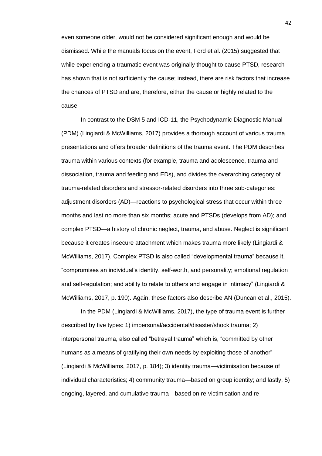even someone older, would not be considered significant enough and would be dismissed. While the manuals focus on the event, Ford et al. (2015) suggested that while experiencing a traumatic event was originally thought to cause PTSD, research has shown that is not sufficiently the cause; instead, there are risk factors that increase the chances of PTSD and are, therefore, either the cause or highly related to the cause.

In contrast to the DSM 5 and ICD-11, the Psychodynamic Diagnostic Manual (PDM) (Lingiardi & McWilliams, 2017) provides a thorough account of various trauma presentations and offers broader definitions of the trauma event. The PDM describes trauma within various contexts (for example, trauma and adolescence, trauma and dissociation, trauma and feeding and EDs), and divides the overarching category of trauma-related disorders and stressor-related disorders into three sub-categories: adjustment disorders (AD)—reactions to psychological stress that occur within three months and last no more than six months; acute and PTSDs (develops from AD); and complex PTSD—a history of chronic neglect, trauma, and abuse. Neglect is significant because it creates insecure attachment which makes trauma more likely (Lingiardi & McWilliams, 2017). Complex PTSD is also called "developmental trauma" because it, "compromises an individual's identity, self-worth, and personality; emotional regulation and self-regulation; and ability to relate to others and engage in intimacy" (Lingiardi & McWilliams, 2017, p. 190). Again, these factors also describe AN (Duncan et al., 2015).

In the PDM (Lingiardi & McWilliams, 2017), the type of trauma event is further described by five types: 1) impersonal/accidental/disaster/shock trauma; 2) interpersonal trauma, also called "betrayal trauma" which is, "committed by other humans as a means of gratifying their own needs by exploiting those of another" (Lingiardi & McWilliams, 2017, p. 184); 3) identity trauma—victimisation because of individual characteristics; 4) community trauma—based on group identity; and lastly, 5) ongoing, layered, and cumulative trauma—based on re-victimisation and re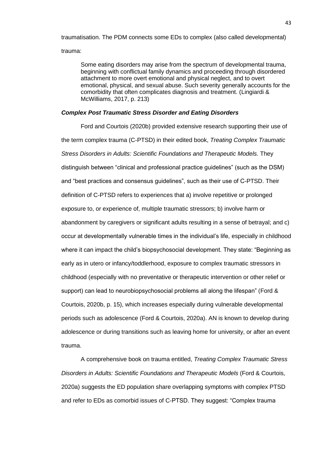traumatisation. The PDM connects some EDs to complex (also called developmental) trauma:

Some eating disorders may arise from the spectrum of developmental trauma, beginning with conflictual family dynamics and proceeding through disordered attachment to more overt emotional and physical neglect, and to overt emotional, physical, and sexual abuse. Such severity generally accounts for the comorbidity that often complicates diagnosis and treatment. (Lingiardi & McWilliams, 2017, p. 213)

## *Complex Post Traumatic Stress Disorder and Eating Disorders*

Ford and Courtois (2020b) provided extensive research supporting their use of the term complex trauma (C-PTSD) in their edited book, *Treating Complex Traumatic Stress Disorders in Adults: Scientific Foundations and Therapeutic Models.* They distinguish between "clinical and professional practice guidelines" (such as the DSM) and "best practices and consensus guidelines", such as their use of C-PTSD. Their definition of C-PTSD refers to experiences that a) involve repetitive or prolonged exposure to, or experience of, multiple traumatic stressors; b) involve harm or abandonment by caregivers or significant adults resulting in a sense of betrayal; and c) occur at developmentally vulnerable times in the individual's life, especially in childhood where it can impact the child's biopsychosocial development. They state: "Beginning as early as in utero or infancy/toddlerhood, exposure to complex traumatic stressors in childhood (especially with no preventative or therapeutic intervention or other relief or support) can lead to neurobiopsychosocial problems all along the lifespan" (Ford & Courtois, 2020b, p. 15), which increases especially during vulnerable developmental periods such as adolescence (Ford & Courtois, 2020a). AN is known to develop during adolescence or during transitions such as leaving home for university, or after an event trauma.

A comprehensive book on trauma entitled, *Treating Complex Traumatic Stress Disorders in Adults: Scientific Foundations and Therapeutic Models* (Ford & Courtois, 2020a) suggests the ED population share overlapping symptoms with complex PTSD and refer to EDs as comorbid issues of C-PTSD. They suggest: "Complex trauma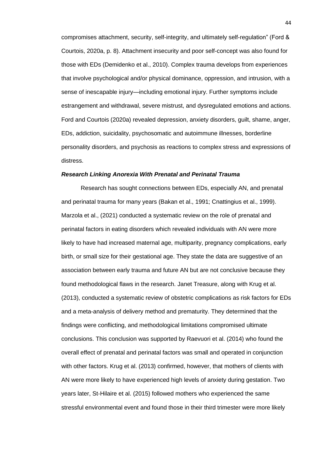compromises attachment, security, self-integrity, and ultimately self-regulation" (Ford & Courtois, 2020a, p. 8). Attachment insecurity and poor self-concept was also found for those with EDs (Demidenko et al., 2010). Complex trauma develops from experiences that involve psychological and/or physical dominance, oppression, and intrusion, with a sense of inescapable injury—including emotional injury. Further symptoms include estrangement and withdrawal, severe mistrust, and dysregulated emotions and actions. Ford and Courtois (2020a) revealed depression, anxiety disorders, guilt, shame, anger, EDs, addiction, suicidality, psychosomatic and autoimmune illnesses, borderline personality disorders, and psychosis as reactions to complex stress and expressions of distress.

#### *Research Linking Anorexia With Prenatal and Perinatal Trauma*

Research has sought connections between EDs, especially AN, and prenatal and perinatal trauma for many years (Bakan et al., 1991; Cnattingius et al., 1999). Marzola et al., (2021) conducted a systematic review on the role of prenatal and perinatal factors in eating disorders which revealed individuals with AN were more likely to have had increased maternal age, multiparity, pregnancy complications, early birth, or small size for their gestational age. They state the data are suggestive of an association between early trauma and future AN but are not conclusive because they found methodological flaws in the research. Janet Treasure, along with Krug et al. (2013), conducted a systematic review of obstetric complications as risk factors for EDs and a meta-analysis of delivery method and prematurity. They determined that the findings were conflicting, and methodological limitations compromised ultimate conclusions. This conclusion was supported by Raevuori et al. (2014) who found the overall effect of prenatal and perinatal factors was small and operated in conjunction with other factors. Krug et al. (2013) confirmed, however, that mothers of clients with AN were more likely to have experienced high levels of anxiety during gestation. Two years later, St-Hilaire et al. (2015) followed mothers who experienced the same stressful environmental event and found those in their third trimester were more likely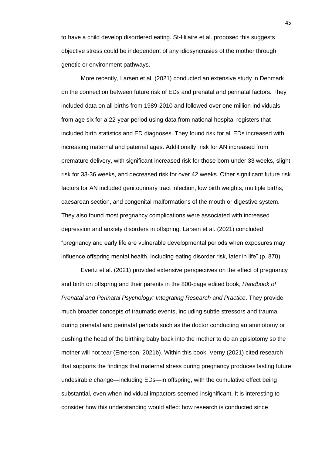to have a child develop disordered eating. St-Hilaire et al. proposed this suggests objective stress could be independent of any idiosyncrasies of the mother through genetic or environment pathways.

More recently, Larsen et al. (2021) conducted an extensive study in Denmark on the connection between future risk of EDs and prenatal and perinatal factors. They included data on all births from 1989-2010 and followed over one million individuals from age six for a 22-year period using data from national hospital registers that included birth statistics and ED diagnoses. They found risk for all EDs increased with increasing maternal and paternal ages. Additionally, risk for AN increased from premature delivery, with significant increased risk for those born under 33 weeks, slight risk for 33-36 weeks, and decreased risk for over 42 weeks. Other significant future risk factors for AN included genitourinary tract infection, low birth weights, multiple births, caesarean section, and congenital malformations of the mouth or digestive system. They also found most pregnancy complications were associated with increased depression and anxiety disorders in offspring. Larsen et al. (2021) concluded "pregnancy and early life are vulnerable developmental periods when exposures may influence offspring mental health, including eating disorder risk, later in life" (p. 870).

Evertz et al. (2021) provided extensive perspectives on the effect of pregnancy and birth on offspring and their parents in the 800-page edited book, *Handbook of Prenatal and Perinatal Psychology: Integrating Research and Practice*. They provide much broader concepts of traumatic events, including subtle stressors and trauma during prenatal and perinatal periods such as the doctor conducting an amniotomy or pushing the head of the birthing baby back into the mother to do an episiotomy so the mother will not tear (Emerson, 2021b). Within this book, Verny (2021) cited research that supports the findings that maternal stress during pregnancy produces lasting future undesirable change—including EDs—in offspring, with the cumulative effect being substantial, even when individual impactors seemed insignificant. It is interesting to consider how this understanding would affect how research is conducted since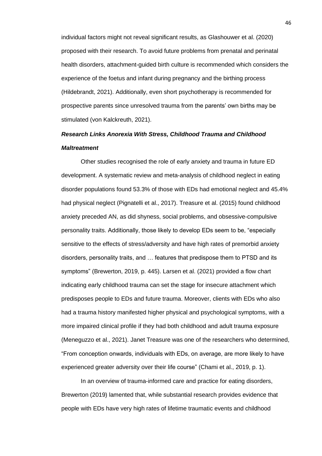individual factors might not reveal significant results, as Glashouwer et al. (2020) proposed with their research. To avoid future problems from prenatal and perinatal health disorders, attachment-guided birth culture is recommended which considers the experience of the foetus and infant during pregnancy and the birthing process (Hildebrandt, 2021). Additionally, even short psychotherapy is recommended for prospective parents since unresolved trauma from the parents' own births may be stimulated (von Kalckreuth, 2021).

# *Research Links Anorexia With Stress, Childhood Trauma and Childhood Maltreatment*

Other studies recognised the role of early anxiety and trauma in future ED development. A systematic review and meta-analysis of childhood neglect in eating disorder populations found 53.3% of those with EDs had emotional neglect and 45.4% had physical neglect (Pignatelli et al., 2017). Treasure et al. (2015) found childhood anxiety preceded AN, as did shyness, social problems, and obsessive-compulsive personality traits. Additionally, those likely to develop EDs seem to be, "especially sensitive to the effects of stress/adversity and have high rates of premorbid anxiety disorders, personality traits, and … features that predispose them to PTSD and its symptoms" (Brewerton, 2019, p. 445). Larsen et al. (2021) provided a flow chart indicating early childhood trauma can set the stage for insecure attachment which predisposes people to EDs and future trauma. Moreover, clients with EDs who also had a trauma history manifested higher physical and psychological symptoms, with a more impaired clinical profile if they had both childhood and adult trauma exposure (Meneguzzo et al., 2021). Janet Treasure was one of the researchers who determined, "From conception onwards, individuals with EDs, on average, are more likely to have experienced greater adversity over their life course" (Chami et al., 2019, p. 1).

In an overview of trauma-informed care and practice for eating disorders, Brewerton (2019) lamented that, while substantial research provides evidence that people with EDs have very high rates of lifetime traumatic events and childhood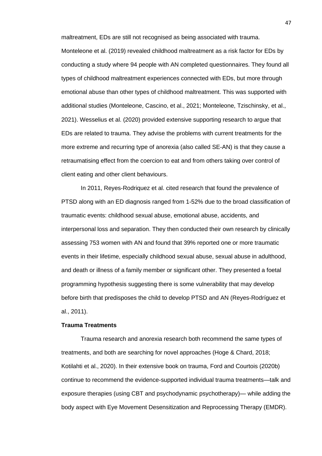maltreatment, EDs are still not recognised as being associated with trauma. Monteleone et al. (2019) revealed childhood maltreatment as a risk factor for EDs by conducting a study where 94 people with AN completed questionnaires. They found all types of childhood maltreatment experiences connected with EDs, but more through emotional abuse than other types of childhood maltreatment. This was supported with additional studies (Monteleone, Cascino, et al., 2021; Monteleone, Tzischinsky, et al., 2021). Wesselius et al. (2020) provided extensive supporting research to argue that EDs are related to trauma. They advise the problems with current treatments for the more extreme and recurring type of anorexia (also called SE-AN) is that they cause a retraumatising effect from the coercion to eat and from others taking over control of client eating and other client behaviours.

In 2011, Reyes-Rodriquez et al. cited research that found the prevalence of PTSD along with an ED diagnosis ranged from 1-52% due to the broad classification of traumatic events: childhood sexual abuse, emotional abuse, accidents, and interpersonal loss and separation. They then conducted their own research by clinically assessing 753 women with AN and found that 39% reported one or more traumatic events in their lifetime, especially childhood sexual abuse, sexual abuse in adulthood, and death or illness of a family member or significant other. They presented a foetal programming hypothesis suggesting there is some vulnerability that may develop before birth that predisposes the child to develop PTSD and AN (Reyes-Rodríguez et al., 2011).

## **Trauma Treatments**

Trauma research and anorexia research both recommend the same types of treatments, and both are searching for novel approaches (Hoge & Chard, 2018; Kotilahti et al., 2020). In their extensive book on trauma, Ford and Courtois (2020b) continue to recommend the evidence-supported individual trauma treatments—talk and exposure therapies (using CBT and psychodynamic psychotherapy)— while adding the body aspect with Eye Movement Desensitization and Reprocessing Therapy (EMDR).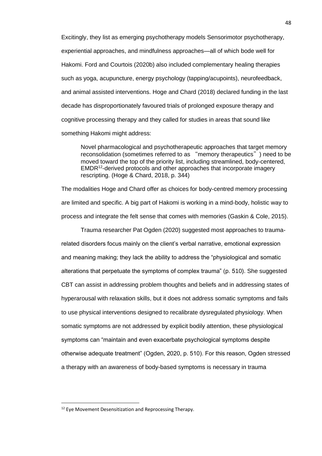Excitingly, they list as emerging psychotherapy models Sensorimotor psychotherapy, experiential approaches, and mindfulness approaches—all of which bode well for Hakomi. Ford and Courtois (2020b) also included complementary healing therapies such as yoga, acupuncture, energy psychology (tapping/acupoints), neurofeedback, and animal assisted interventions. Hoge and Chard (2018) declared funding in the last decade has disproportionately favoured trials of prolonged exposure therapy and cognitive processing therapy and they called for studies in areas that sound like something Hakomi might address:

Novel pharmacological and psychotherapeutic approaches that target memory reconsolidation (sometimes referred to as "memory therapeutics") need to be moved toward the top of the priority list, including streamlined, body-centered, EMDR<sup>12</sup>-derived protocols and other approaches that incorporate imagery rescripting. (Hoge & Chard, 2018, p. 344)

The modalities Hoge and Chard offer as choices for body-centred memory processing are limited and specific. A big part of Hakomi is working in a mind-body, holistic way to process and integrate the felt sense that comes with memories (Gaskin & Cole, 2015).

Trauma researcher Pat Ogden (2020) suggested most approaches to traumarelated disorders focus mainly on the client's verbal narrative, emotional expression and meaning making; they lack the ability to address the "physiological and somatic alterations that perpetuate the symptoms of complex trauma" (p. 510). She suggested CBT can assist in addressing problem thoughts and beliefs and in addressing states of hyperarousal with relaxation skills, but it does not address somatic symptoms and fails to use physical interventions designed to recalibrate dysregulated physiology. When somatic symptoms are not addressed by explicit bodily attention, these physiological symptoms can "maintain and even exacerbate psychological symptoms despite otherwise adequate treatment" (Ogden, 2020, p. 510). For this reason, Ogden stressed a therapy with an awareness of body-based symptoms is necessary in trauma

<sup>&</sup>lt;sup>12</sup> Eve Movement Desensitization and Reprocessing Therapy.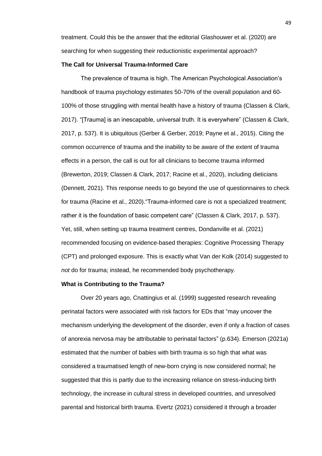treatment. Could this be the answer that the editorial Glashouwer et al. (2020) are searching for when suggesting their reductionistic experimental approach?

## **The Call for Universal Trauma-Informed Care**

The prevalence of trauma is high. The American Psychological Association's handbook of trauma psychology estimates 50-70% of the overall population and 60- 100% of those struggling with mental health have a history of trauma (Classen & Clark, 2017). "[Trauma] is an inescapable, universal truth. It is everywhere" (Classen & Clark, 2017, p. 537). It is ubiquitous (Gerber & Gerber, 2019; Payne et al., 2015). Citing the common occurrence of trauma and the inability to be aware of the extent of trauma effects in a person, the call is out for all clinicians to become trauma informed (Brewerton, 2019; Classen & Clark, 2017; Racine et al., 2020), including dieticians (Dennett, 2021). This response needs to go beyond the use of questionnaires to check for trauma (Racine et al., 2020)."Trauma-informed care is not a specialized treatment; rather it is the foundation of basic competent care" (Classen & Clark, 2017, p. 537). Yet, still, when setting up trauma treatment centres, Dondanville et al. (2021) recommended focusing on evidence-based therapies: Cognitive Processing Therapy (CPT) and prolonged exposure. This is exactly what Van der Kolk (2014) suggested to *not* do for trauma; instead, he recommended body psychotherapy.

#### **What is Contributing to the Trauma?**

Over 20 years ago, Cnattingius et al. (1999) suggested research revealing perinatal factors were associated with risk factors for EDs that "may uncover the mechanism underlying the development of the disorder, even if only a fraction of cases of anorexia nervosa may be attributable to perinatal factors" (p.634). Emerson (2021a) estimated that the number of babies with birth trauma is so high that what was considered a traumatised length of new-born crying is now considered normal; he suggested that this is partly due to the increasing reliance on stress-inducing birth technology, the increase in cultural stress in developed countries, and unresolved parental and historical birth trauma. Evertz (2021) considered it through a broader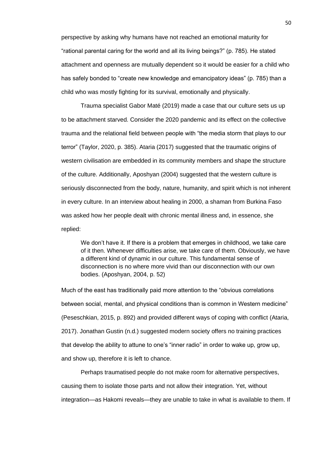perspective by asking why humans have not reached an emotional maturity for "rational parental caring for the world and all its living beings?" (p. 785). He stated attachment and openness are mutually dependent so it would be easier for a child who has safely bonded to "create new knowledge and emancipatory ideas" (p. 785) than a child who was mostly fighting for its survival, emotionally and physically.

Trauma specialist Gabor Maté (2019) made a case that our culture sets us up to be attachment starved. Consider the 2020 pandemic and its effect on the collective trauma and the relational field between people with "the media storm that plays to our terror" (Taylor, 2020, p. 385). Ataria (2017) suggested that the traumatic origins of western civilisation are embedded in its community members and shape the structure of the culture. Additionally, Aposhyan (2004) suggested that the western culture is seriously disconnected from the body, nature, humanity, and spirit which is not inherent in every culture. In an interview about healing in 2000, a shaman from Burkina Faso was asked how her people dealt with chronic mental illness and, in essence, she replied:

We don't have it. If there is a problem that emerges in childhood, we take care of it then. Whenever difficulties arise, we take care of them. Obviously, we have a different kind of dynamic in our culture. This fundamental sense of disconnection is no where more vivid than our disconnection with our own bodies. (Aposhyan, 2004, p. 52)

Much of the east has traditionally paid more attention to the "obvious correlations between social, mental, and physical conditions than is common in Western medicine" (Peseschkian, 2015, p. 892) and provided different ways of coping with conflict (Ataria, 2017). Jonathan Gustin (n.d.) suggested modern society offers no training practices that develop the ability to attune to one's "inner radio" in order to wake up, grow up, and show up, therefore it is left to chance.

Perhaps traumatised people do not make room for alternative perspectives, causing them to isolate those parts and not allow their integration. Yet, without integration—as Hakomi reveals—they are unable to take in what is available to them. If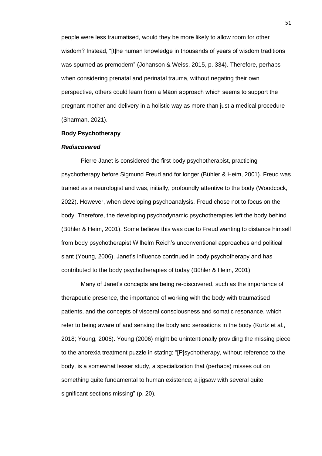people were less traumatised, would they be more likely to allow room for other wisdom? Instead, "[t]he human knowledge in thousands of years of wisdom traditions was spurned as premodern" (Johanson & Weiss, 2015, p. 334). Therefore, perhaps when considering prenatal and perinatal trauma, without negating their own perspective, others could learn from a Māori approach which seems to support the pregnant mother and delivery in a holistic way as more than just a medical procedure (Sharman, 2021).

## **Body Psychotherapy**

#### *Rediscovered*

Pierre Janet is considered the first body psychotherapist, practicing psychotherapy before Sigmund Freud and for longer (Bühler & Heim, 2001). Freud was trained as a neurologist and was, initially, profoundly attentive to the body (Woodcock, 2022). However, when developing psychoanalysis, Freud chose not to focus on the body. Therefore, the developing psychodynamic psychotherapies left the body behind (Bühler & Heim, 2001). Some believe this was due to Freud wanting to distance himself from body psychotherapist Wilhelm Reich's unconventional approaches and political slant (Young, 2006). Janet's influence continued in body psychotherapy and has contributed to the body psychotherapies of today (Bühler & Heim, 2001).

Many of Janet's concepts are being re-discovered, such as the importance of therapeutic presence, the importance of working with the body with traumatised patients, and the concepts of visceral consciousness and somatic resonance, which refer to being aware of and sensing the body and sensations in the body (Kurtz et al., 2018; Young, 2006). Young (2006) might be unintentionally providing the missing piece to the anorexia treatment puzzle in stating: "[P]sychotherapy, without reference to the body, is a somewhat lesser study, a specialization that (perhaps) misses out on something quite fundamental to human existence; a jigsaw with several quite significant sections missing" (p. 20).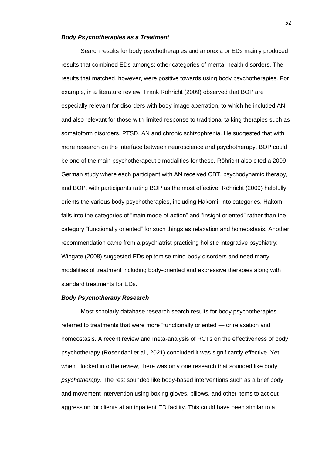#### *Body Psychotherapies as a Treatment*

Search results for body psychotherapies and anorexia or EDs mainly produced results that combined EDs amongst other categories of mental health disorders. The results that matched, however, were positive towards using body psychotherapies. For example, in a literature review, Frank Röhricht (2009) observed that BOP are especially relevant for disorders with body image aberration, to which he included AN, and also relevant for those with limited response to traditional talking therapies such as somatoform disorders, PTSD, AN and chronic schizophrenia. He suggested that with more research on the interface between neuroscience and psychotherapy, BOP could be one of the main psychotherapeutic modalities for these. Röhricht also cited a 2009 German study where each participant with AN received CBT, psychodynamic therapy, and BOP, with participants rating BOP as the most effective. Röhricht (2009) helpfully orients the various body psychotherapies, including Hakomi, into categories. Hakomi falls into the categories of "main mode of action" and "insight oriented" rather than the category "functionally oriented" for such things as relaxation and homeostasis. Another recommendation came from a psychiatrist practicing holistic integrative psychiatry: Wingate (2008) suggested EDs epitomise mind-body disorders and need many modalities of treatment including body-oriented and expressive therapies along with standard treatments for EDs.

#### *Body Psychotherapy Research*

Most scholarly database research search results for body psychotherapies referred to treatments that were more "functionally oriented"—for relaxation and homeostasis. A recent review and meta-analysis of RCTs on the effectiveness of body psychotherapy (Rosendahl et al., 2021) concluded it was significantly effective. Yet, when I looked into the review, there was only one research that sounded like body *psychotherapy*. The rest sounded like body-based interventions such as a brief body and movement intervention using boxing gloves, pillows, and other items to act out aggression for clients at an inpatient ED facility. This could have been similar to a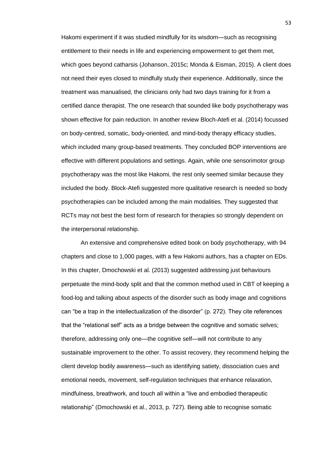Hakomi experiment if it was studied mindfully for its wisdom—such as recognising entitlement to their needs in life and experiencing empowerment to get them met, which goes beyond catharsis (Johanson, 2015c; Monda & Eisman, 2015). A client does not need their eyes closed to mindfully study their experience. Additionally, since the treatment was manualised, the clinicians only had two days training for it from a certified dance therapist. The one research that sounded like body psychotherapy was shown effective for pain reduction. In another review Bloch-Atefi et al. (2014) focussed on body-centred, somatic, body-oriented, and mind-body therapy efficacy studies, which included many group-based treatments. They concluded BOP interventions are effective with different populations and settings. Again, while one sensorimotor group psychotherapy was the most like Hakomi, the rest only seemed similar because they included the body. Block-Atefi suggested more qualitative research is needed so body psychotherapies can be included among the main modalities. They suggested that RCTs may not best the best form of research for therapies so strongly dependent on the interpersonal relationship.

An extensive and comprehensive edited book on body psychotherapy, with 94 chapters and close to 1,000 pages, with a few Hakomi authors, has a chapter on EDs. In this chapter, Dmochowski et al. (2013) suggested addressing just behaviours perpetuate the mind-body split and that the common method used in CBT of keeping a food-log and talking about aspects of the disorder such as body image and cognitions can "be a trap in the intellectualization of the disorder" (p. 272). They cite references that the "relational self" acts as a bridge between the cognitive and somatic selves; therefore, addressing only one—the cognitive self—will not contribute to any sustainable improvement to the other. To assist recovery, they recommend helping the client develop bodily awareness—such as identifying satiety, dissociation cues and emotional needs, movement, self-regulation techniques that enhance relaxation, mindfulness, breathwork, and touch all within a "live and embodied therapeutic relationship" (Dmochowski et al., 2013, p. 727). Being able to recognise somatic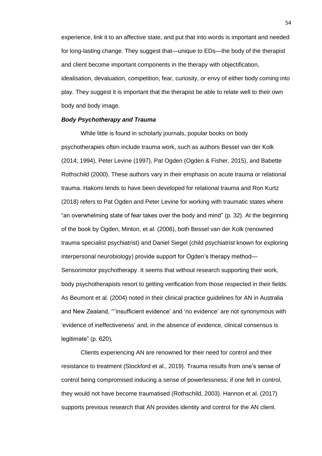experience, link it to an affective state, and put that into words is important and needed for long-lasting change. They suggest that—unique to EDs—the body of the therapist and client become important components in the therapy with objectification, idealisation, devaluation, competition, fear, curiosity, or envy of either body coming into play. They suggest it is important that the therapist be able to relate well to their own body and body image.

## *Body Psychotherapy and Trauma*

While little is found in scholarly journals, popular books on body psychotherapies often include trauma work, such as authors Bessel van der Kolk (2014; 1994), Peter Levine (1997), Pat Ogden (Ogden & Fisher, 2015), and Babette Rothschild (2000). These authors vary in their emphasis on acute trauma or relational trauma. Hakomi tends to have been developed for relational trauma and Ron Kurtz (2018) refers to Pat Ogden and Peter Levine for working with traumatic states where "an overwhelming state of fear takes over the body and mind" (p. 32). At the beginning of the book by Ogden, Minton, et al. (2006), both Bessel van der Kolk (renowned trauma specialist psychiatrist) and Daniel Siegel (child psychiatrist known for exploring interpersonal neurobiology) provide support for Ogden's therapy method— Sensorimotor psychotherapy. It seems that without research supporting their work, body psychotherapists resort to getting verification from those respected in their fields. As Beumont et al. (2004) noted in their clinical practice guidelines for AN in Australia and New Zealand, "''insufficient evidence' and 'no evidence' are not synonymous with 'evidence of ineffectiveness' and, in the absence of evidence, clinical consensus is legitimate" (p. 620).

Clients experiencing AN are renowned for their need for control and their resistance to treatment (Stockford et al., 2019). Trauma results from one's sense of control being compromised inducing a sense of powerlessness; if one felt in control, they would not have become traumatised (Rothschild, 2003). Hannon et al. (2017) supports previous research that AN provides identity and control for the AN client.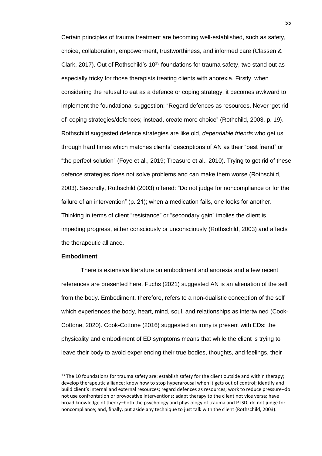Certain principles of trauma treatment are becoming well-established, such as safety, choice, collaboration, empowerment, trustworthiness, and informed care (Classen & Clark, 2017). Out of Rothschild's  $10^{13}$  foundations for trauma safety, two stand out as especially tricky for those therapists treating clients with anorexia. Firstly, when considering the refusal to eat as a defence or coping strategy, it becomes awkward to implement the foundational suggestion: "Regard defences as resources. Never 'get rid of' coping strategies/defences; instead, create more choice" (Rothchild, 2003, p. 19). Rothschild suggested defence strategies are like old, *dependable friends* who get us through hard times which matches clients' descriptions of AN as their "best friend" or "the perfect solution" (Foye et al., 2019; Treasure et al., 2010). Trying to get rid of these defence strategies does not solve problems and can make them worse (Rothschild, 2003). Secondly, Rothschild (2003) offered: "Do not judge for noncompliance or for the failure of an intervention" (p. 21); when a medication fails, one looks for another. Thinking in terms of client "resistance" or "secondary gain" implies the client is impeding progress, either consciously or unconsciously (Rothschild, 2003) and affects the therapeutic alliance.

#### **Embodiment**

There is extensive literature on embodiment and anorexia and a few recent references are presented here. Fuchs (2021) suggested AN is an alienation of the self from the body. Embodiment, therefore, refers to a non-dualistic conception of the self which experiences the body, heart, mind, soul, and relationships as intertwined (Cook-Cottone, 2020). Cook-Cottone (2016) suggested an irony is present with EDs: the physicality and embodiment of ED symptoms means that while the client is trying to leave their body to avoid experiencing their true bodies, thoughts, and feelings, their

<sup>&</sup>lt;sup>13</sup> The 10 foundations for trauma safety are: establish safety for the client outside and within therapy; develop therapeutic alliance; know how to stop hyperarousal when it gets out of control; identify and build client's internal and external resources; regard defences as resources; work to reduce pressure–do not use confrontation or provocative interventions; adapt therapy to the client not vice versa; have broad knowledge of theory–both the psychology and physiology of trauma and PTSD; do not judge for noncompliance; and, finally, put aside any technique to just talk with the client (Rothschild, 2003).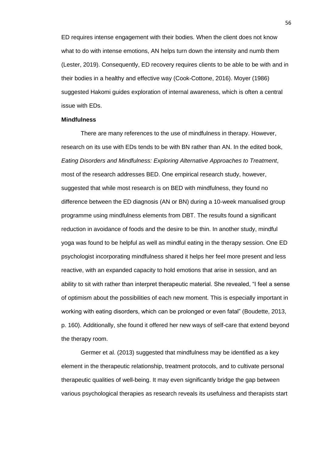ED requires intense engagement with their bodies. When the client does not know what to do with intense emotions, AN helps turn down the intensity and numb them (Lester, 2019). Consequently, ED recovery requires clients to be able to be with and in their bodies in a healthy and effective way (Cook-Cottone, 2016). Moyer (1986) suggested Hakomi guides exploration of internal awareness, which is often a central issue with EDs.

#### **Mindfulness**

There are many references to the use of mindfulness in therapy. However, research on its use with EDs tends to be with BN rather than AN. In the edited book, *Eating Disorders and Mindfulness: Exploring Alternative Approaches to Treatment*, most of the research addresses BED. One empirical research study, however, suggested that while most research is on BED with mindfulness, they found no difference between the ED diagnosis (AN or BN) during a 10-week manualised group programme using mindfulness elements from DBT. The results found a significant reduction in avoidance of foods and the desire to be thin. In another study, mindful yoga was found to be helpful as well as mindful eating in the therapy session. One ED psychologist incorporating mindfulness shared it helps her feel more present and less reactive, with an expanded capacity to hold emotions that arise in session, and an ability to sit with rather than interpret therapeutic material. She revealed, "I feel a sense of optimism about the possibilities of each new moment. This is especially important in working with eating disorders, which can be prolonged or even fatal" (Boudette, 2013, p. 160). Additionally, she found it offered her new ways of self-care that extend beyond the therapy room.

Germer et al. (2013) suggested that mindfulness may be identified as a key element in the therapeutic relationship, treatment protocols, and to cultivate personal therapeutic qualities of well-being. It may even significantly bridge the gap between various psychological therapies as research reveals its usefulness and therapists start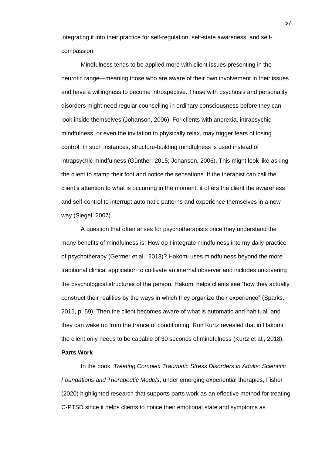integrating it into their practice for self-regulation, self-state awareness, and selfcompassion.

Mindfulness tends to be applied more with client issues presenting in the neurotic range—meaning those who are aware of their own involvement in their issues and have a willingness to become introspective. Those with psychosis and personality disorders might need regular counselling in ordinary consciousness before they can look inside themselves (Johanson, 2006). For clients with anorexia, intrapsychic mindfulness, or even the invitation to physically relax, may trigger fears of losing control. In such instances, structure-building mindfulness is used instead of intrapsychic mindfulness (Günther, 2015; Johanson, 2006). This might look like asking the client to stamp their foot and notice the sensations. If the therapist can call the client's attention to what is occurring in the moment, it offers the client the awareness and self-control to interrupt automatic patterns and experience themselves in a new way (Siegel, 2007).

A question that often arises for psychotherapists once they understand the many benefits of mindfulness is: How do I integrate mindfulness into my daily practice of psychotherapy (Germer et al., 2013)? Hakomi uses mindfulness beyond the more traditional clinical application to cultivate an internal observer and includes uncovering the psychological structures of the person. Hakomi helps clients see "how they actually construct their realities by the ways in which they organize their experience" (Sparks, 2015, p. 59). Then the client becomes aware of what is automatic and habitual, and they can wake up from the trance of conditioning. Ron Kurtz revealed that in Hakomi the client only needs to be capable of 30 seconds of mindfulness (Kurtz et al., 2018). **Parts Work**

In the book, *Treating Complex Traumatic Stress Disorders in Adults: Scientific Foundations and Therapeutic Models*, under emerging experiential therapies, Fisher (2020) highlighted research that supports parts work as an effective method for treating C-PTSD since it helps clients to notice their emotional state and symptoms as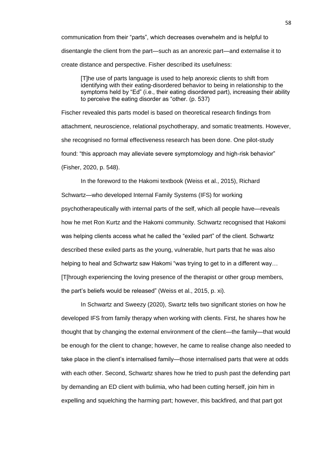communication from their "parts", which decreases overwhelm and is helpful to disentangle the client from the part—such as an anorexic part—and externalise it to create distance and perspective. Fisher described its usefulness:

[T]he use of parts language is used to help anorexic clients to shift from identifying with their eating-disordered behavior to being in relationship to the symptoms held by "Ed" (i.e., their eating disordered part), increasing their ability to perceive the eating disorder as "other. (p. 537)

Fischer revealed this parts model is based on theoretical research findings from attachment, neuroscience, relational psychotherapy, and somatic treatments. However, she recognised no formal effectiveness research has been done. One pilot-study found: "this approach may alleviate severe symptomology and high-risk behavior" (Fisher, 2020, p. 548).

In the foreword to the Hakomi textbook (Weiss et al., 2015), Richard Schwartz—who developed Internal Family Systems (IFS) for working psychotherapeutically with internal parts of the self, which all people have—reveals how he met Ron Kurtz and the Hakomi community. Schwartz recognised that Hakomi was helping clients access what he called the "exiled part" of the client. Schwartz described these exiled parts as the young, vulnerable, hurt parts that he was also helping to heal and Schwartz saw Hakomi "was trying to get to in a different way... [T[hrough experiencing the loving presence of the therapist or other group members, the part's beliefs would be released" (Weiss et al., 2015, p. xi).

In Schwartz and Sweezy (2020), Swartz tells two significant stories on how he developed IFS from family therapy when working with clients. First, he shares how he thought that by changing the external environment of the client—the family—that would be enough for the client to change; however, he came to realise change also needed to take place in the client's internalised family—those internalised parts that were at odds with each other. Second, Schwartz shares how he tried to push past the defending part by demanding an ED client with bulimia, who had been cutting herself, join him in expelling and squelching the harming part; however, this backfired, and that part got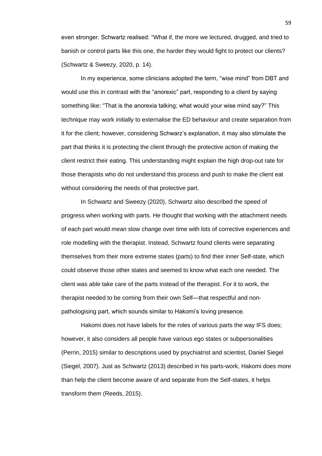even stronger. Schwartz realised: "What if, the more we lectured, drugged, and tried to banish or control parts like this one, the harder they would fight to protect our clients? (Schwartz & Sweezy, 2020, p. 14).

In my experience, some clinicians adopted the term, "wise mind" from DBT and would use this in contrast with the "anorexic" part, responding to a client by saying something like: "That is the anorexia talking; what would your wise mind say?" This technique may work initially to externalise the ED behaviour and create separation from it for the client; however, considering Schwarz's explanation, it may also stimulate the part that thinks it is protecting the client through the protective action of making the client restrict their eating. This understanding might explain the high drop-out rate for those therapists who do not understand this process and push to make the client eat without considering the needs of that protective part.

In Schwartz and Sweezy (2020), Schwartz also described the speed of progress when working with parts. He thought that working with the attachment needs of each part would mean slow change over time with lots of corrective experiences and role modelling with the therapist. Instead, Schwartz found clients were separating themselves from their more extreme states (parts) to find their inner Self-state, which could observe those other states and seemed to know what each one needed. The client was able take care of the parts instead of the therapist. For it to work, the therapist needed to be coming from their own Self—that respectful and nonpathologising part, which sounds similar to Hakomi's loving presence.

Hakomi does not have labels for the roles of various parts the way IFS does; however, it also considers all people have various ego states or subpersonalities (Perrin, 2015) similar to descriptions used by psychiatrist and scientist, Daniel Siegel (Siegel, 2007). Just as Schwartz (2013) described in his parts-work, Hakomi does more than help the client become aware of and separate from the Self-states, it helps transform them (Reeds, 2015).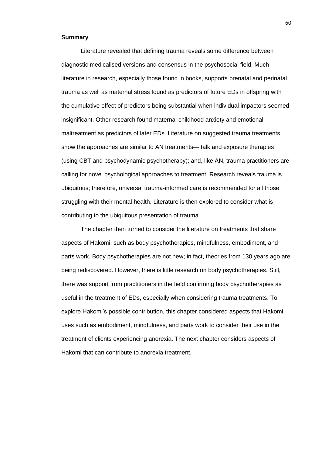#### **Summary**

Literature revealed that defining trauma reveals some difference between diagnostic medicalised versions and consensus in the psychosocial field. Much literature in research, especially those found in books, supports prenatal and perinatal trauma as well as maternal stress found as predictors of future EDs in offspring with the cumulative effect of predictors being substantial when individual impactors seemed insignificant. Other research found maternal childhood anxiety and emotional maltreatment as predictors of later EDs. Literature on suggested trauma treatments show the approaches are similar to AN treatments— talk and exposure therapies (using CBT and psychodynamic psychotherapy); and, like AN, trauma practitioners are calling for novel psychological approaches to treatment. Research reveals trauma is ubiquitous; therefore, universal trauma-informed care is recommended for all those struggling with their mental health. Literature is then explored to consider what is contributing to the ubiquitous presentation of trauma.

The chapter then turned to consider the literature on treatments that share aspects of Hakomi, such as body psychotherapies, mindfulness, embodiment, and parts work. Body psychotherapies are not new; in fact, theories from 130 years ago are being rediscovered. However, there is little research on body psychotherapies. Still, there was support from practitioners in the field confirming body psychotherapies as useful in the treatment of EDs, especially when considering trauma treatments. To explore Hakomi's possible contribution, this chapter considered aspects that Hakomi uses such as embodiment, mindfulness, and parts work to consider their use in the treatment of clients experiencing anorexia. The next chapter considers aspects of Hakomi that can contribute to anorexia treatment.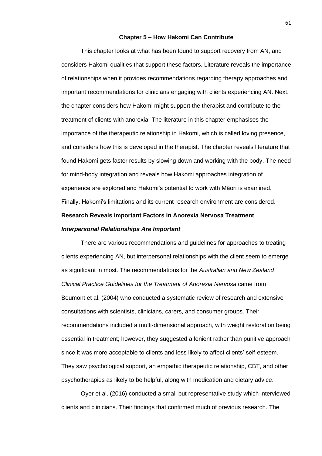## **Chapter 5 – How Hakomi Can Contribute**

This chapter looks at what has been found to support recovery from AN, and considers Hakomi qualities that support these factors. Literature reveals the importance of relationships when it provides recommendations regarding therapy approaches and important recommendations for clinicians engaging with clients experiencing AN. Next, the chapter considers how Hakomi might support the therapist and contribute to the treatment of clients with anorexia. The literature in this chapter emphasises the importance of the therapeutic relationship in Hakomi, which is called loving presence, and considers how this is developed in the therapist. The chapter reveals literature that found Hakomi gets faster results by slowing down and working with the body. The need for mind-body integration and reveals how Hakomi approaches integration of experience are explored and Hakomi's potential to work with Māori is examined. Finally, Hakomi's limitations and its current research environment are considered.

## **Research Reveals Important Factors in Anorexia Nervosa Treatment**

## *Interpersonal Relationships Are Important*

There are various recommendations and guidelines for approaches to treating clients experiencing AN, but interpersonal relationships with the client seem to emerge as significant in most. The recommendations for the *Australian and New Zealand Clinical Practice Guidelines for the Treatment of Anorexia Nervosa* came from Beumont et al. (2004) who conducted a systematic review of research and extensive consultations with scientists, clinicians, carers, and consumer groups. Their recommendations included a multi-dimensional approach, with weight restoration being essential in treatment; however, they suggested a lenient rather than punitive approach since it was more acceptable to clients and less likely to affect clients' self-esteem. They saw psychological support, an empathic therapeutic relationship, CBT, and other psychotherapies as likely to be helpful, along with medication and dietary advice.

Oyer et al. (2016) conducted a small but representative study which interviewed clients and clinicians. Their findings that confirmed much of previous research. The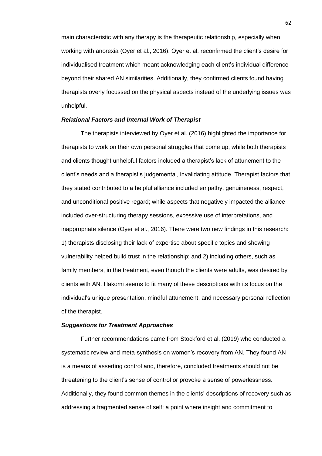main characteristic with any therapy is the therapeutic relationship, especially when working with anorexia (Oyer et al., 2016). Oyer et al. reconfirmed the client's desire for individualised treatment which meant acknowledging each client's individual difference beyond their shared AN similarities. Additionally, they confirmed clients found having therapists overly focussed on the physical aspects instead of the underlying issues was unhelpful.

## *Relational Factors and Internal Work of Therapist*

The therapists interviewed by Oyer et al. (2016) highlighted the importance for therapists to work on their own personal struggles that come up, while both therapists and clients thought unhelpful factors included a therapist's lack of attunement to the client's needs and a therapist's judgemental, invalidating attitude. Therapist factors that they stated contributed to a helpful alliance included empathy, genuineness, respect, and unconditional positive regard; while aspects that negatively impacted the alliance included over-structuring therapy sessions, excessive use of interpretations, and inappropriate silence (Oyer et al., 2016). There were two new findings in this research: 1) therapists disclosing their lack of expertise about specific topics and showing vulnerability helped build trust in the relationship; and 2) including others, such as family members, in the treatment, even though the clients were adults, was desired by clients with AN. Hakomi seems to fit many of these descriptions with its focus on the individual's unique presentation, mindful attunement, and necessary personal reflection of the therapist.

## *Suggestions for Treatment Approaches*

Further recommendations came from Stockford et al. (2019) who conducted a systematic review and meta-synthesis on women's recovery from AN. They found AN is a means of asserting control and, therefore, concluded treatments should not be threatening to the client's sense of control or provoke a sense of powerlessness. Additionally, they found common themes in the clients' descriptions of recovery such as addressing a fragmented sense of self; a point where insight and commitment to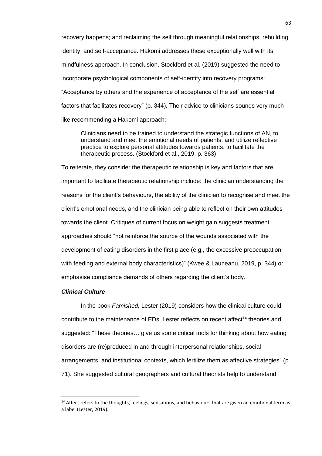recovery happens; and reclaiming the self through meaningful relationships, rebuilding identity, and self-acceptance. Hakomi addresses these exceptionally well with its mindfulness approach. In conclusion, Stockford et al. (2019) suggested the need to incorporate psychological components of self-identity into recovery programs: "Acceptance by others and the experience of acceptance of the self are essential factors that facilitates recovery" (p. 344). Their advice to clinicians sounds very much like recommending a Hakomi approach:

Clinicians need to be trained to understand the strategic functions of AN, to understand and meet the emotional needs of patients, and utilize reflective practice to explore personal attitudes towards patients, to facilitate the therapeutic process. (Stockford et al., 2019, p. 363)

To reiterate, they consider the therapeutic relationship is key and factors that are important to facilitate therapeutic relationship include: the clinician understanding the reasons for the client's behaviours, the ability of the clinician to recognise and meet the client's emotional needs, and the clinician being able to reflect on their own attitudes towards the client. Critiques of current focus on weight gain suggests treatment approaches should "not reinforce the source of the wounds associated with the development of eating disorders in the first place (e.g., the excessive preoccupation with feeding and external body characteristics)" (Kwee & Launeanu, 2019, p. 344) or emphasise compliance demands of others regarding the client's body.

## *Clinical Culture*

In the book *Famished,* Lester (2019) considers how the clinical culture could contribute to the maintenance of EDs. Lester reflects on recent affect<sup>14</sup> theories and suggested: "These theories… give us some critical tools for thinking about how eating disorders are (re)produced in and through interpersonal relationships, social arrangements, and institutional contexts, which fertilize them as affective strategies" (p. 71). She suggested cultural geographers and cultural theorists help to understand

<sup>&</sup>lt;sup>14</sup> Affect refers to the thoughts, feelings, sensations, and behaviours that are given an emotional term as a label (Lester, 2019).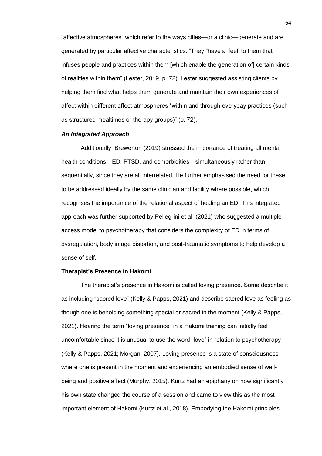"affective atmospheres" which refer to the ways cities—or a clinic—generate and are generated by particular affective characteristics. "They "have a 'feel' to them that infuses people and practices within them [which enable the generation of] certain kinds of realities within them" (Lester, 2019, p. 72). Lester suggested assisting clients by helping them find what helps them generate and maintain their own experiences of affect within different affect atmospheres "within and through everyday practices (such as structured mealtimes or therapy groups)" (p. 72).

## *An Integrated Approach*

Additionally, Brewerton (2019) stressed the importance of treating all mental health conditions—ED, PTSD, and comorbidities—simultaneously rather than sequentially, since they are all interrelated. He further emphasised the need for these to be addressed ideally by the same clinician and facility where possible, which recognises the importance of the relational aspect of healing an ED. This integrated approach was further supported by Pellegrini et al. (2021) who suggested a multiple access model to psychotherapy that considers the complexity of ED in terms of dysregulation, body image distortion, and post-traumatic symptoms to help develop a sense of self.

## **Therapist's Presence in Hakomi**

The therapist's presence in Hakomi is called loving presence. Some describe it as including "sacred love" (Kelly & Papps, 2021) and describe sacred love as feeling as though one is beholding something special or sacred in the moment (Kelly & Papps, 2021). Hearing the term "loving presence" in a Hakomi training can initially feel uncomfortable since it is unusual to use the word "love" in relation to psychotherapy (Kelly & Papps, 2021; Morgan, 2007). Loving presence is a state of consciousness where one is present in the moment and experiencing an embodied sense of wellbeing and positive affect (Murphy, 2015). Kurtz had an epiphany on how significantly his own state changed the course of a session and came to view this as the most important element of Hakomi (Kurtz et al., 2018). Embodying the Hakomi principles—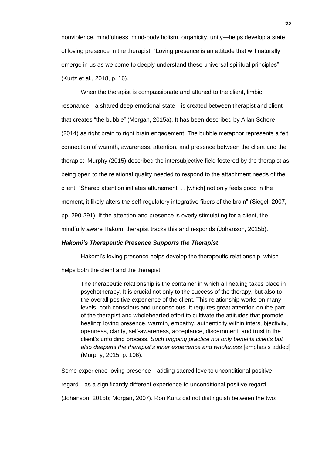nonviolence, mindfulness, mind-body holism, organicity, unity—helps develop a state of loving presence in the therapist. "Loving presence is an attitude that will naturally emerge in us as we come to deeply understand these universal spiritual principles" (Kurtz et al., 2018, p. 16).

When the therapist is compassionate and attuned to the client, limbic resonance—a shared deep emotional state—is created between therapist and client that creates "the bubble" (Morgan, 2015a). It has been described by Allan Schore (2014) as right brain to right brain engagement. The bubble metaphor represents a felt connection of warmth, awareness, attention, and presence between the client and the therapist. Murphy (2015) described the intersubjective field fostered by the therapist as being open to the relational quality needed to respond to the attachment needs of the client. "Shared attention initiates attunement … [which] not only feels good in the moment, it likely alters the self-regulatory integrative fibers of the brain" (Siegel, 2007, pp. 290-291). If the attention and presence is overly stimulating for a client, the mindfully aware Hakomi therapist tracks this and responds (Johanson, 2015b).

### *Hakomi's Therapeutic Presence Supports the Therapist*

Hakomi's loving presence helps develop the therapeutic relationship, which

helps both the client and the therapist:

The therapeutic relationship is the container in which all healing takes place in psychotherapy. It is crucial not only to the success of the therapy, but also to the overall positive experience of the client. This relationship works on many levels, both conscious and unconscious. It requires great attention on the part of the therapist and wholehearted effort to cultivate the attitudes that promote healing: loving presence, warmth, empathy, authenticity within intersubjectivity, openness, clarity, self-awareness, acceptance, discernment, and trust in the client's unfolding process. *Such ongoing practice not only benefits clients but also deepens the therapist's inner experience and wholeness* [emphasis added] (Murphy, 2015, p. 106).

Some experience loving presence—adding sacred love to unconditional positive regard—as a significantly different experience to unconditional positive regard (Johanson, 2015b; Morgan, 2007). Ron Kurtz did not distinguish between the two: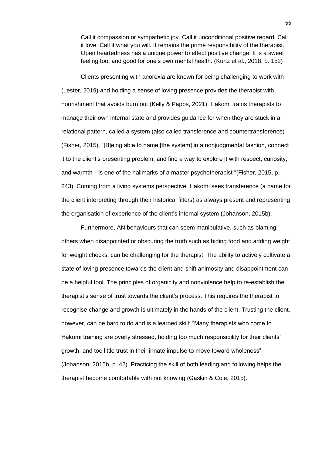Call it compassion or sympathetic joy. Call it unconditional positive regard. Call it love. Call it what you will. It remains the prime responsibility of the therapist. Open heartedness has a unique power to effect positive change. It is a sweet feeling too, and good for one's own mental health. (Kurtz et al., 2018, p. 152)

Clients presenting with anorexia are known for being challenging to work with (Lester, 2019) and holding a sense of loving presence provides the therapist with nourishment that avoids burn out (Kelly & Papps, 2021). Hakomi trains therapists to manage their own internal state and provides guidance for when they are stuck in a relational pattern, called a system (also called transference and countertransference) (Fisher, 2015). "[B]eing able to name [the system] in a nonjudgmental fashion, connect it to the client's presenting problem, and find a way to explore it with respect, curiosity, and warmth—is one of the hallmarks of a master psychotherapist "(Fisher, 2015, p. 243). Coming from a living systems perspective, Hakomi sees transference (a name for the client interpreting through their historical filters) as always present and representing the organisation of experience of the client's internal system (Johanson, 2015b).

Furthermore, AN behaviours that can seem manipulative, such as blaming others when disappointed or obscuring the truth such as hiding food and adding weight for weight checks, can be challenging for the therapist. The ability to actively cultivate a state of loving presence towards the client and shift animosity and disappointment can be a helpful tool. The principles of organicity and nonviolence help to re-establish the therapist's sense of trust towards the client's process. This requires the therapist to recognise change and growth is ultimately in the hands of the client. Trusting the client, however, can be hard to do and is a learned skill: "Many therapists who come to Hakomi training are overly stressed, holding too much responsibility for their clients' growth, and too little trust in their innate impulse to move toward wholeness" (Johanson, 2015b, p. 42). Practicing the skill of both leading and following helps the therapist become comfortable with not knowing (Gaskin & Cole, 2015).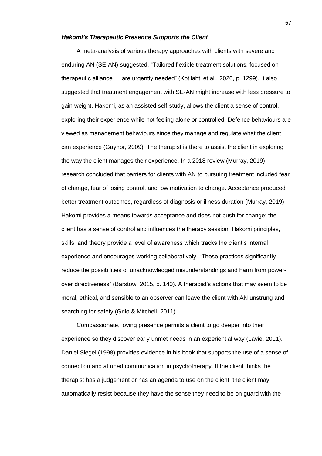#### *Hakomi's Therapeutic Presence Supports the Client*

A meta-analysis of various therapy approaches with clients with severe and enduring AN (SE-AN) suggested, "Tailored flexible treatment solutions, focused on therapeutic alliance … are urgently needed" (Kotilahti et al., 2020, p. 1299). It also suggested that treatment engagement with SE-AN might increase with less pressure to gain weight. Hakomi, as an assisted self-study, allows the client a sense of control, exploring their experience while not feeling alone or controlled. Defence behaviours are viewed as management behaviours since they manage and regulate what the client can experience (Gaynor, 2009). The therapist is there to assist the client in exploring the way the client manages their experience. In a 2018 review (Murray, 2019), research concluded that barriers for clients with AN to pursuing treatment included fear of change, fear of losing control, and low motivation to change. Acceptance produced better treatment outcomes, regardless of diagnosis or illness duration (Murray, 2019). Hakomi provides a means towards acceptance and does not push for change; the client has a sense of control and influences the therapy session. Hakomi principles, skills, and theory provide a level of awareness which tracks the client's internal experience and encourages working collaboratively. "These practices significantly reduce the possibilities of unacknowledged misunderstandings and harm from powerover directiveness" (Barstow, 2015, p. 140). A therapist's actions that may seem to be moral, ethical, and sensible to an observer can leave the client with AN unstrung and searching for safety (Grilo & Mitchell, 2011).

Compassionate, loving presence permits a client to go deeper into their experience so they discover early unmet needs in an experiential way (Lavie, 2011). Daniel Siegel (1998) provides evidence in his book that supports the use of a sense of connection and attuned communication in psychotherapy. If the client thinks the therapist has a judgement or has an agenda to use on the client, the client may automatically resist because they have the sense they need to be on guard with the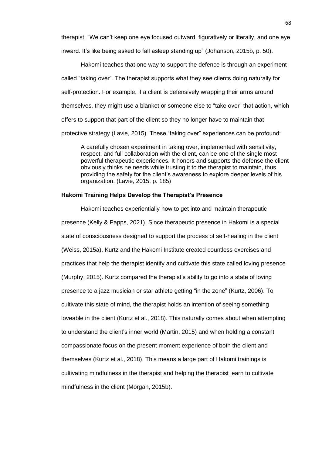therapist. "We can't keep one eye focused outward, figuratively or literally, and one eye inward. It's like being asked to fall asleep standing up" (Johanson, 2015b, p. 50).

Hakomi teaches that one way to support the defence is through an experiment called "taking over". The therapist supports what they see clients doing naturally for self-protection. For example, if a client is defensively wrapping their arms around themselves, they might use a blanket or someone else to "take over" that action, which offers to support that part of the client so they no longer have to maintain that protective strategy (Lavie, 2015). These "taking over" experiences can be profound:

A carefully chosen experiment in taking over, implemented with sensitivity, respect, and full collaboration with the client, can be one of the single most powerful therapeutic experiences. It honors and supports the defense the client obviously thinks he needs while trusting it to the therapist to maintain, thus providing the safety for the client's awareness to explore deeper levels of his organization. (Lavie, 2015, p. 185)

# **Hakomi Training Helps Develop the Therapist's Presence**

Hakomi teaches experientially how to get into and maintain therapeutic presence (Kelly & Papps, 2021). Since therapeutic presence in Hakomi is a special state of consciousness designed to support the process of self-healing in the client (Weiss, 2015a), Kurtz and the Hakomi Institute created countless exercises and practices that help the therapist identify and cultivate this state called loving presence (Murphy, 2015). Kurtz compared the therapist's ability to go into a state of loving presence to a jazz musician or star athlete getting "in the zone" (Kurtz, 2006). To cultivate this state of mind, the therapist holds an intention of seeing something loveable in the client (Kurtz et al., 2018). This naturally comes about when attempting to understand the client's inner world (Martin, 2015) and when holding a constant compassionate focus on the present moment experience of both the client and themselves (Kurtz et al., 2018). This means a large part of Hakomi trainings is cultivating mindfulness in the therapist and helping the therapist learn to cultivate mindfulness in the client (Morgan, 2015b).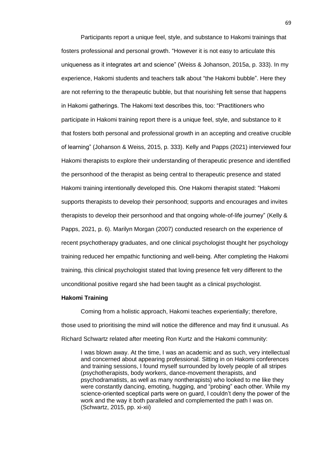Participants report a unique feel, style, and substance to Hakomi trainings that fosters professional and personal growth. "However it is not easy to articulate this uniqueness as it integrates art and science" (Weiss & Johanson, 2015a, p. 333). In my experience, Hakomi students and teachers talk about "the Hakomi bubble". Here they are not referring to the therapeutic bubble, but that nourishing felt sense that happens in Hakomi gatherings. The Hakomi text describes this, too: "Practitioners who participate in Hakomi training report there is a unique feel, style, and substance to it that fosters both personal and professional growth in an accepting and creative crucible of learning" (Johanson & Weiss, 2015, p. 333). Kelly and Papps (2021) interviewed four Hakomi therapists to explore their understanding of therapeutic presence and identified the personhood of the therapist as being central to therapeutic presence and stated Hakomi training intentionally developed this. One Hakomi therapist stated: "Hakomi supports therapists to develop their personhood; supports and encourages and invites therapists to develop their personhood and that ongoing whole-of-life journey" (Kelly & Papps, 2021, p. 6). Marilyn Morgan (2007) conducted research on the experience of recent psychotherapy graduates, and one clinical psychologist thought her psychology training reduced her empathic functioning and well-being. After completing the Hakomi training, this clinical psychologist stated that loving presence felt very different to the unconditional positive regard she had been taught as a clinical psychologist.

#### **Hakomi Training**

Coming from a holistic approach, Hakomi teaches experientially; therefore, those used to prioritising the mind will notice the difference and may find it unusual. As Richard Schwartz related after meeting Ron Kurtz and the Hakomi community:

I was blown away. At the time, I was an academic and as such, very intellectual and concerned about appearing professional. Sitting in on Hakomi conferences and training sessions, I found myself surrounded by lovely people of all stripes (psychotherapists, body workers, dance-movement therapists, and psychodramatists, as well as many nontherapists) who looked to me like they were constantly dancing, emoting, hugging, and "probing" each other. While my science-oriented sceptical parts were on guard, I couldn't deny the power of the work and the way it both paralleled and complemented the path I was on. (Schwartz, 2015, pp. xi-xii)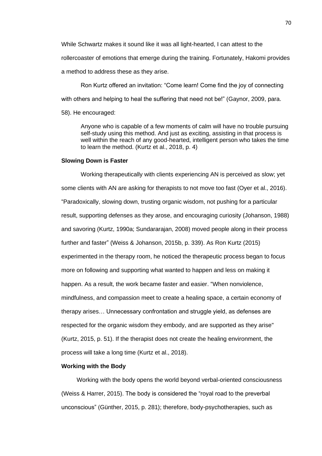While Schwartz makes it sound like it was all light-hearted, I can attest to the rollercoaster of emotions that emerge during the training. Fortunately, Hakomi provides a method to address these as they arise.

Ron Kurtz offered an invitation: "Come learn! Come find the joy of connecting with others and helping to heal the suffering that need not be!" (Gaynor, 2009, para.

58). He encouraged:

Anyone who is capable of a few moments of calm will have no trouble pursuing self-study using this method. And just as exciting, assisting in that process is well within the reach of any good-hearted, intelligent person who takes the time to learn the method. (Kurtz et al., 2018, p. 4)

### **Slowing Down is Faster**

Working therapeutically with clients experiencing AN is perceived as slow; yet some clients with AN are asking for therapists to not move too fast (Oyer et al., 2016). "Paradoxically, slowing down, trusting organic wisdom, not pushing for a particular result, supporting defenses as they arose, and encouraging curiosity (Johanson, 1988) and savoring (Kurtz, 1990a; Sundararajan, 2008) moved people along in their process further and faster" (Weiss & Johanson, 2015b, p. 339). As Ron Kurtz (2015) experimented in the therapy room, he noticed the therapeutic process began to focus more on following and supporting what wanted to happen and less on making it happen. As a result, the work became faster and easier. "When nonviolence, mindfulness, and compassion meet to create a healing space, a certain economy of therapy arises… Unnecessary confrontation and struggle yield, as defenses are respected for the organic wisdom they embody, and are supported as they arise" (Kurtz, 2015, p. 51). If the therapist does not create the healing environment, the process will take a long time (Kurtz et al., 2018).

## **Working with the Body**

Working with the body opens the world beyond verbal-oriented consciousness (Weiss & Harrer, 2015). The body is considered the "royal road to the preverbal unconscious" (Günther, 2015, p. 281); therefore, body-psychotherapies, such as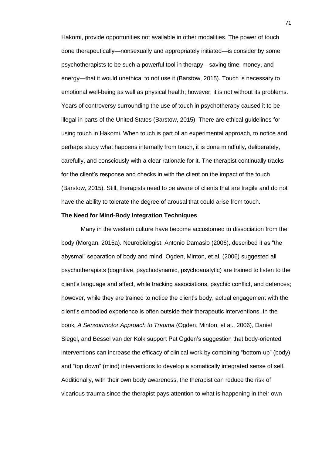Hakomi, provide opportunities not available in other modalities. The power of touch done therapeutically—nonsexually and appropriately initiated—is consider by some psychotherapists to be such a powerful tool in therapy—saving time, money, and energy—that it would unethical to not use it (Barstow, 2015). Touch is necessary to emotional well-being as well as physical health; however, it is not without its problems. Years of controversy surrounding the use of touch in psychotherapy caused it to be illegal in parts of the United States (Barstow, 2015). There are ethical guidelines for using touch in Hakomi. When touch is part of an experimental approach, to notice and perhaps study what happens internally from touch, it is done mindfully, deliberately, carefully, and consciously with a clear rationale for it. The therapist continually tracks for the client's response and checks in with the client on the impact of the touch (Barstow, 2015). Still, therapists need to be aware of clients that are fragile and do not have the ability to tolerate the degree of arousal that could arise from touch.

### **The Need for Mind-Body Integration Techniques**

Many in the western culture have become accustomed to dissociation from the body (Morgan, 2015a). Neurobiologist, Antonio Damasio (2006), described it as "the abysmal" separation of body and mind. Ogden, Minton, et al. (2006) suggested all psychotherapists (cognitive, psychodynamic, psychoanalytic) are trained to listen to the client's language and affect, while tracking associations, psychic conflict, and defences; however, while they are trained to notice the client's body, actual engagement with the client's embodied experience is often outside their therapeutic interventions. In the book*, A Sensorimotor Approach to Trauma* (Ogden, Minton, et al., 2006), Daniel Siegel, and Bessel van der Kolk support Pat Ogden's suggestion that body-oriented interventions can increase the efficacy of clinical work by combining "bottom-up" (body) and "top down" (mind) interventions to develop a somatically integrated sense of self. Additionally, with their own body awareness, the therapist can reduce the risk of vicarious trauma since the therapist pays attention to what is happening in their own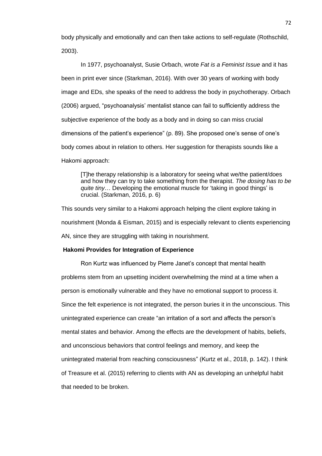body physically and emotionally and can then take actions to self-regulate (Rothschild, 2003).

In 1977, psychoanalyst, Susie Orbach, wrote *Fat is a Feminist Issue* and it has been in print ever since (Starkman, 2016). With over 30 years of working with body image and EDs, she speaks of the need to address the body in psychotherapy. Orbach (2006) argued, "psychoanalysis' mentalist stance can fail to sufficiently address the subjective experience of the body as a body and in doing so can miss crucial dimensions of the patient's experience" (p. 89). She proposed one's sense of one's body comes about in relation to others. Her suggestion for therapists sounds like a Hakomi approach:

[T]he therapy relationship is a laboratory for seeing what we/the patient/does and how they can try to take something from the therapist. *The dosing has to be quite tiny*… Developing the emotional muscle for 'taking in good things' is crucial. (Starkman, 2016, p. 6)

This sounds very similar to a Hakomi approach helping the client explore taking in nourishment (Monda & Eisman, 2015) and is especially relevant to clients experiencing AN, since they are struggling with taking in nourishment.

# **Hakomi Provides for Integration of Experience**

Ron Kurtz was influenced by Pierre Janet's concept that mental health problems stem from an upsetting incident overwhelming the mind at a time when a person is emotionally vulnerable and they have no emotional support to process it. Since the felt experience is not integrated, the person buries it in the unconscious. This unintegrated experience can create "an irritation of a sort and affects the person's mental states and behavior. Among the effects are the development of habits, beliefs, and unconscious behaviors that control feelings and memory, and keep the unintegrated material from reaching consciousness" (Kurtz et al., 2018, p. 142). I think of Treasure et al. (2015) referring to clients with AN as developing an unhelpful habit that needed to be broken.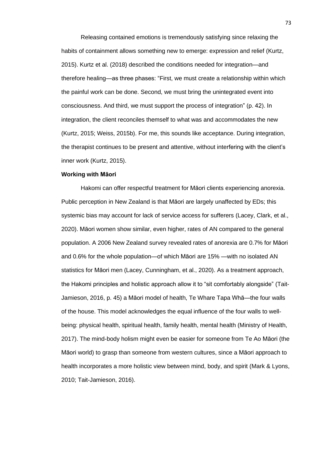Releasing contained emotions is tremendously satisfying since relaxing the habits of containment allows something new to emerge: expression and relief (Kurtz, 2015). Kurtz et al. (2018) described the conditions needed for integration—and therefore healing—as three phases: "First, we must create a relationship within which the painful work can be done. Second, we must bring the unintegrated event into consciousness. And third, we must support the process of integration" (p. 42). In integration, the client reconciles themself to what was and accommodates the new (Kurtz, 2015; Weiss, 2015b). For me, this sounds like acceptance. During integration, the therapist continues to be present and attentive, without interfering with the client's inner work (Kurtz, 2015).

## **Working with Māori**

Hakomi can offer respectful treatment for Māori clients experiencing anorexia. Public perception in New Zealand is that Māori are largely unaffected by EDs; this systemic bias may account for lack of service access for sufferers (Lacey, Clark, et al., 2020). Māori women show similar, even higher, rates of AN compared to the general population. A 2006 New Zealand survey revealed rates of anorexia are 0.7% for Māori and 0.6% for the whole population—of which Māori are 15% —with no isolated AN statistics for Māori men (Lacey, Cunningham, et al., 2020). As a treatment approach, the Hakomi principles and holistic approach allow it to "sit comfortably alongside" (Tait-Jamieson, 2016, p. 45) a Māori model of health, Te Whare Tapa Whā—the four walls of the house. This model acknowledges the equal influence of the four walls to wellbeing: physical health, spiritual health, family health, mental health (Ministry of Health, 2017). The mind-body holism might even be easier for someone from Te Ao Māori (the Māori world) to grasp than someone from western cultures, since a Māori approach to health incorporates a more holistic view between mind, body, and spirit (Mark & Lyons, 2010; Tait-Jamieson, 2016).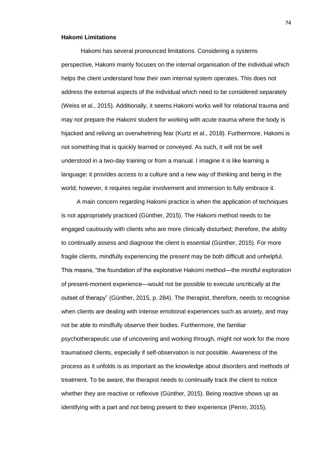## **Hakomi Limitations**

Hakomi has several pronounced limitations. Considering a systems perspective, Hakomi mainly focuses on the internal organisation of the individual which helps the client understand how their own internal system operates. This does not address the external aspects of the individual which need to be considered separately (Weiss et al., 2015). Additionally, it seems Hakomi works well for relational trauma and may not prepare the Hakomi student for working with acute trauma where the body is hijacked and reliving an overwhelming fear (Kurtz et al., 2018). Furthermore, Hakomi is not something that is quickly learned or conveyed. As such, it will not be well understood in a two-day training or from a manual. I imagine it is like learning a language: it provides access to a culture and a new way of thinking and being in the world; however, it requires regular involvement and immersion to fully embrace it.

A main concern regarding Hakomi practice is when the application of techniques is not appropriately practiced (Günther, 2015). The Hakomi method needs to be engaged cautiously with clients who are more clinically disturbed; therefore, the ability to continually assess and diagnose the client is essential (Günther, 2015). For more fragile clients, mindfully experiencing the present may be both difficult and unhelpful. This means, "the foundation of the explorative Hakomi method—the mindful exploration of present-moment experience—would not be possible to execute uncritically at the outset of therapy" (Günther, 2015, p. 284). The therapist, therefore, needs to recognise when clients are dealing with intense emotional experiences such as anxiety, and may not be able to mindfully observe their bodies. Furthermore, the familiar psychotherapeutic use of uncovering and working through, might not work for the more traumatised clients, especially if self-observation is not possible. Awareness of the process as it unfolds is as important as the knowledge about disorders and methods of treatment. To be aware, the therapist needs to continually track the client to notice whether they are reactive or reflexive (Günther, 2015). Being reactive shows up as identifying with a part and not being present to their experience (Perrin, 2015).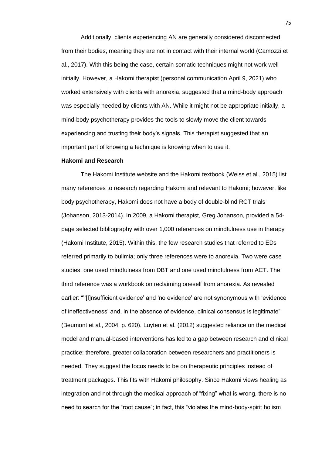Additionally, clients experiencing AN are generally considered disconnected from their bodies, meaning they are not in contact with their internal world (Camozzi et al., 2017). With this being the case, certain somatic techniques might not work well initially. However, a Hakomi therapist (personal communication April 9, 2021) who worked extensively with clients with anorexia, suggested that a mind-body approach was especially needed by clients with AN. While it might not be appropriate initially, a mind-body psychotherapy provides the tools to slowly move the client towards experiencing and trusting their body's signals. This therapist suggested that an important part of knowing a technique is knowing when to use it.

## **Hakomi and Research**

The Hakomi Institute website and the Hakomi textbook (Weiss et al., 2015) list many references to research regarding Hakomi and relevant to Hakomi; however, like body psychotherapy, Hakomi does not have a body of double-blind RCT trials (Johanson, 2013-2014). In 2009, a Hakomi therapist, Greg Johanson, provided a 54 page selected bibliography with over 1,000 references on mindfulness use in therapy (Hakomi Institute, 2015). Within this, the few research studies that referred to EDs referred primarily to bulimia; only three references were to anorexia. Two were case studies: one used mindfulness from DBT and one used mindfulness from ACT. The third reference was a workbook on reclaiming oneself from anorexia. As revealed earlier: "''[I]nsufficient evidence' and 'no evidence' are not synonymous with 'evidence of ineffectiveness' and, in the absence of evidence, clinical consensus is legitimate" (Beumont et al., 2004, p. 620). Luyten et al. (2012) suggested reliance on the medical model and manual-based interventions has led to a gap between research and clinical practice; therefore, greater collaboration between researchers and practitioners is needed. They suggest the focus needs to be on therapeutic principles instead of treatment packages. This fits with Hakomi philosophy. Since Hakomi views healing as integration and not through the medical approach of "fixing" what is wrong, there is no need to search for the "root cause"; in fact, this "violates the mind-body-spirit holism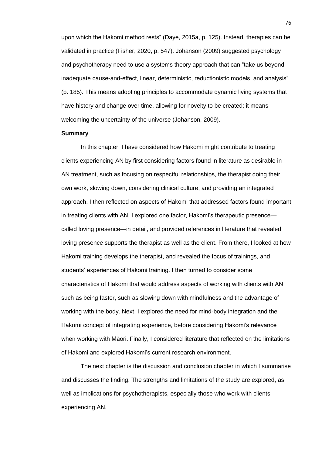upon which the Hakomi method rests" (Daye, 2015a, p. 125). Instead, therapies can be validated in practice (Fisher, 2020, p. 547). Johanson (2009) suggested psychology and psychotherapy need to use a systems theory approach that can "take us beyond inadequate cause-and-effect, linear, deterministic, reductionistic models, and analysis" (p. 185). This means adopting principles to accommodate dynamic living systems that have history and change over time, allowing for novelty to be created; it means welcoming the uncertainty of the universe (Johanson, 2009).

### **Summary**

In this chapter, I have considered how Hakomi might contribute to treating clients experiencing AN by first considering factors found in literature as desirable in AN treatment, such as focusing on respectful relationships, the therapist doing their own work, slowing down, considering clinical culture, and providing an integrated approach. I then reflected on aspects of Hakomi that addressed factors found important in treating clients with AN. I explored one factor, Hakomi's therapeutic presence called loving presence—in detail, and provided references in literature that revealed loving presence supports the therapist as well as the client. From there, I looked at how Hakomi training develops the therapist, and revealed the focus of trainings, and students' experiences of Hakomi training. I then turned to consider some characteristics of Hakomi that would address aspects of working with clients with AN such as being faster, such as slowing down with mindfulness and the advantage of working with the body. Next, I explored the need for mind-body integration and the Hakomi concept of integrating experience, before considering Hakomi's relevance when working with Māori. Finally, I considered literature that reflected on the limitations of Hakomi and explored Hakomi's current research environment.

The next chapter is the discussion and conclusion chapter in which I summarise and discusses the finding. The strengths and limitations of the study are explored, as well as implications for psychotherapists, especially those who work with clients experiencing AN.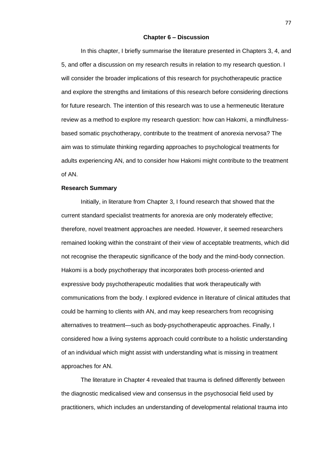### **Chapter 6 – Discussion**

In this chapter, I briefly summarise the literature presented in Chapters 3, 4, and 5, and offer a discussion on my research results in relation to my research question. I will consider the broader implications of this research for psychotherapeutic practice and explore the strengths and limitations of this research before considering directions for future research. The intention of this research was to use a hermeneutic literature review as a method to explore my research question: how can Hakomi, a mindfulnessbased somatic psychotherapy, contribute to the treatment of anorexia nervosa? The aim was to stimulate thinking regarding approaches to psychological treatments for adults experiencing AN, and to consider how Hakomi might contribute to the treatment of AN.

# **Research Summary**

Initially, in literature from Chapter 3, I found research that showed that the current standard specialist treatments for anorexia are only moderately effective; therefore, novel treatment approaches are needed. However, it seemed researchers remained looking within the constraint of their view of acceptable treatments, which did not recognise the therapeutic significance of the body and the mind-body connection. Hakomi is a body psychotherapy that incorporates both process-oriented and expressive body psychotherapeutic modalities that work therapeutically with communications from the body. I explored evidence in literature of clinical attitudes that could be harming to clients with AN, and may keep researchers from recognising alternatives to treatment—such as body-psychotherapeutic approaches. Finally, I considered how a living systems approach could contribute to a holistic understanding of an individual which might assist with understanding what is missing in treatment approaches for AN.

The literature in Chapter 4 revealed that trauma is defined differently between the diagnostic medicalised view and consensus in the psychosocial field used by practitioners, which includes an understanding of developmental relational trauma into

77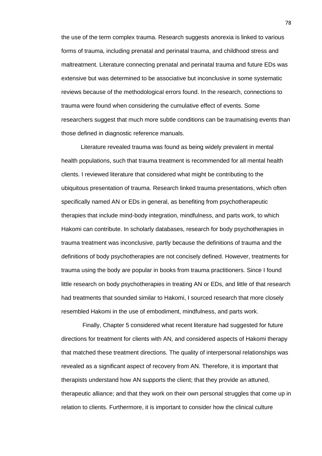the use of the term complex trauma. Research suggests anorexia is linked to various forms of trauma, including prenatal and perinatal trauma, and childhood stress and maltreatment. Literature connecting prenatal and perinatal trauma and future EDs was extensive but was determined to be associative but inconclusive in some systematic reviews because of the methodological errors found. In the research, connections to trauma were found when considering the cumulative effect of events. Some researchers suggest that much more subtle conditions can be traumatising events than those defined in diagnostic reference manuals.

Literature revealed trauma was found as being widely prevalent in mental health populations, such that trauma treatment is recommended for all mental health clients. I reviewed literature that considered what might be contributing to the ubiquitous presentation of trauma. Research linked trauma presentations, which often specifically named AN or EDs in general, as benefiting from psychotherapeutic therapies that include mind-body integration, mindfulness, and parts work, to which Hakomi can contribute. In scholarly databases, research for body psychotherapies in trauma treatment was inconclusive, partly because the definitions of trauma and the definitions of body psychotherapies are not concisely defined. However, treatments for trauma using the body are popular in books from trauma practitioners. Since I found little research on body psychotherapies in treating AN or EDs, and little of that research had treatments that sounded similar to Hakomi, I sourced research that more closely resembled Hakomi in the use of embodiment, mindfulness, and parts work.

Finally, Chapter 5 considered what recent literature had suggested for future directions for treatment for clients with AN, and considered aspects of Hakomi therapy that matched these treatment directions. The quality of interpersonal relationships was revealed as a significant aspect of recovery from AN. Therefore, it is important that therapists understand how AN supports the client; that they provide an attuned, therapeutic alliance; and that they work on their own personal struggles that come up in relation to clients. Furthermore, it is important to consider how the clinical culture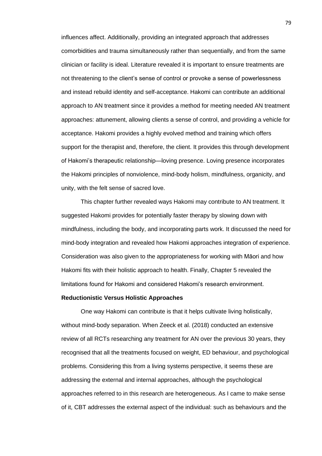influences affect. Additionally, providing an integrated approach that addresses comorbidities and trauma simultaneously rather than sequentially, and from the same clinician or facility is ideal. Literature revealed it is important to ensure treatments are not threatening to the client's sense of control or provoke a sense of powerlessness and instead rebuild identity and self-acceptance. Hakomi can contribute an additional approach to AN treatment since it provides a method for meeting needed AN treatment approaches: attunement, allowing clients a sense of control, and providing a vehicle for acceptance. Hakomi provides a highly evolved method and training which offers support for the therapist and, therefore, the client. It provides this through development of Hakomi's therapeutic relationship—loving presence. Loving presence incorporates the Hakomi principles of nonviolence, mind-body holism, mindfulness, organicity, and unity, with the felt sense of sacred love.

This chapter further revealed ways Hakomi may contribute to AN treatment. It suggested Hakomi provides for potentially faster therapy by slowing down with mindfulness, including the body, and incorporating parts work. It discussed the need for mind-body integration and revealed how Hakomi approaches integration of experience. Consideration was also given to the appropriateness for working with Māori and how Hakomi fits with their holistic approach to health. Finally, Chapter 5 revealed the limitations found for Hakomi and considered Hakomi's research environment.

### **Reductionistic Versus Holistic Approaches**

One way Hakomi can contribute is that it helps cultivate living holistically, without mind-body separation. When Zeeck et al. (2018) conducted an extensive review of all RCTs researching any treatment for AN over the previous 30 years, they recognised that all the treatments focused on weight, ED behaviour, and psychological problems. Considering this from a living systems perspective, it seems these are addressing the external and internal approaches, although the psychological approaches referred to in this research are heterogeneous. As I came to make sense of it, CBT addresses the external aspect of the individual: such as behaviours and the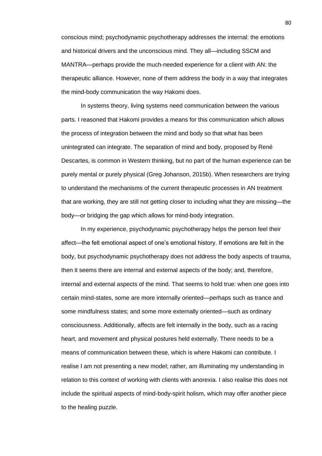conscious mind; psychodynamic psychotherapy addresses the internal: the emotions and historical drivers and the unconscious mind. They all—including SSCM and MANTRA—perhaps provide the much-needed experience for a client with AN: the therapeutic alliance. However, none of them address the body in a way that integrates the mind-body communication the way Hakomi does.

In systems theory, living systems need communication between the various parts. I reasoned that Hakomi provides a means for this communication which allows the process of integration between the mind and body so that what has been unintegrated can integrate. The separation of mind and body, proposed by René Descartes, is common in Western thinking, but no part of the human experience can be purely mental or purely physical (Greg Johanson, 2015b). When researchers are trying to understand the mechanisms of the current therapeutic processes in AN treatment that are working, they are still not getting closer to including what they are missing—the body—or bridging the gap which allows for mind-body integration.

In my experience, psychodynamic psychotherapy helps the person feel their affect—the felt emotional aspect of one's emotional history. If emotions are felt in the body, but psychodynamic psychotherapy does not address the body aspects of trauma, then it seems there are internal and external aspects of the body; and, therefore, internal and external aspects of the mind. That seems to hold true: when one goes into certain mind-states, some are more internally oriented—perhaps such as trance and some mindfulness states; and some more externally oriented—such as ordinary consciousness. Additionally, affects are felt internally in the body, such as a racing heart, and movement and physical postures held externally. There needs to be a means of communication between these, which is where Hakomi can contribute. I realise I am not presenting a new model; rather, am illuminating my understanding in relation to this context of working with clients with anorexia. I also realise this does not include the spiritual aspects of mind-body-spirit holism, which may offer another piece to the healing puzzle.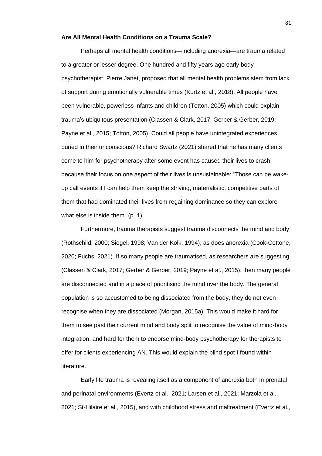# **Are All Mental Health Conditions on a Trauma Scale?**

Perhaps all mental health conditions—including anorexia—are trauma related to a greater or lesser degree. One hundred and fifty years ago early body psychotherapist, Pierre Janet, proposed that all mental health problems stem from lack of support during emotionally vulnerable times (Kurtz et al., 2018). All people have been vulnerable, powerless infants and children (Totton, 2005) which could explain trauma's ubiquitous presentation (Classen & Clark, 2017; Gerber & Gerber, 2019; Payne et al., 2015; Totton, 2005). Could all people have unintegrated experiences buried in their unconscious? Richard Swartz (2021) shared that he has many clients come to him for psychotherapy after some event has caused their lives to crash because their focus on one aspect of their lives is unsustainable: "Those can be wakeup call events if I can help them keep the striving, materialistic, competitive parts of them that had dominated their lives from regaining dominance so they can explore what else is inside them" (p. 1).

Furthermore, trauma therapists suggest trauma disconnects the mind and body (Rothschild, 2000; Siegel, 1998; Van der Kolk, 1994), as does anorexia (Cook-Cottone, 2020; Fuchs, 2021). If so many people are traumatised, as researchers are suggesting (Classen & Clark, 2017; Gerber & Gerber, 2019; Payne et al., 2015), then many people are disconnected and in a place of prioritising the mind over the body. The general population is so accustomed to being dissociated from the body, they do not even recognise when they are dissociated (Morgan, 2015a). This would make it hard for them to see past their current mind and body split to recognise the value of mind-body integration, and hard for them to endorse mind-body psychotherapy for therapists to offer for clients experiencing AN. This would explain the blind spot I found within literature.

Early life trauma is revealing itself as a component of anorexia both in prenatal and perinatal environments (Evertz et al., 2021; Larsen et al., 2021; Marzola et al., 2021; St‐Hilaire et al., 2015), and with childhood stress and maltreatment (Evertz et al.,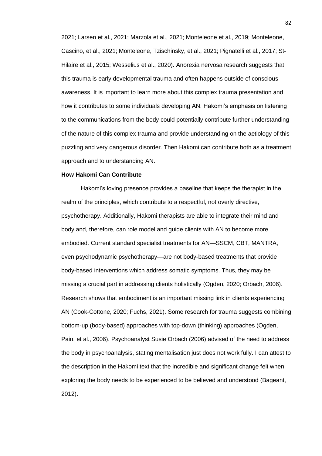2021; Larsen et al., 2021; Marzola et al., 2021; Monteleone et al., 2019; Monteleone, Cascino, et al., 2021; Monteleone, Tzischinsky, et al., 2021; Pignatelli et al., 2017; St‐ Hilaire et al., 2015; Wesselius et al., 2020). Anorexia nervosa research suggests that this trauma is early developmental trauma and often happens outside of conscious awareness. It is important to learn more about this complex trauma presentation and how it contributes to some individuals developing AN. Hakomi's emphasis on listening to the communications from the body could potentially contribute further understanding of the nature of this complex trauma and provide understanding on the aetiology of this puzzling and very dangerous disorder. Then Hakomi can contribute both as a treatment approach and to understanding AN.

## **How Hakomi Can Contribute**

Hakomi's loving presence provides a baseline that keeps the therapist in the realm of the principles, which contribute to a respectful, not overly directive, psychotherapy. Additionally, Hakomi therapists are able to integrate their mind and body and, therefore, can role model and guide clients with AN to become more embodied. Current standard specialist treatments for AN—SSCM, CBT, MANTRA, even psychodynamic psychotherapy—are not body-based treatments that provide body-based interventions which address somatic symptoms. Thus, they may be missing a crucial part in addressing clients holistically (Ogden, 2020; Orbach, 2006). Research shows that embodiment is an important missing link in clients experiencing AN (Cook-Cottone, 2020; Fuchs, 2021). Some research for trauma suggests combining bottom-up (body-based) approaches with top-down (thinking) approaches (Ogden, Pain, et al., 2006). Psychoanalyst Susie Orbach (2006) advised of the need to address the body in psychoanalysis, stating mentalisation just does not work fully. I can attest to the description in the Hakomi text that the incredible and significant change felt when exploring the body needs to be experienced to be believed and understood (Bageant, 2012).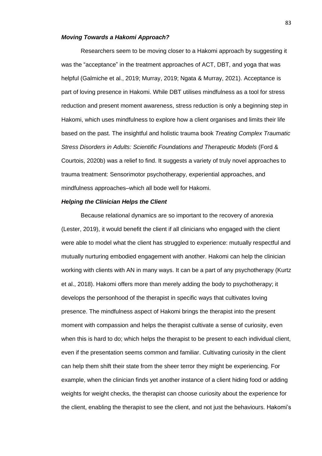# *Moving Towards a Hakomi Approach?*

Researchers seem to be moving closer to a Hakomi approach by suggesting it was the "acceptance" in the treatment approaches of ACT, DBT, and yoga that was helpful (Galmiche et al., 2019; Murray, 2019; Ngata & Murray, 2021). Acceptance is part of loving presence in Hakomi. While DBT utilises mindfulness as a tool for stress reduction and present moment awareness, stress reduction is only a beginning step in Hakomi, which uses mindfulness to explore how a client organises and limits their life based on the past. The insightful and holistic trauma book *Treating Complex Traumatic Stress Disorders in Adults: Scientific Foundations and Therapeutic Models* (Ford & Courtois, 2020b) was a relief to find. It suggests a variety of truly novel approaches to trauma treatment: Sensorimotor psychotherapy, experiential approaches, and mindfulness approaches–which all bode well for Hakomi.

# *Helping the Clinician Helps the Client*

Because relational dynamics are so important to the recovery of anorexia (Lester, 2019), it would benefit the client if all clinicians who engaged with the client were able to model what the client has struggled to experience: mutually respectful and mutually nurturing embodied engagement with another. Hakomi can help the clinician working with clients with AN in many ways. It can be a part of any psychotherapy (Kurtz et al., 2018). Hakomi offers more than merely adding the body to psychotherapy; it develops the personhood of the therapist in specific ways that cultivates loving presence. The mindfulness aspect of Hakomi brings the therapist into the present moment with compassion and helps the therapist cultivate a sense of curiosity, even when this is hard to do; which helps the therapist to be present to each individual client, even if the presentation seems common and familiar. Cultivating curiosity in the client can help them shift their state from the sheer terror they might be experiencing. For example, when the clinician finds yet another instance of a client hiding food or adding weights for weight checks, the therapist can choose curiosity about the experience for the client, enabling the therapist to see the client, and not just the behaviours. Hakomi's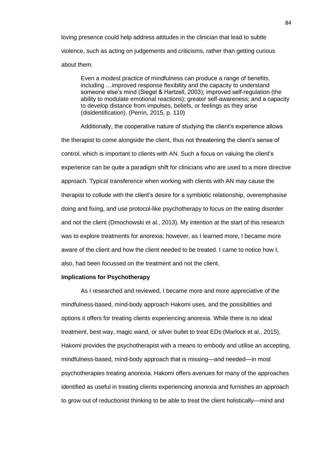loving presence could help address attitudes in the clinician that lead to subtle violence, such as acting on judgements and criticisms, rather than getting curious about them.

Even a modest practice of mindfulness can produce a range of benefits, including …improved response flexibility and the capacity to understand someone else's mind (Siegel & Hartzell, 2003); improved self-regulation (the ability to modulate emotional reactions); greater self-awareness; and a capacity to develop distance from impulses, beliefs, or feelings as they arise (disidentification). (Perrin, 2015, p. 110)

Additionally, the cooperative nature of studying the client's experience allows the therapist to come alongside the client, thus not threatening the client's sense of control, which is important to clients with AN. Such a focus on valuing the client's experience can be quite a paradigm shift for clinicians who are used to a more directive approach. Typical transference when working with clients with AN may cause the therapist to collude with the client's desire for a symbiotic relationship, overemphasise doing and fixing, and use protocol-like psychotherapy to focus on the eating disorder and not the client (Dmochowski et al., 2013). My intention at the start of this research was to explore treatments for anorexia; however, as I learned more, I became more aware of the client and how the client needed to be treated. I came to notice how I, also, had been focussed on the treatment and not the client.

# **Implications for Psychotherapy**

As I researched and reviewed, I became more and more appreciative of the mindfulness-based, mind-body approach Hakomi uses, and the possibilities and options it offers for treating clients experiencing anorexia. While there is no ideal treatment, best way, magic wand, or silver bullet to treat EDs (Marlock et al., 2015), Hakomi provides the psychotherapist with a means to embody and utilise an accepting, mindfulness-based, mind-body approach that is missing—and needed—in most psychotherapies treating anorexia. Hakomi offers avenues for many of the approaches identified as useful in treating clients experiencing anorexia and furnishes an approach to grow out of reductionist thinking to be able to treat the client holistically—mind and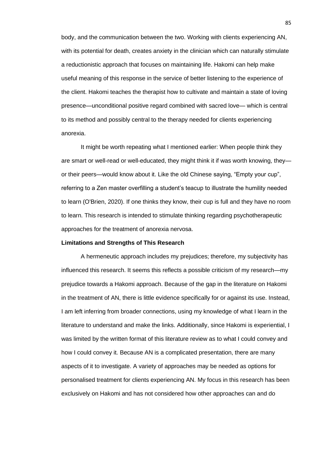body, and the communication between the two. Working with clients experiencing AN, with its potential for death, creates anxiety in the clinician which can naturally stimulate a reductionistic approach that focuses on maintaining life. Hakomi can help make useful meaning of this response in the service of better listening to the experience of the client. Hakomi teaches the therapist how to cultivate and maintain a state of loving presence—unconditional positive regard combined with sacred love— which is central to its method and possibly central to the therapy needed for clients experiencing anorexia.

It might be worth repeating what I mentioned earlier: When people think they are smart or well-read or well-educated, they might think it if was worth knowing, they or their peers—would know about it. Like the old Chinese saying, "Empty your cup", referring to a Zen master overfilling a student's teacup to illustrate the humility needed to learn (O'Brien, 2020). If one thinks they know, their cup is full and they have no room to learn. This research is intended to stimulate thinking regarding psychotherapeutic approaches for the treatment of anorexia nervosa.

#### **Limitations and Strengths of This Research**

A hermeneutic approach includes my prejudices; therefore, my subjectivity has influenced this research. It seems this reflects a possible criticism of my research—my prejudice towards a Hakomi approach. Because of the gap in the literature on Hakomi in the treatment of AN, there is little evidence specifically for or against its use. Instead, I am left inferring from broader connections, using my knowledge of what I learn in the literature to understand and make the links. Additionally, since Hakomi is experiential, I was limited by the written format of this literature review as to what I could convey and how I could convey it. Because AN is a complicated presentation, there are many aspects of it to investigate. A variety of approaches may be needed as options for personalised treatment for clients experiencing AN. My focus in this research has been exclusively on Hakomi and has not considered how other approaches can and do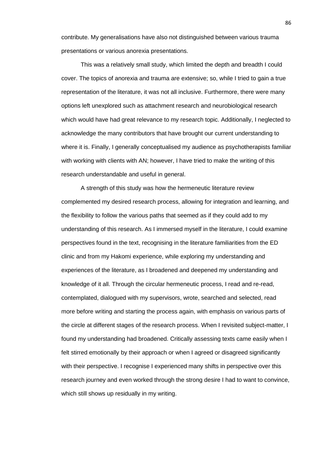contribute. My generalisations have also not distinguished between various trauma presentations or various anorexia presentations.

This was a relatively small study, which limited the depth and breadth I could cover. The topics of anorexia and trauma are extensive; so, while I tried to gain a true representation of the literature, it was not all inclusive. Furthermore, there were many options left unexplored such as attachment research and neurobiological research which would have had great relevance to my research topic. Additionally, I neglected to acknowledge the many contributors that have brought our current understanding to where it is. Finally, I generally conceptualised my audience as psychotherapists familiar with working with clients with AN; however, I have tried to make the writing of this research understandable and useful in general.

A strength of this study was how the hermeneutic literature review complemented my desired research process, allowing for integration and learning, and the flexibility to follow the various paths that seemed as if they could add to my understanding of this research. As I immersed myself in the literature, I could examine perspectives found in the text, recognising in the literature familiarities from the ED clinic and from my Hakomi experience, while exploring my understanding and experiences of the literature, as I broadened and deepened my understanding and knowledge of it all. Through the circular hermeneutic process, I read and re-read, contemplated, dialogued with my supervisors, wrote, searched and selected, read more before writing and starting the process again, with emphasis on various parts of the circle at different stages of the research process. When I revisited subject-matter, I found my understanding had broadened. Critically assessing texts came easily when I felt stirred emotionally by their approach or when I agreed or disagreed significantly with their perspective. I recognise I experienced many shifts in perspective over this research journey and even worked through the strong desire I had to want to convince, which still shows up residually in my writing.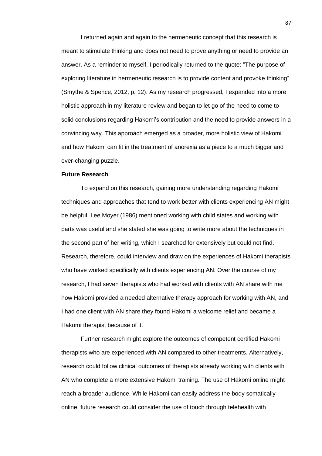I returned again and again to the hermeneutic concept that this research is meant to stimulate thinking and does not need to prove anything or need to provide an answer. As a reminder to myself, I periodically returned to the quote: "The purpose of exploring literature in hermeneutic research is to provide content and provoke thinking" (Smythe & Spence, 2012, p. 12). As my research progressed, I expanded into a more holistic approach in my literature review and began to let go of the need to come to solid conclusions regarding Hakomi's contribution and the need to provide answers in a convincing way. This approach emerged as a broader, more holistic view of Hakomi and how Hakomi can fit in the treatment of anorexia as a piece to a much bigger and ever-changing puzzle.

# **Future Research**

To expand on this research, gaining more understanding regarding Hakomi techniques and approaches that tend to work better with clients experiencing AN might be helpful. Lee Moyer (1986) mentioned working with child states and working with parts was useful and she stated she was going to write more about the techniques in the second part of her writing, which I searched for extensively but could not find. Research, therefore, could interview and draw on the experiences of Hakomi therapists who have worked specifically with clients experiencing AN. Over the course of my research, I had seven therapists who had worked with clients with AN share with me how Hakomi provided a needed alternative therapy approach for working with AN, and I had one client with AN share they found Hakomi a welcome relief and became a Hakomi therapist because of it.

Further research might explore the outcomes of competent certified Hakomi therapists who are experienced with AN compared to other treatments. Alternatively, research could follow clinical outcomes of therapists already working with clients with AN who complete a more extensive Hakomi training. The use of Hakomi online might reach a broader audience. While Hakomi can easily address the body somatically online, future research could consider the use of touch through telehealth with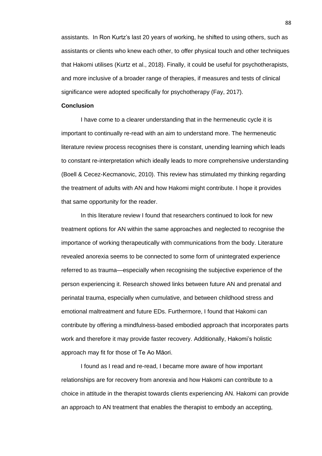assistants. In Ron Kurtz's last 20 years of working, he shifted to using others, such as assistants or clients who knew each other, to offer physical touch and other techniques that Hakomi utilises (Kurtz et al., 2018). Finally, it could be useful for psychotherapists, and more inclusive of a broader range of therapies, if measures and tests of clinical significance were adopted specifically for psychotherapy (Fay, 2017).

# **Conclusion**

I have come to a clearer understanding that in the hermeneutic cycle it is important to continually re-read with an aim to understand more. The hermeneutic literature review process recognises there is constant, unending learning which leads to constant re-interpretation which ideally leads to more comprehensive understanding (Boell & Cecez-Kecmanovic, 2010). This review has stimulated my thinking regarding the treatment of adults with AN and how Hakomi might contribute. I hope it provides that same opportunity for the reader.

In this literature review I found that researchers continued to look for new treatment options for AN within the same approaches and neglected to recognise the importance of working therapeutically with communications from the body. Literature revealed anorexia seems to be connected to some form of unintegrated experience referred to as trauma—especially when recognising the subjective experience of the person experiencing it. Research showed links between future AN and prenatal and perinatal trauma, especially when cumulative, and between childhood stress and emotional maltreatment and future EDs. Furthermore, I found that Hakomi can contribute by offering a mindfulness-based embodied approach that incorporates parts work and therefore it may provide faster recovery. Additionally, Hakomi's holistic approach may fit for those of Te Ao Māori.

I found as I read and re-read, I became more aware of how important relationships are for recovery from anorexia and how Hakomi can contribute to a choice in attitude in the therapist towards clients experiencing AN. Hakomi can provide an approach to AN treatment that enables the therapist to embody an accepting,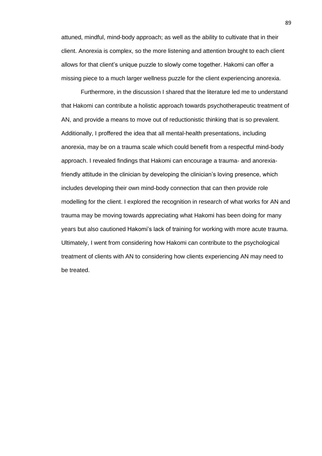attuned, mindful, mind-body approach; as well as the ability to cultivate that in their client. Anorexia is complex, so the more listening and attention brought to each client allows for that client's unique puzzle to slowly come together. Hakomi can offer a missing piece to a much larger wellness puzzle for the client experiencing anorexia.

Furthermore, in the discussion I shared that the literature led me to understand that Hakomi can contribute a holistic approach towards psychotherapeutic treatment of AN, and provide a means to move out of reductionistic thinking that is so prevalent. Additionally, I proffered the idea that all mental-health presentations, including anorexia, may be on a trauma scale which could benefit from a respectful mind-body approach. I revealed findings that Hakomi can encourage a trauma- and anorexiafriendly attitude in the clinician by developing the clinician's loving presence, which includes developing their own mind-body connection that can then provide role modelling for the client. I explored the recognition in research of what works for AN and trauma may be moving towards appreciating what Hakomi has been doing for many years but also cautioned Hakomi's lack of training for working with more acute trauma. Ultimately, I went from considering how Hakomi can contribute to the psychological treatment of clients with AN to considering how clients experiencing AN may need to be treated.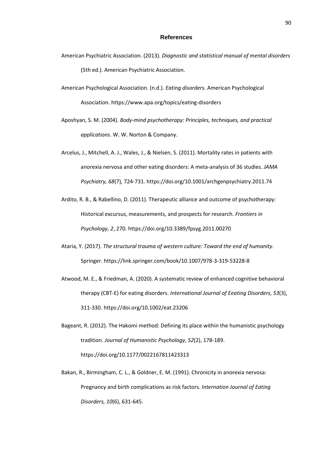#### **References**

- American Psychiatric Association. (2013). *Diagnostic and statistical manual of mental disorders* (5th ed.). American Psychiatric Association.
- American Psychological Association. (n.d.). *Eating disorders.* American Psychological Association. https://www.apa.org/topics/eating-disorders
- Aposhyan, S. M. (2004). *Body-mind psychotherapy: Principles, techniques, and practical applications*. W. W. Norton & Company.
- Arcelus, J., Mitchell, A. J., Wales, J., & Nielsen, S. (2011). Mortality rates in patients with anorexia nervosa and other eating disorders: A meta-analysis of 36 studies. *JAMA Psychiatry, 68*(7)*,* 724-731. https://doi.org/10.1001/archgenpsychiatry.2011.74
- Ardito, R. B., & Rabellino, D. (2011). Therapeutic alliance and outcome of psychotherapy: Historical excursus, measurements, and prospects for research. *Frontiers in Psychology, 2*, 270. https://doi.org/10.3389/fpsyg.2011.00270
- Ataria, Y. (2017). *The structural trauma of western culture: Toward the end of humanity*. Springer. https://link.springer.com/book/10.1007/978-3-319-53228-8
- Atwood, M. E., & Friedman, A. (2020). A systematic review of enhanced cognitive behavioral therapy (CBT-E) for eating disorders. *International Journal of Eeating Disorders, 53*(3), 311-330. https://doi.org/10.1002/eat.23206
- Bageant, R. (2012). The Hakomi method: Defining its place within the humanistic psychology tradition. *Journal of Humanistic Psychology, 52*(2), 178-189. https://doi.org/10.1177/0022167811423313
- Bakan, R., Birmingham, C. L., & Goldner, E. M. (1991). Chronicity in anorexia nervosa: Pregnancy and birth complications as risk factors. *Internation Journal of Eating Disorders, 10*(6), 631-645.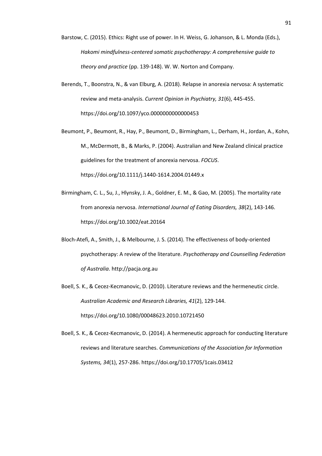- Barstow, C. (2015). Ethics: Right use of power. In H. Weiss, G. Johanson, & L. Monda (Eds.), *Hakomi mindfulness-centered somatic psychotherapy: A comprehensive guide to theory and practice* (pp. 139-148). W. W. Norton and Company.
- Berends, T., Boonstra, N., & van Elburg, A. (2018). Relapse in anorexia nervosa: A systematic review and meta-analysis. *Current Opinion in Psychiatry, 31*(6), 445-455. https://doi.org/10.1097/yco.0000000000000453
- Beumont, P., Beumont, R., Hay, P., Beumont, D., Birmingham, L., Derham, H., Jordan, A., Kohn, M., McDermott, B., & Marks, P. (2004). Australian and New Zealand clinical practice guidelines for the treatment of anorexia nervosa. *FOCUS*. https://doi.org/10.1111/j.1440-1614.2004.01449.x
- Birmingham, C. L., Su, J., Hlynsky, J. A., Goldner, E. M., & Gao, M. (2005). The mortality rate from anorexia nervosa. *International Journal of Eating Disorders, 38*(2), 143-146. https://doi.org/10.1002/eat.20164
- Bloch-Atefi, A., Smith, J., & Melbourne, J. S. (2014). The effectiveness of body-oriented psychotherapy: A review of the literature. *Psychotherapy and Counselling Federation of Australia*. http://pacja.org.au
- Boell, S. K., & Cecez-Kecmanovic, D. (2010). Literature reviews and the hermeneutic circle. *Australian Academic and Research Libraries, 41*(2), 129-144. https://doi.org/10.1080/00048623.2010.10721450
- Boell, S. K., & Cecez-Kecmanovic, D. (2014). A hermeneutic approach for conducting literature reviews and literature searches. *Communications of the Association for Information Systems, 34*(1), 257-286. https://doi.org/10.17705/1cais.03412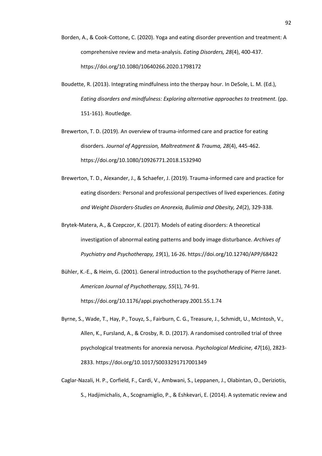- Borden, A., & Cook-Cottone, C. (2020). Yoga and eating disorder prevention and treatment: A comprehensive review and meta-analysis. *Eating Disorders, 28*(4), 400-437. https://doi.org/10.1080/10640266.2020.1798172
- Boudette, R. (2013). Integrating mindfulness into the therpay hour. In DeSole, L. M. (Ed.), *Eating disorders and mindfulness: Exploring alternative approaches to treatment.* (pp. 151-161). Routledge.
- Brewerton, T. D. (2019). An overview of trauma-informed care and practice for eating disorders. *Journal of Aggression, Maltreatment & Trauma, 28*(4), 445-462. https://doi.org/10.1080/10926771.2018.1532940
- Brewerton, T. D., Alexander, J., & Schaefer, J. (2019). Trauma-informed care and practice for eating disorders: Personal and professional perspectives of lived experiences. *Eating and Weight Disorders-Studies on Anorexia, Bulimia and Obesity, 24*(2), 329-338.
- Brytek-Matera, A., & Czepczor, K. (2017). Models of eating disorders: A theoretical investigation of abnormal eating patterns and body image disturbance. *Archives of Psychiatry and Psychotherapy, 19*(1), 16-26. https://doi.org/10.12740/APP/68422
- Bühler, K.-E., & Heim, G. (2001). General introduction to the psychotherapy of Pierre Janet. *American Journal of Psychotherapy, 55*(1), 74-91. https://doi.org/10.1176/appi.psychotherapy.2001.55.1.74
- Byrne, S., Wade, T., Hay, P., Touyz, S., Fairburn, C. G., Treasure, J., Schmidt, U., McIntosh, V., Allen, K., Fursland, A., & Crosby, R. D. (2017). A randomised controlled trial of three psychological treatments for anorexia nervosa. *Psychological Medicine, 47*(16), 2823- 2833. https://doi.org/10.1017/S0033291717001349
- Caglar-Nazali, H. P., Corfield, F., Cardi, V., Ambwani, S., Leppanen, J., Olabintan, O., Deriziotis, S., Hadjimichalis, A., Scognamiglio, P., & Eshkevari, E. (2014). A systematic review and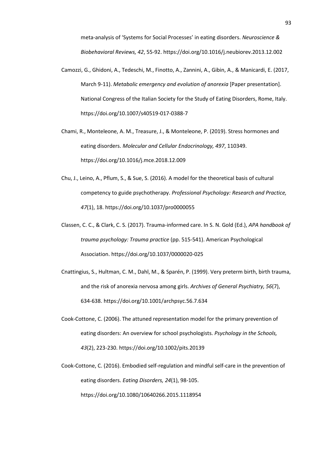meta-analysis of 'Systems for Social Processes' in eating disorders. *Neuroscience & Biobehavioral Reviews, 42*, 55-92. https://doi.org/10.1016/j.neubiorev.2013.12.002

- Camozzi, G., Ghidoni, A., Tedeschi, M., Finotto, A., Zannini, A., Gibin, A., & Manicardi, E. (2017, March 9-11). *Metabolic emergency and evolution of anorexia* [Paper presentation]. National Congress of the Italian Society for the Study of Eating Disorders, Rome, Italy. https://doi.org/10.1007/s40519-017-0388-7
- Chami, R., Monteleone, A. M., Treasure, J., & Monteleone, P. (2019). Stress hormones and eating disorders. *Molecular and Cellular Endocrinology, 497*, 110349. https://doi.org/10.1016/j.mce.2018.12.009
- Chu, J., Leino, A., Pflum, S., & Sue, S. (2016). A model for the theoretical basis of cultural competency to guide psychotherapy. *Professional Psychology: Research and Practice, 47*(1), 18. https://doi.org/10.1037/pro0000055
- Classen, C. C., & Clark, C. S. (2017). Trauma-informed care. In S. N. Gold (Ed.), *APA handbook of trauma psychology: Trauma practice* (pp. 515-541). American Psychological Association. https://doi.org/10.1037/0000020-025
- Cnattingius, S., Hultman, C. M., Dahl, M., & Sparén, P. (1999). Very preterm birth, birth trauma, and the risk of anorexia nervosa among girls. *Archives of General Psychiatry, 56*(7), 634-638. https://doi.org/10.1001/archpsyc.56.7.634
- Cook‐Cottone, C. (2006). The attuned representation model for the primary prevention of eating disorders: An overview for school psychologists. *Psychology in the Schools, 43*(2), 223-230. https://doi.org/10.1002/pits.20139
- Cook-Cottone, C. (2016). Embodied self-regulation and mindful self-care in the prevention of eating disorders. *Eating Disorders, 24*(1), 98-105. https://doi.org/10.1080/10640266.2015.1118954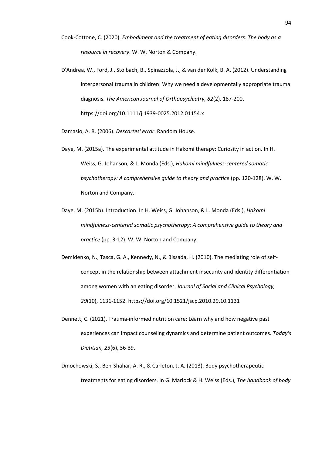- Cook-Cottone, C. (2020). *Embodiment and the treatment of eating disorders: The body as a resource in recovery*. W. W. Norton & Company.
- D'Andrea, W., Ford, J., Stolbach, B., Spinazzola, J., & van der Kolk, B. A. (2012). Understanding interpersonal trauma in children: Why we need a developmentally appropriate trauma diagnosis. *The American Journal of Orthopsychiatry, 82*(2), 187-200. https://doi.org/10.1111/j.1939-0025.2012.01154.x

Damasio, A. R. (2006). *Descartes' error*. Random House.

- Daye, M. (2015a). The experimental attitude in Hakomi therapy: Curiosity in action. In H. Weiss, G. Johanson, & L. Monda (Eds.), *Hakomi mindfulness-centered somatic psychotherapy: A comprehensive guide to theory and practice* (pp. 120-128). W. W. Norton and Company.
- Daye, M. (2015b). Introduction. In H. Weiss, G. Johanson, & L. Monda (Eds.), *Hakomi mindfulness-centered somatic psychotherapy: A comprehensive guide to theory and practice* (pp. 3-12). W. W. Norton and Company.
- Demidenko, N., Tasca, G. A., Kennedy, N., & Bissada, H. (2010). The mediating role of selfconcept in the relationship between attachment insecurity and identity differentiation among women with an eating disorder. *Journal of Social and Clinical Psychology, 29*(10), 1131-1152. https://doi.org/10.1521/jscp.2010.29.10.1131
- Dennett, C. (2021). Trauma-informed nutrition care: Learn why and how negative past experiences can impact counseling dynamics and determine patient outcomes. *Today's Dietitian, 23*(6), 36-39.
- Dmochowski, S., Ben-Shahar, A. R., & Carleton, J. A. (2013). Body psychotherapeutic treatments for eating disorders. In G. Marlock & H. Weiss (Eds.), *The handbook of body*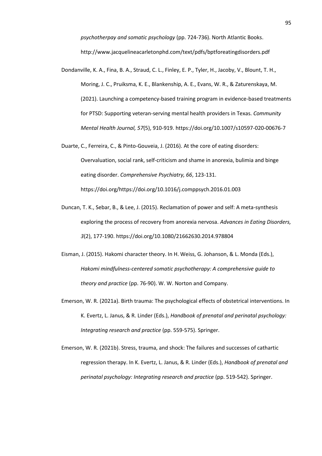*psychotherpay and somatic psychology* (pp. 724-736). North Atlantic Books. http://www.jacquelineacarletonphd.com/text/pdfs/bptforeatingdisorders.pdf

- Dondanville, K. A., Fina, B. A., Straud, C. L., Finley, E. P., Tyler, H., Jacoby, V., Blount, T. H., Moring, J. C., Pruiksma, K. E., Blankenship, A. E., Evans, W. R., & Zaturenskaya, M. (2021). Launching a competency-based training program in evidence-based treatments for PTSD: Supporting veteran-serving mental health providers in Texas. *Community Mental Health Journal, 57*(5), 910-919. https://doi.org/10.1007/s10597-020-00676-7
- Duarte, C., Ferreira, C., & Pinto-Gouveia, J. (2016). At the core of eating disorders: Overvaluation, social rank, self-criticism and shame in anorexia, bulimia and binge eating disorder. *Comprehensive Psychiatry, 66*, 123-131. https://doi.org/https://doi.org/10.1016/j.comppsych.2016.01.003
- Duncan, T. K., Sebar, B., & Lee, J. (2015). Reclamation of power and self: A meta-synthesis exploring the process of recovery from anorexia nervosa. *Advances in Eating Disorders, 3*(2), 177-190. https://doi.org/10.1080/21662630.2014.978804
- Eisman, J. (2015). Hakomi character theory. In H. Weiss, G. Johanson, & L. Monda (Eds.), *Hakomi mindfulness-centered somatic psychotherapy: A comprehensive guide to theory and practice* (pp. 76-90). W. W. Norton and Company.
- Emerson, W. R. (2021a). Birth trauma: The psychological effects of obstetrical interventions. In K. Evertz, L. Janus, & R. Linder (Eds.), *Handbook of prenatal and perinatal psychology: Integrating research and practice* (pp. 559-575). Springer.
- Emerson, W. R. (2021b). Stress, trauma, and shock: The failures and successes of cathartic regression therapy. In K. Evertz, L. Janus, & R. Linder (Eds.), *Handbook of prenatal and perinatal psychology: Integrating research and practice* (pp. 519-542). Springer.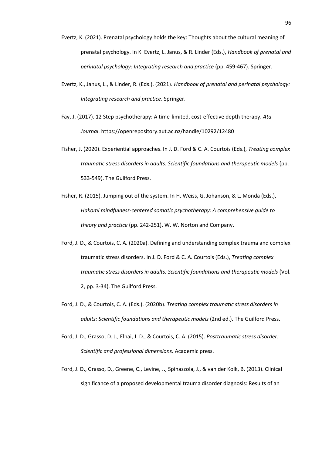- Evertz, K. (2021). Prenatal psychology holds the key: Thoughts about the cultural meaning of prenatal psychology. In K. Evertz, L. Janus, & R. Linder (Eds.), *Handbook of prenatal and perinatal psychology: Integrating research and practice* (pp. 459-467). Springer.
- Evertz, K., Janus, L., & Linder, R. (Eds.). (2021). *Handbook of prenatal and perinatal psychology: Integrating research and practice*. Springer.
- Fay, J. (2017). 12 Step psychotherapy: A time-limited, cost-effective depth therapy. *Ata Journal*. https://openrepository.aut.ac.nz/handle/10292/12480
- Fisher, J. (2020). Experiential approaches. In J. D. Ford & C. A. Courtois (Eds.), *Treating complex traumatic stress disorders in adults: Scientific foundations and therapeutic models* (pp. 533-549). The Guilford Press.
- Fisher, R. (2015). Jumping out of the system. In H. Weiss, G. Johanson, & L. Monda (Eds.), *Hakomi mindfulness-centered somatic psychotherapy: A comprehensive guide to theory and practice* (pp. 242-251). W. W. Norton and Company.
- Ford, J. D., & Courtois, C. A. (2020a). Defining and understanding complex trauma and complex traumatic stress disorders. In J. D. Ford & C. A. Courtois (Eds.), *Treating complex traumatic stress disorders in adults: Scientific foundations and therapeutic models* (Vol. 2, pp. 3-34). The Guilford Press.
- Ford, J. D., & Courtois, C. A. (Eds.). (2020b). *Treating complex traumatic stress disorders in adults: Scientific foundations and therapeutic models* (2nd ed.). The Guilford Press.
- Ford, J. D., Grasso, D. J., Elhai, J. D., & Courtois, C. A. (2015). *Posttraumatic stress disorder: Scientific and professional dimensions*. Academic press.
- Ford, J. D., Grasso, D., Greene, C., Levine, J., Spinazzola, J., & van der Kolk, B. (2013). Clinical significance of a proposed developmental trauma disorder diagnosis: Results of an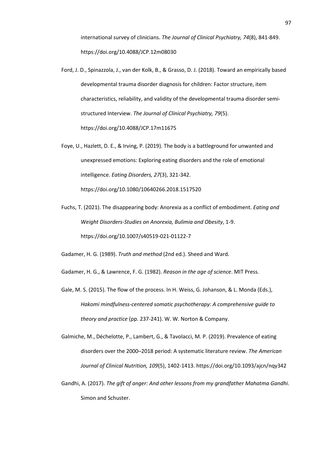international survey of clinicians. *The Journal of Clinical Psychiatry, 74*(8), 841-849. https://doi.org/10.4088/JCP.12m08030

- Ford, J. D., Spinazzola, J., van der Kolk, B., & Grasso, D. J. (2018). Toward an empirically based developmental trauma disorder diagnosis for children: Factor structure, item characteristics, reliability, and validity of the developmental trauma disorder semistructured Interview. *The Journal of Clinical Psychiatry, 79*(5). https://doi.org/10.4088/JCP.17m11675
- Foye, U., Hazlett, D. E., & Irving, P. (2019). The body is a battleground for unwanted and unexpressed emotions: Exploring eating disorders and the role of emotional intelligence. *Eating Disorders, 27*(3), 321-342. https://doi.org/10.1080/10640266.2018.1517520
- Fuchs, T. (2021). The disappearing body: Anorexia as a conflict of embodiment. *Eating and Weight Disorders-Studies on Anorexia, Bulimia and Obesity*, 1-9. https://doi.org/10.1007/s40519-021-01122-7

Gadamer, H. G. (1989). *Truth and method* (2nd ed.). Sheed and Ward.

Gadamer, H. G., & Lawrence, F. G. (1982). *Reason in the age of science*. MIT Press.

- Gale, M. S. (2015). The flow of the process. In H. Weiss, G. Johanson, & L. Monda (Eds.), *Hakomi mindfulness-centered somatic psychotherapy: A comprehensive guide to theory and practice* (pp. 237-241). W. W. Norton & Company.
- Galmiche, M., Déchelotte, P., Lambert, G., & Tavolacci, M. P. (2019). Prevalence of eating disorders over the 2000–2018 period: A systematic literature review. *The American Journal of Clinical Nutrition, 109*(5), 1402-1413. https://doi.org/10.1093/ajcn/nqy342
- Gandhi, A. (2017). *The gift of anger: And other lessons from my grandfather Mahatma Gandhi*. Simon and Schuster.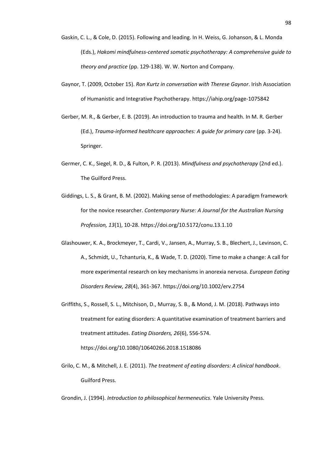- Gaskin, C. L., & Cole, D. (2015). Following and leading. In H. Weiss, G. Johanson, & L. Monda (Eds.), *Hakomi mindfulness-centered somatic psychotherapy: A comprehensive guide to theory and practice* (pp. 129-138). W. W. Norton and Company.
- Gaynor, T. (2009, October 15). *Ron Kurtz in conversation with Therese Gaynor*. Irish Association of Humanistic and Integrative Psychotherapy. https://iahip.org/page-1075842
- Gerber, M. R., & Gerber, E. B. (2019). An introduction to trauma and health. In M. R. Gerber (Ed.), *Trauma-informed healthcare approaches: A guide for primary care* (pp. 3-24). Springer.
- Germer, C. K., Siegel, R. D., & Fulton, P. R. (2013). *Mindfulness and psychotherapy* (2nd ed.). The Guilford Press.
- Giddings, L. S., & Grant, B. M. (2002). Making sense of methodologies: A paradigm framework for the novice researcher. *Contemporary Nurse: A Journal for the Australian Nursing Profession, 13*(1), 10-28. https://doi.org/10.5172/conu.13.1.10
- Glashouwer, K. A., Brockmeyer, T., Cardi, V., Jansen, A., Murray, S. B., Blechert, J., Levinson, C. A., Schmidt, U., Tchanturia, K., & Wade, T. D. (2020). Time to make a change: A call for more experimental research on key mechanisms in anorexia nervosa. *European Eating Disorders Review, 28*(4), 361-367. https://doi.org/10.1002/erv.2754
- Griffiths, S., Rossell, S. L., Mitchison, D., Murray, S. B., & Mond, J. M. (2018). Pathways into treatment for eating disorders: A quantitative examination of treatment barriers and treatment attitudes. *Eating Disorders, 26*(6), 556-574. https://doi.org/10.1080/10640266.2018.1518086
- Grilo, C. M., & Mitchell, J. E. (2011). *The treatment of eating disorders: A clinical handbook*. Guilford Press.

Grondin, J. (1994). *Introduction to philosophical hermeneutics*. Yale University Press.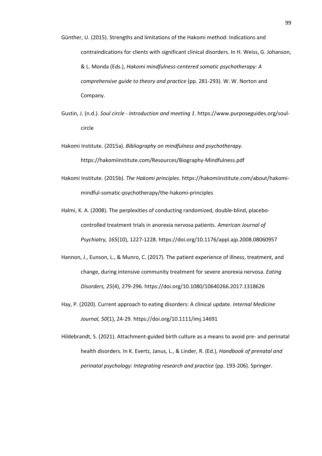- Günther, U. (2015). Strengths and limitations of the Hakomi method: Indications and contraindications for clients with significant clinical disorders. In H. Weiss, G. Johanson, & L. Monda (Eds.), *Hakomi mindfulness-centered somatic psychotherapy: A comprehensive guide to theory and practice* (pp. 281-293). W. W. Norton and Company.
- Gustin, J. (n.d.). *Soul circle - Introduction and meeting 1*. https://www.purposeguides.org/soulcircle
- Hakomi Institute. (2015a). *Bibliography on mindfulness and psychotherapy*. https://hakomiinstitute.com/Resources/Biography-Mindfulness.pdf
- Hakomi Institute. (2015b). *The Hakomi principles*. https://hakomiinstitute.com/about/hakomimindful-somatic-psychotherapy/the-hakomi-principles
- Halmi, K. A. (2008). The perplexities of conducting randomized, double-blind, placebocontrolled treatment trials in anorexia nervosa patients. *American Journal of Psychiatry, 165*(10), 1227-1228. https://doi.org/10.1176/appi.ajp.2008.08060957
- Hannon, J., Eunson, L., & Munro, C. (2017). The patient experience of illness, treatment, and change, during intensive community treatment for severe anorexia nervosa. *Eating Disorders, 25*(4), 279-296. https://doi.org/10.1080/10640266.2017.1318626
- Hay, P. (2020). Current approach to eating disorders: A clinical update. *Internal Medicine Journal, 50*(1), 24-29. https://doi.org/10.1111/imj.14691
- Hildebrandt, S. (2021). Attachment-guided birth culture as a means to avoid pre- and perinatal health disorders. In K. Evertz, Janus, L., & Linder, R. (Ed.), *Handbook of prenatal and perinatal psychology: Integrating research and practice* (pp. 193-206). Springer.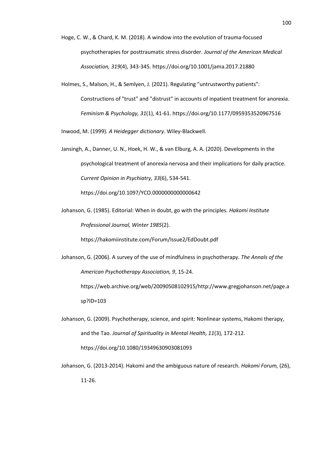- Hoge, C. W., & Chard, K. M. (2018). A window into the evolution of trauma-focused psychotherapies for posttraumatic stress disorder. *Journal of the American Medical Association, 319*(4), 343-345. https://doi.org/10.1001/jama.2017.21880
- Holmes, S., Malson, H., & Semlyen, J. (2021). Regulating "untrustworthy patients": Constructions of "trust" and "distrust" in accounts of inpatient treatment for anorexia. *Feminism & Psychology, 31*(1), 41-61. https://doi.org/10.1177/0959353520967516

Inwood, M. (1999). *A Heidegger dictionary*. Wiley-Blackwell.

Jansingh, A., Danner, U. N., Hoek, H. W., & van Elburg, A. A. (2020). Developments in the psychological treatment of anorexia nervosa and their implications for daily practice. *Current Opinion in Psychiatry, 33*(6), 534-541.

https://doi.org/10.1097/YCO.0000000000000642

Johanson, G. (1985). Editorial: When in doubt, go with the principles. *Hakomi Institute Professional Journal, Winter 1985*(2).

https://hakomiinstitute.com/Forum/Issue2/EdDoubt.pdf

Johanson, G. (2006). A survey of the use of mindfulness in psychotherapy. *The Annals of the American Psychotherapy Association, 9*, 15-24.

https://web.archive.org/web/20090508102915/http://www.gregjohanson.net/page.a sp?ID=103

- Johanson, G. (2009). Psychotherapy, science, and spirit: Nonlinear systems, Hakomi therapy, and the Tao. *Journal of Spirituality in Mental Health, 11*(3), 172-212. https://doi.org/10.1080/19349630903081093
- Johanson, G. (2013-2014). Hakomi and the ambiguous nature of research. *Hakomi Forum,* (26), 11-26.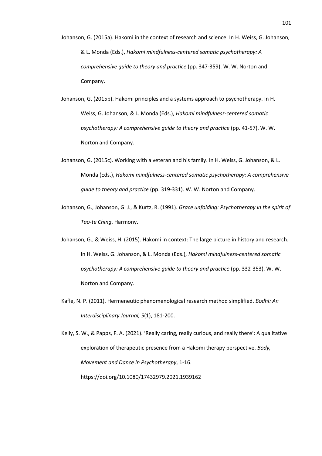- Johanson, G. (2015a). Hakomi in the context of research and science. In H. Weiss, G. Johanson, & L. Monda (Eds.), *Hakomi mindfulness-centered somatic psychotherapy: A comprehensive guide to theory and practice* (pp. 347-359). W. W. Norton and Company.
- Johanson, G. (2015b). Hakomi principles and a systems approach to psychotherapy. In H. Weiss, G. Johanson, & L. Monda (Eds.), *Hakomi mindfulness-centered somatic psychotherapy: A comprehensive guide to theory and practice* (pp. 41-57). W. W. Norton and Company.
- Johanson, G. (2015c). Working with a veteran and his family. In H. Weiss, G. Johanson, & L. Monda (Eds.), *Hakomi mindfulness-centered somatic psychotherapy: A comprehensive guide to theory and practice* (pp. 319-331). W. W. Norton and Company.
- Johanson, G., Johanson, G. J., & Kurtz, R. (1991). *Grace unfolding: Psychotherapy in the spirit of Tao-te Ching*. Harmony.
- Johanson, G., & Weiss, H. (2015). Hakomi in context: The large picture in history and research. In H. Weiss, G. Johanson, & L. Monda (Eds.), *Hakomi mindfulness-centered somatic psychotherapy: A comprehensive guide to theory and practice* (pp. 332-353). W. W. Norton and Company.
- Kafle, N. P. (2011). Hermeneutic phenomenological research method simplified. *Bodhi: An Interdisciplinary Journal, 5*(1), 181-200.

Kelly, S. W., & Papps, F. A. (2021). 'Really caring, really curious, and really there': A qualitative exploration of therapeutic presence from a Hakomi therapy perspective. *Body, Movement and Dance in Psychotherapy*, 1-16. https://doi.org/10.1080/17432979.2021.1939162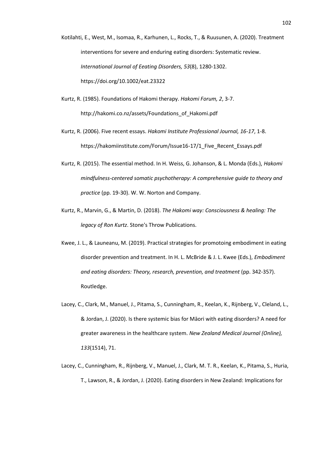Kotilahti, E., West, M., Isomaa, R., Karhunen, L., Rocks, T., & Ruusunen, A. (2020). Treatment interventions for severe and enduring eating disorders: Systematic review. *International Journal of Eeating Disorders, 53*(8), 1280-1302. https://doi.org/10.1002/eat.23322

- Kurtz, R. (1985). Foundations of Hakomi therapy. *Hakomi Forum, 2*, 3-7. http://hakomi.co.nz/assets/Foundations\_of\_Hakomi.pdf
- Kurtz, R. (2006). Five recent essays. *Hakomi Institute Professional Journal, 16-17*, 1-8. https://hakomiinstitute.com/Forum/Issue16-17/1\_Five\_Recent\_Essays.pdf
- Kurtz, R. (2015). The essential method. In H. Weiss, G. Johanson, & L. Monda (Eds.), *Hakomi mindfulness-centered somatic psychotherapy: A comprehensive guide to theory and practice* (pp. 19-30). W. W. Norton and Company.
- Kurtz, R., Marvin, G., & Martin, D. (2018). *The Hakomi way: Consciousness & healing: The legacy of Ron Kurtz*. Stone's Throw Publications.
- Kwee, J. L., & Launeanu, M. (2019). Practical strategies for promotoing embodiment in eating disorder prevention and treatment. In H. L. McBride & J. L. Kwee (Eds.), *Embodiment and eating disorders: Theory, research, prevention, and treatment* (pp. 342-357). Routledge.
- Lacey, C., Clark, M., Manuel, J., Pitama, S., Cunningham, R., Keelan, K., Rijnberg, V., Cleland, L., & Jordan, J. (2020). Is there systemic bias for Māori with eating disorders? A need for greater awareness in the healthcare system. *New Zealand Medical Journal (Online), 133*(1514), 71.
- Lacey, C., Cunningham, R., Rijnberg, V., Manuel, J., Clark, M. T. R., Keelan, K., Pitama, S., Huria, T., Lawson, R., & Jordan, J. (2020). Eating disorders in New Zealand: Implications for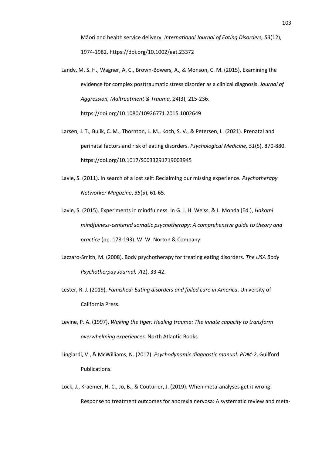Māori and health service delivery. *International Journal of Eating Disorders, 53*(12), 1974-1982. https://doi.org/10.1002/eat.23372

- Landy, M. S. H., Wagner, A. C., Brown-Bowers, A., & Monson, C. M. (2015). Examining the evidence for complex posttraumatic stress disorder as a clinical diagnosis. *Journal of Aggression, Maltreatment & Trauma, 24*(3), 215-236. https://doi.org/10.1080/10926771.2015.1002649
- Larsen, J. T., Bulik, C. M., Thornton, L. M., Koch, S. V., & Petersen, L. (2021). Prenatal and perinatal factors and risk of eating disorders. *Psychological Medicine, 51*(5), 870-880. https://doi.org/10.1017/S0033291719003945
- Lavie, S. (2011). In search of a lost self: Reclaiming our missing experience. *Psychotherapy Networker Magazine*, *35*(5), 61-65.
- Lavie, S. (2015). Experiments in mindfulness. In G. J. H. Weiss, & L. Monda (Ed.), *Hakomi mindfulness-centered somatic psychotherapy: A comprehensive guide to theory and practice* (pp. 178-193). W. W. Norton & Company.
- Lazzaro-Smith, M. (2008). Body psychotherapy for treating eating disorders. *The USA Body Psychotherpay Journal, 7*(2), 33-42.
- Lester, R. J. (2019). *Famished: Eating disorders and failed care in America*. University of California Press.
- Levine, P. A. (1997). *Waking the tiger: Healing trauma: The innate capacity to transform overwhelming experiences*. North Atlantic Books.
- Lingiardi, V., & McWilliams, N. (2017). *Psychodynamic diagnostic manual: PDM-2*. Guilford Publications.
- Lock, J., Kraemer, H. C., Jo, B., & Couturier, J. (2019). When meta-analyses get it wrong: Response to treatment outcomes for anorexia nervosa: A systematic review and meta-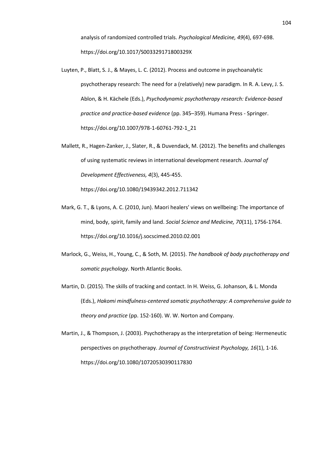analysis of randomized controlled trials. *Psychological Medicine, 49*(4), 697-698. https://doi.org/10.1017/S003329171800329X

- Luyten, P., Blatt, S. J., & Mayes, L. C. (2012). Process and outcome in psychoanalytic psychotherapy research: The need for a (relatively) new paradigm. In R. A. Levy, J. S. Ablon, & H. Kächele (Eds.), *Psychodynamic psychotherapy research: Evidence-based practice and practice-based evidence* (pp. 345–359). Humana Press - Springer. https://doi.org/10.1007/978-1-60761-792-1\_21
- Mallett, R., Hagen-Zanker, J., Slater, R., & Duvendack, M. (2012). The benefits and challenges of using systematic reviews in international development research. *Journal of Development Effectiveness, 4*(3), 445-455. https://doi.org/10.1080/19439342.2012.711342
- Mark, G. T., & Lyons, A. C. (2010, Jun). Maori healers' views on wellbeing: The importance of mind, body, spirit, family and land. *Social Science and Medicine, 70*(11), 1756-1764. https://doi.org/10.1016/j.socscimed.2010.02.001
- Marlock, G., Weiss, H., Young, C., & Soth, M. (2015). *The handbook of body psychotherapy and somatic psychology*. North Atlantic Books.
- Martin, D. (2015). The skills of tracking and contact. In H. Weiss, G. Johanson, & L. Monda (Eds.), *Hakomi mindfulness-centered somatic psychotherapy: A comprehensive guide to theory and practice* (pp. 152-160). W. W. Norton and Company.
- Martin, J., & Thompson, J. (2003). Psychotherapy as the interpretation of being: Hermeneutic perspectives on psychotherapy. *Journal of Constructiviest Psychology, 16*(1), 1-16. https://doi.org/10.1080/10720530390117830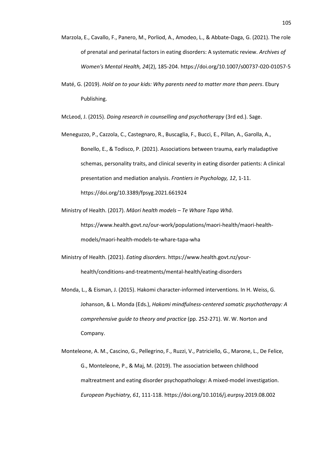- Marzola, E., Cavallo, F., Panero, M., Porliod, A., Amodeo, L., & Abbate-Daga, G. (2021). The role of prenatal and perinatal factors in eating disorders: A systematic review. *Archives of Women's Mental Health, 24*(2), 185-204. https://doi.org/10.1007/s00737-020-01057-5
- Maté, G. (2019). *Hold on to your kids: Why parents need to matter more than peers*. Ebury Publishing.

McLeod, J. (2015). *Doing research in counselling and psychotherapy* (3rd ed.). Sage.

- Meneguzzo, P., Cazzola, C., Castegnaro, R., Buscaglia, F., Bucci, E., Pillan, A., Garolla, A., Bonello, E., & Todisco, P. (2021). Associations between trauma, early maladaptive schemas, personality traits, and clinical severity in eating disorder patients: A clinical presentation and mediation analysis. *Frontiers in Psychology, 12*, 1-11. https://doi.org/10.3389/fpsyg.2021.661924
- Ministry of Health. (2017). *Māori health models – Te Whare Tapa Whā*. https://www.health.govt.nz/our-work/populations/maori-health/maori-healthmodels/maori-health-models-te-whare-tapa-wha
- Ministry of Health. (2021). *Eating disorders*. https://www.health.govt.nz/yourhealth/conditions-and-treatments/mental-health/eating-disorders
- Monda, L., & Eisman, J. (2015). Hakomi character-informed interventions. In H. Weiss, G. Johanson, & L. Monda (Eds.), *Hakomi mindfulness-centered somatic psychotherapy: A comprehensive guide to theory and practice* (pp. 252-271). W. W. Norton and Company.
- Monteleone, A. M., Cascino, G., Pellegrino, F., Ruzzi, V., Patriciello, G., Marone, L., De Felice, G., Monteleone, P., & Maj, M. (2019). The association between childhood maltreatment and eating disorder psychopathology: A mixed-model investigation. *European Psychiatry, 61*, 111-118. https://doi.org/10.1016/j.eurpsy.2019.08.002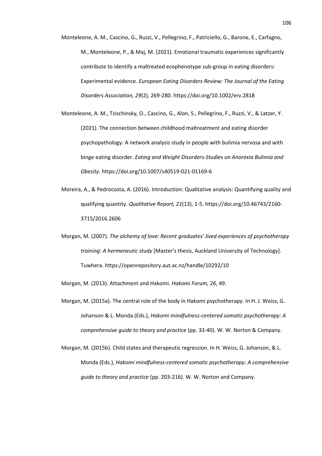- Monteleone, A. M., Cascino, G., Ruzzi, V., Pellegrino, F., Patriciello, G., Barone, E., Carfagno, M., Monteleone, P., & Maj, M. (2021). Emotional traumatic experiences significantly contribute to identify a maltreated ecophenotype sub-group in eating disorders: Experimental evidence. *European Eating Disorders Review: The Journal of the Eating Disorders Association, 29*(2), 269-280. https://doi.org/10.1002/erv.2818
- Monteleone, A. M., Tzischinsky, O., Cascino, G., Alon, S., Pellegrino, F., Ruzzi, V., & Latzer, Y. (2021). The connection between childhood maltreatment and eating disorder psychopathology: A network analysis study in people with bulimia nervosa and with binge eating disorder. *Eating and Weight Disorders-Studies on Anorexia Bulimia and Obesity*. https://doi.org/10.1007/s40519-021-01169-6
- Moreira, A., & Pedrocosta, A. (2016). Introduction: Qualitative analysis: Quantifying quality and qualifying quantity. *Qualitative Report, 21*(13), 1-5. https://doi.org/10.46743/2160- 3715/2016.2606
- Morgan, M. (2007). *The alchemy of love: Recent graduates' lived experiences of psychotherapy training: A hermeneutic study* [Master's thesis, Auckland University of Technology]. Tuwhera. https://openrepository.aut.ac.nz/handle/10292/10
- Morgan, M. (2013). Attachment and Hakomi. *Hakomi Forum, 26*, 49.
- Morgan, M. (2015a). The central role of the body in Hakomi psychotherapy. In H. J. Weiss, G. Johanson & L. Monda (Eds.), *Hakomi mindfulness-centered somatic psychotherapy: A comprehensive guide to theory and practice* (pp. 33-40). W. W. Norton & Company.
- Morgan, M. (2015b). Child states and therapeutic regression. In H. Weiss, G. Johanson, & L. Monda (Eds.), *Hakomi mindfulness-centered somatic psychotherapy: A comprehensive guide to theory and practice* (pp. 203-216). W. W. Norton and Company.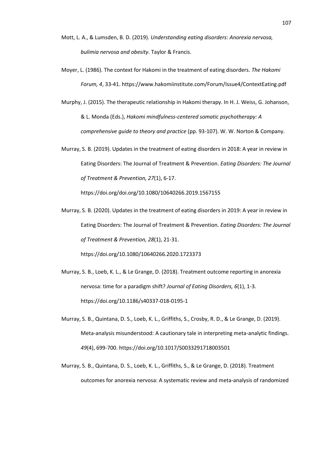- Mott, L. A., & Lumsden, B. D. (2019). *Understanding eating disorders: Anorexia nervosa, bulimia nervosa and obesity*. Taylor & Francis.
- Moyer, L. (1986). The context for Hakomi in the treatment of eating disorders. *The Hakomi Forum, 4*, 33-41. https://www.hakomiinstitute.com/Forum/Issue4/ContextEating.pdf
- Murphy, J. (2015). The therapeutic relationship in Hakomi therapy. In H. J. Weiss, G. Johanson, & L. Monda (Eds.), *Hakomi mindfulness-centered somatic psychotherapy: A comprehensive guide to theory and practice* (pp. 93-107). W. W. Norton & Company.
- Murray, S. B. (2019). Updates in the treatment of eating disorders in 2018: A year in review in Eating Disorders: The Journal of Treatment & Prevention. *Eating Disorders: The Journal of Treatment & Prevention, 27*(1), 6-17.

https://doi.org/doi.org/10.1080/10640266.2019.1567155

Murray, S. B. (2020). Updates in the treatment of eating disorders in 2019: A year in review in Eating Disorders: The Journal of Treatment & Prevention. *Eating Disorders: The Journal of Treatment & Prevention, 28*(1), 21-31.

https://doi.org/10.1080/10640266.2020.1723373

- Murray, S. B., Loeb, K. L., & Le Grange, D. (2018). Treatment outcome reporting in anorexia nervosa: time for a paradigm shift? *Journal of Eating Disorders, 6*(1), 1-3. https://doi.org/10.1186/s40337-018-0195-1
- Murray, S. B., Quintana, D. S., Loeb, K. L., Griffiths, S., Crosby, R. D., & Le Grange, D. (2019). Meta-analysis misunderstood: A cautionary tale in interpreting meta-analytic findings. *49*(4), 699-700. https://doi.org/10.1017/S0033291718003501
- Murray, S. B., Quintana, D. S., Loeb, K. L., Griffiths, S., & Le Grange, D. (2018). Treatment outcomes for anorexia nervosa: A systematic review and meta-analysis of randomized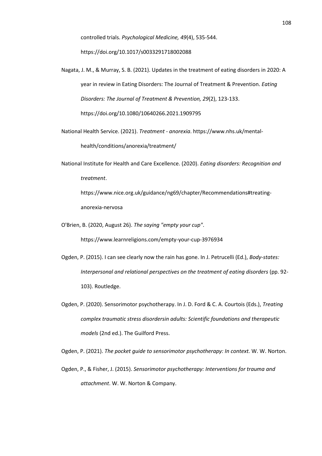controlled trials. *Psychological Medicine, 49*(4), 535-544.

https://doi.org/10.1017/s0033291718002088

- Nagata, J. M., & Murray, S. B. (2021). Updates in the treatment of eating disorders in 2020: A year in review in Eating Disorders: The Journal of Treatment & Prevention. *Eating Disorders: The Journal of Treatment & Prevention, 29*(2), 123-133. https://doi.org/10.1080/10640266.2021.1909795
- National Health Service. (2021). *Treatment - anorexia*. https://www.nhs.uk/mentalhealth/conditions/anorexia/treatment/
- National Institute for Health and Care Excellence. (2020). *Eating disorders: Recognition and treatment*. https://www.nice.org.uk/guidance/ng69/chapter/Recommendations#treating-

anorexia-nervosa

O'Brien, B. (2020, August 26). *The saying "empty your cup"*.

https://www.learnreligions.com/empty-your-cup-3976934

- Ogden, P. (2015). I can see clearly now the rain has gone. In J. Petrucelli (Ed.), *Body-states: Interpersonal and relational perspectives on the treatment of eating disorders* (pp. 92- 103). Routledge.
- Ogden, P. (2020). Sensorimotor psychotherapy. In J. D. Ford & C. A. Courtois (Eds.), *Treating complex traumatic stress disordersin adults: Scientific foundations and therapeutic models* (2nd ed.). The Guilford Press.

Ogden, P. (2021). *The pocket guide to sensorimotor psychotherapy: In context.* W. W. Norton.

Ogden, P., & Fisher, J. (2015). *Sensorimotor psychotherapy: Interventions for trauma and attachment*. W. W. Norton & Company.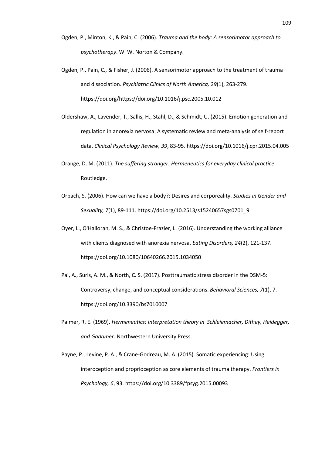- Ogden, P., Minton, K., & Pain, C. (2006). *Trauma and the body: A sensorimotor approach to psychotherapy*. W. W. Norton & Company.
- Ogden, P., Pain, C., & Fisher, J. (2006). A sensorimotor approach to the treatment of trauma and dissociation. *Psychiatric Clinics of North America, 29*(1), 263-279. https://doi.org/https://doi.org/10.1016/j.psc.2005.10.012
- Oldershaw, A., Lavender, T., Sallis, H., Stahl, D., & Schmidt, U. (2015). Emotion generation and regulation in anorexia nervosa: A systematic review and meta-analysis of self-report data. *Clinical Psychology Review, 39*, 83-95. https://doi.org/10.1016/j.cpr.2015.04.005
- Orange, D. M. (2011). *The suffering stranger: Hermeneutics for everyday clinical practice*. Routledge.
- Orbach, S. (2006). How can we have a body?: Desires and corporeality. *Studies in Gender and Sexuality, 7*(1), 89-111. https://doi.org/10.2513/s15240657sgs0701\_9
- Oyer, L., O'Halloran, M. S., & Christoe-Frazier, L. (2016). Understanding the working alliance with clients diagnosed with anorexia nervosa. *Eating Disorders, 24*(2), 121-137. https://doi.org/10.1080/10640266.2015.1034050
- Pai, A., Suris, A. M., & North, C. S. (2017). Posttraumatic stress disorder in the DSM-5: Controversy, change, and conceptual considerations. *Behavioral Sciences, 7*(1), 7. https://doi.org/10.3390/bs7010007
- Palmer, R. E. (1969). *Hermeneutics: Interpretation theory in Schleiemacher, Dithey, Heidegger, and Gadamer*. Northwestern University Press.
- Payne, P., Levine, P. A., & Crane-Godreau, M. A. (2015). Somatic experiencing: Using interoception and proprioception as core elements of trauma therapy. *Frontiers in Psychology, 6*, 93. https://doi.org/10.3389/fpsyg.2015.00093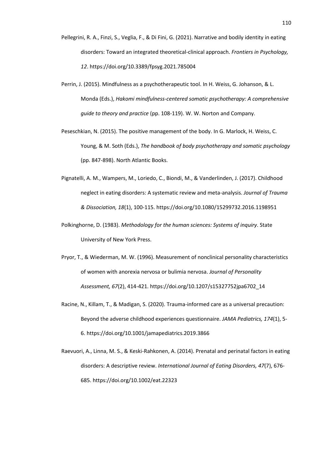- Pellegrini, R. A., Finzi, S., Veglia, F., & Di Fini, G. (2021). Narrative and bodily identity in eating disorders: Toward an integrated theoretical-clinical approach. *Frontiers in Psychology, 12*. https://doi.org/10.3389/fpsyg.2021.785004
- Perrin, J. (2015). Mindfulness as a psychotherapeutic tool. In H. Weiss, G. Johanson, & L. Monda (Eds.), *Hakomi mindfulness-centered somatic psychotherapy: A comprehensive guide to theory and practice* (pp. 108-119). W. W. Norton and Company.
- Peseschkian, N. (2015). The positive management of the body. In G. Marlock, H. Weiss, C. Young, & M. Soth (Eds.), *The handbook of body psychotherapy and somatic psychology* (pp. 847-898). North Atlantic Books.
- Pignatelli, A. M., Wampers, M., Loriedo, C., Biondi, M., & Vanderlinden, J. (2017). Childhood neglect in eating disorders: A systematic review and meta-analysis. *Journal of Trauma & Dissociation, 18*(1), 100-115. https://doi.org/10.1080/15299732.2016.1198951
- Polkinghorne, D. (1983). *Methodology for the human sciences: Systems of inquiry*. State University of New York Press.
- Pryor, T., & Wiederman, M. W. (1996). Measurement of nonclinical personality characteristics of women with anorexia nervosa or bulimia nervosa. *Journal of Personality Assessment, 67*(2), 414-421. https://doi.org/10.1207/s15327752jpa6702\_14
- Racine, N., Killam, T., & Madigan, S. (2020). Trauma-informed care as a universal precaution: Beyond the adverse childhood experiences questionnaire. *JAMA Pediatrics, 174*(1), 5- 6. https://doi.org/10.1001/jamapediatrics.2019.3866
- Raevuori, A., Linna, M. S., & Keski-Rahkonen, A. (2014). Prenatal and perinatal factors in eating disorders: A descriptive review. *International Journal of Eating Disorders, 47*(7), 676- 685. https://doi.org/10.1002/eat.22323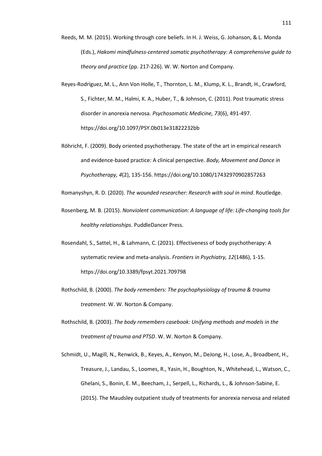- Reeds, M. M. (2015). Working through core beliefs. In H. J. Weiss, G. Johanson, & L. Monda (Eds.), *Hakomi mindfulness-centered somatic psychotherapy: A comprehensive guide to theory and practice* (pp. 217-226). W. W. Norton and Company.
- Reyes-Rodríguez, M. L., Ann Von Holle, T., Thornton, L. M., Klump, K. L., Brandt, H., Crawford, S., Fichter, M. M., Halmi, K. A., Huber, T., & Johnson, C. (2011). Post traumatic stress disorder in anorexia nervosa. *Psychosomatic Medicine, 73*(6), 491-497. https://doi.org/10.1097/PSY.0b013e31822232bb
- Röhricht, F. (2009). Body oriented psychotherapy. The state of the art in empirical research and evidence-based practice: A clinical perspective. *Body, Movement and Dance in Psychotherapy, 4*(2), 135-156. https://doi.org/10.1080/17432970902857263

Romanyshyn, R. D. (2020). *The wounded researcher: Research with soul in mind*. Routledge.

- Rosenberg, M. B. (2015). *Nonviolent communication: A language of life: Life-changing tools for healthy relationships*. PuddleDancer Press.
- Rosendahl, S., Sattel, H., & Lahmann, C. (2021). Effectiveness of body psychotherapy: A systematic review and meta-analysis. *Frontiers in Psychiatry, 12*(1486), 1-15. https://doi.org/10.3389/fpsyt.2021.709798
- Rothschild, B. (2000). *The body remembers: The psychophysiology of trauma & trauma treatment*. W. W. Norton & Company.
- Rothschild, B. (2003). *The body remembers casebook: Unifying methods and models in the treatment of trauma and PTSD*. W. W. Norton & Company.

Schmidt, U., Magill, N., Renwick, B., Keyes, A., Kenyon, M., DeJong, H., Lose, A., Broadbent, H., Treasure, J., Landau, S., Loomes, R., Yasin, H., Boughton, N., Whitehead, L., Watson, C., Ghelani, S., Bonin, E. M., Beecham, J., Serpell, L., Richards, L., & Johnson-Sabine, E. (2015). The Maudsley outpatient study of treatments for anorexia nervosa and related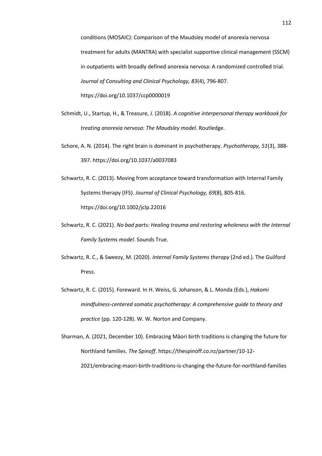conditions (MOSAIC): Comparison of the Maudsley model of anorexia nervosa treatment for adults (MANTRA) with specialist supportive clinical management (SSCM) in outpatients with broadly defined anorexia nervosa: A randomized controlled trial. *Journal of Consulting and Clinical Psychology, 83*(4), 796-807. https://doi.org/10.1037/ccp0000019

- Schmidt, U., Startup, H., & Treasure, J. (2018). *A cognitive interpersonal therapy workbook for treating anorexia nervosa: The Maudsley model*. Routledge.
- Schore, A. N. (2014). The right brain is dominant in psychotherapy. *Psychotherapy, 51*(3), 388- 397. https://doi.org/10.1037/a0037083
- Schwartz, R. C. (2013). Moving from acceptance toward transformation with Internal Family Systems therapy (IFS). *Journal of Clinical Psychology, 69*(8), 805-816. https://doi.org/10.1002/jclp.22016
- Schwartz, R. C. (2021). *No bad parts: Healing trauma and restoring wholeness with the Internal Family Systems model*. Sounds True.
- Schwartz, R. C., & Sweezy, M. (2020). *Internal Family Systems therapy* (2nd ed.). The Guilford Press.
- Schwartz, R. C. (2015). Foreward. In H. Weiss, G. Johanson, & L. Monda (Eds.), *Hakomi mindfulness-centered somatic psychotherapy: A comprehensive guide to theory and practice* (pp. 120-128). W. W. Norton and Company.

Sharman, A. (2021, December 10). Embracing Māori birth traditions is changing the future for Northland families. *The Spinoff*. https://thespinoff.co.nz/partner/10-12- 2021/embracing-maori-birth-traditions-is-changing-the-future-for-northland-families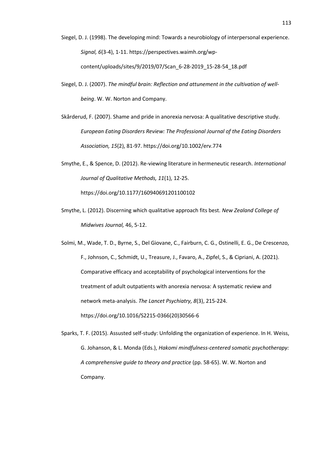- Siegel, D. J. (1998). The developing mind: Towards a neurobiology of interpersonal experience. *Signal, 6*(3-4), 1-11. https://perspectives.waimh.org/wpcontent/uploads/sites/9/2019/07/Scan\_6-28-2019\_15-28-54\_18.pdf
- Siegel, D. J. (2007). *The mindful brain: Reflection and attunement in the cultivation of wellbeing*. W. W. Norton and Company.
- Skårderud, F. (2007). Shame and pride in anorexia nervosa: A qualitative descriptive study. *European Eating Disorders Review: The Professional Journal of the Eating Disorders Association, 15*(2), 81-97. https://doi.org/10.1002/erv.774
- Smythe, E., & Spence, D. (2012). Re-viewing literature in hermeneutic research. *International Journal of Qualitative Methods, 11*(1), 12-25. https://doi.org/10.1177/160940691201100102
- Smythe, L. (2012). Discerning which qualitative approach fits best. *New Zealand College of Midwives Journal,* 46, 5-12.

Solmi, M., Wade, T. D., Byrne, S., Del Giovane, C., Fairburn, C. G., Ostinelli, E. G., De Crescenzo, F., Johnson, C., Schmidt, U., Treasure, J., Favaro, A., Zipfel, S., & Cipriani, A. (2021). Comparative efficacy and acceptability of psychological interventions for the treatment of adult outpatients with anorexia nervosa: A systematic review and network meta-analysis. *The Lancet Psychiatry, 8*(3), 215-224. https://doi.org/10.1016/S2215-0366(20)30566-6

Sparks, T. F. (2015). Assusted self-study: Unfolding the organization of experience. In H. Weiss, G. Johanson, & L. Monda (Eds.), *Hakomi mindfulness-centered somatic psychotherapy: A comprehensive guide to theory and practice* (pp. 58-65). W. W. Norton and Company.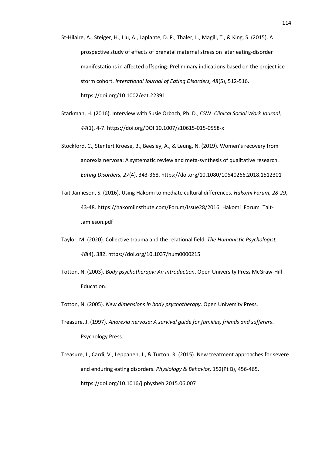- St-Hilaire, A., Steiger, H., Liu, A., Laplante, D. P., Thaler, L., Magill, T., & King, S. (2015). A prospective study of effects of prenatal maternal stress on later eating‐disorder manifestations in affected offspring: Preliminary indications based on the project ice storm cohort. *Interational Journal of Eating Disorders, 48*(5), 512-516. https://doi.org/10.1002/eat.22391
- Starkman, H. (2016). Interview with Susie Orbach, Ph. D., CSW. *Clinical Social Work Journal, 44*(1), 4-7. https://doi.org/DOI 10.1007/s10615-015-0558-x
- Stockford, C., Stenfert Kroese, B., Beesley, A., & Leung, N. (2019). Women's recovery from anorexia nervosa: A systematic review and meta-synthesis of qualitative research. *Eating Disorders, 27*(4), 343-368. https://doi.org/10.1080/10640266.2018.1512301
- Tait-Jamieson, S. (2016). Using Hakomi to mediate cultural differences. *Hakomi Forum, 28-29*, 43-48. https://hakomiinstitute.com/Forum/Issue28/2016\_Hakomi\_Forum\_Tait-Jamieson.pdf
- Taylor, M. (2020). Collective trauma and the relational field. *The Humanistic Psychologist, 48*(4), 382. https://doi.org/10.1037/hum0000215
- Totton, N. (2003). *Body psychotherapy: An introduction*. Open University Press McGraw-Hill Education.
- Totton, N. (2005). *New dimensions in body psychotherapy*. Open University Press.
- Treasure, J. (1997). *Anorexia nervosa: A survival guide for families, friends and sufferers*. Psychology Press.
- Treasure, J., Cardi, V., Leppanen, J., & Turton, R. (2015). New treatment approaches for severe and enduring eating disorders. *Physiology & Behavior,* 152(Pt B), 456-465. https://doi.org/10.1016/j.physbeh.2015.06.007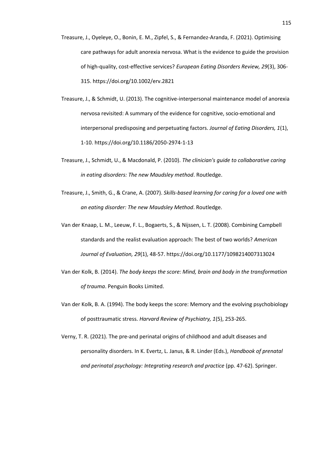Treasure, J., Oyeleye, O., Bonin, E. M., Zipfel, S., & Fernandez‐Aranda, F. (2021). Optimising care pathways for adult anorexia nervosa. What is the evidence to guide the provision of high‐quality, cost‐effective services? *European Eating Disorders Review, 29*(3), 306- 315. https://doi.org/10.1002/erv.2821

- Treasure, J., & Schmidt, U. (2013). The cognitive-interpersonal maintenance model of anorexia nervosa revisited: A summary of the evidence for cognitive, socio-emotional and interpersonal predisposing and perpetuating factors. *Journal of Eating Disorders, 1*(1), 1-10. https://doi.org/10.1186/2050-2974-1-13
- Treasure, J., Schmidt, U., & Macdonald, P. (2010). *The clinician's guide to collaborative caring in eating disorders: The new Maudsley method*. Routledge.
- Treasure, J., Smith, G., & Crane, A. (2007). *Skills-based learning for caring for a loved one with an eating disorder: The new Maudsley Method*. Routledge.
- Van der Knaap, L. M., Leeuw, F. L., Bogaerts, S., & Nijssen, L. T. (2008). Combining Campbell standards and the realist evaluation approach: The best of two worlds? *American Journal of Evaluation, 29*(1), 48-57. https://doi.org/10.1177/1098214007313024
- Van der Kolk, B. (2014). *The body keeps the score: Mind, brain and body in the transformation of trauma*. Penguin Books Limited.
- Van der Kolk, B. A. (1994). The body keeps the score: Memory and the evolving psychobiology of posttraumatic stress. *Harvard Review of Psychiatry, 1*(5), 253-265.
- Verny, T. R. (2021). The pre-and perinatal origins of childhood and adult diseases and personality disorders. In K. Evertz, L. Janus, & R. Linder (Eds.), *Handbook of prenatal and perinatal psychology: Integrating research and practice* (pp. 47-62). Springer.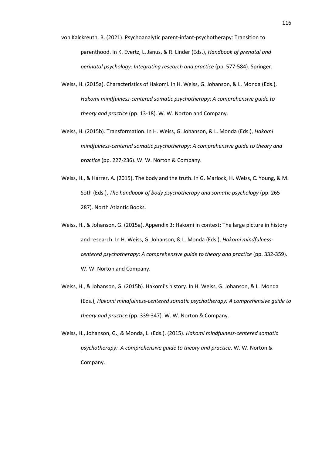- von Kalckreuth, B. (2021). Psychoanalytic parent-infant-psychotherapy: Transition to parenthood. In K. Evertz, L. Janus, & R. Linder (Eds.), *Handbook of prenatal and perinatal psychology: Integrating research and practice* (pp. 577-584). Springer.
- Weiss, H. (2015a). Characteristics of Hakomi. In H. Weiss, G. Johanson, & L. Monda (Eds.), *Hakomi mindfulness-centered somatic psychotherapy: A comprehensive guide to theory and practice* (pp. 13-18). W. W. Norton and Company.
- Weiss, H. (2015b). Transformation. In H. Weiss, G. Johanson, & L. Monda (Eds.), *Hakomi mindfulness-centered somatic psychotherapy: A comprehensive guide to theory and practice* (pp. 227-236). W. W. Norton & Company.
- Weiss, H., & Harrer, A. (2015). The body and the truth. In G. Marlock, H. Weiss, C. Young, & M. Soth (Eds.), *The handbook of body psychotherapy and somatic psychology* (pp. 265- 287). North Atlantic Books.
- Weiss, H., & Johanson, G. (2015a). Appendix 3: Hakomi in context: The large picture in history and research. In H. Weiss, G. Johanson, & L. Monda (Eds.), *Hakomi mindfulnesscentered psychotherapy: A comprehensive guide to theory and practice* (pp. 332-359). W. W. Norton and Company.
- Weiss, H., & Johanson, G. (2015b). Hakomi's history. In H. Weiss, G. Johanson, & L. Monda (Eds.), *Hakomi mindfulness-centered somatic psychotherapy: A comprehensive guide to theory and practice* (pp. 339-347). W. W. Norton & Company.
- Weiss, H., Johanson, G., & Monda, L. (Eds.). (2015). *Hakomi mindfulness-centered somatic psychotherapy: A comprehensive guide to theory and practice*. W. W. Norton & Company.